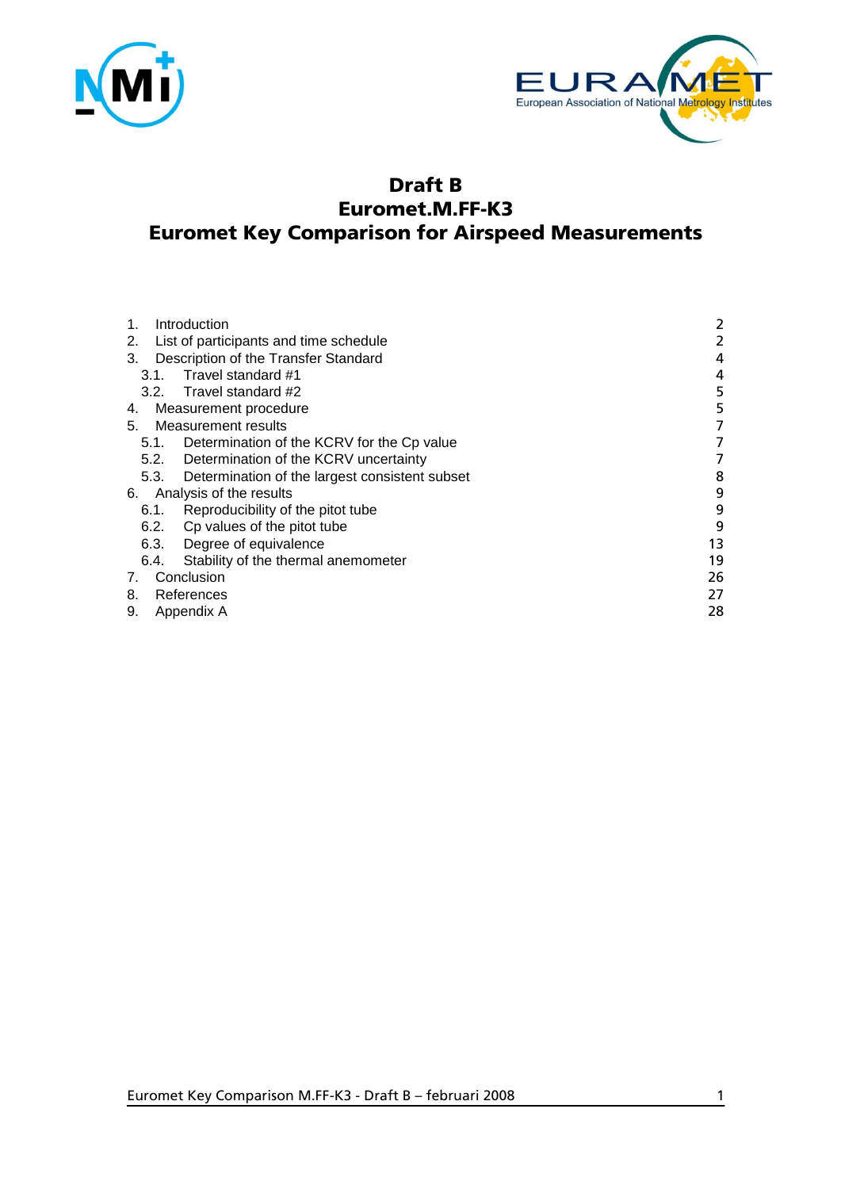



# **Draft B Euromet.M.FF-K3 Euromet Key Comparison for Airspeed Measurements**

| Introduction<br>1.                                  | 2  |
|-----------------------------------------------------|----|
| 2. List of participants and time schedule           | 2  |
| Description of the Transfer Standard<br>3.          | 4  |
| 3.1. Travel standard #1                             | 4  |
| 3.2. Travel standard #2                             | 5  |
| Measurement procedure<br>4.                         | 5  |
| Measurement results<br>5.                           | 7  |
| Determination of the KCRV for the Cp value<br>5.1.  |    |
| 5.2. Determination of the KCRV uncertainty          |    |
| 5.3. Determination of the largest consistent subset | 8  |
| Analysis of the results<br>6.                       | 9  |
| Reproducibility of the pitot tube<br>6.1.           | 9  |
| 6.2. Cp values of the pitot tube                    | 9  |
| Degree of equivalence<br>6.3.                       | 13 |
| Stability of the thermal anemometer<br>6.4.         | 19 |
| Conclusion<br>7.                                    | 26 |
| References<br>8.                                    | 27 |
| 9.<br>Appendix A                                    | 28 |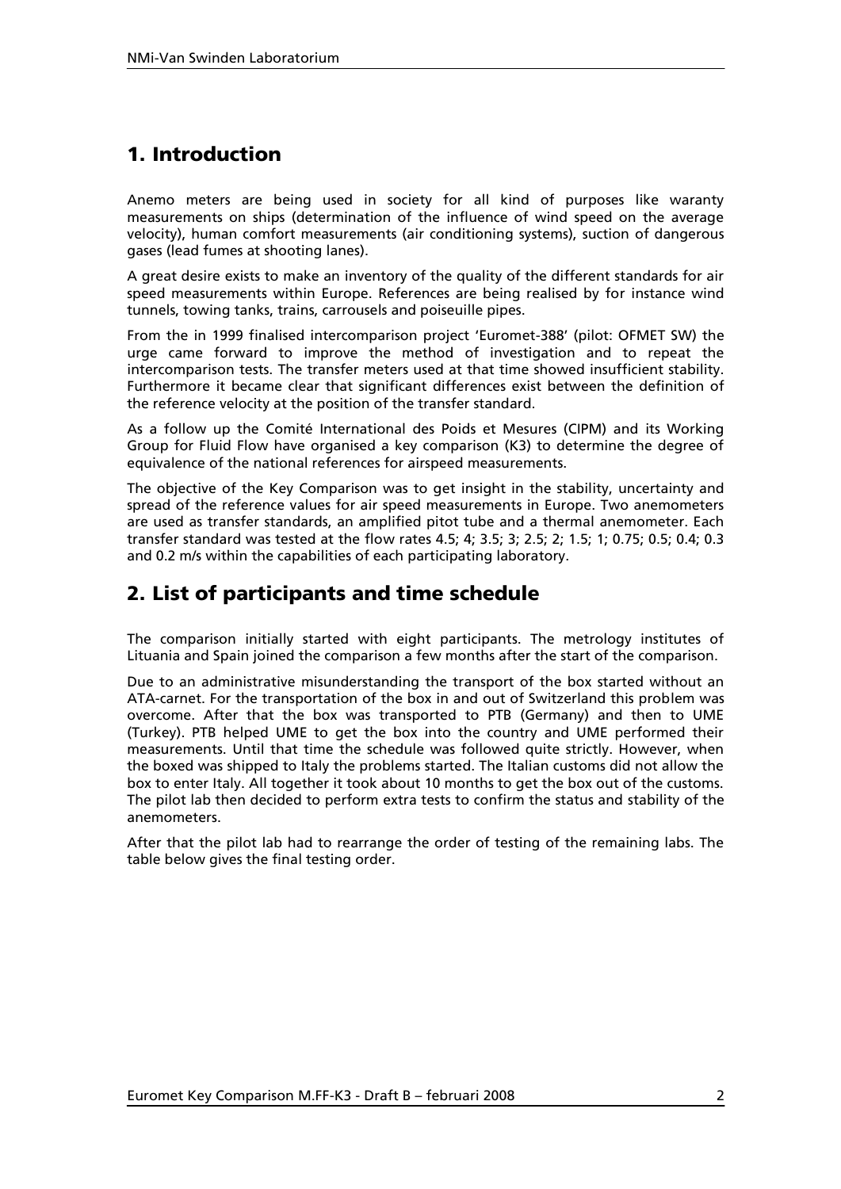# <span id="page-1-0"></span>**1. Introduction**

Anemo meters are being used in society for all kind of purposes like waranty measurements on ships (determination of the influence of wind speed on the average velocity), human comfort measurements (air conditioning systems), suction of dangerous gases (lead fumes at shooting lanes).

A great desire exists to make an inventory of the quality of the different standards for air speed measurements within Europe. References are being realised by for instance wind tunnels, towing tanks, trains, carrousels and poiseuille pipes.

From the in 1999 finalised intercomparison project 'Euromet-388' (pilot: OFMET SW) the urge came forward to improve the method of investigation and to repeat the intercomparison tests. The transfer meters used at that time showed insufficient stability. Furthermore it became clear that significant differences exist between the definition of the reference velocity at the position of the transfer standard.

As a follow up the Comité International des Poids et Mesures (CIPM) and its Working Group for Fluid Flow have organised a key comparison (K3) to determine the degree of equivalence of the national references for airspeed measurements.

The objective of the Key Comparison was to get insight in the stability, uncertainty and spread of the reference values for air speed measurements in Europe. Two anemometers are used as transfer standards, an amplified pitot tube and a thermal anemometer. Each transfer standard was tested at the flow rates 4.5; 4; 3.5; 3; 2.5; 2; 1.5; 1; 0.75; 0.5; 0.4; 0.3 and 0.2 m/s within the capabilities of each participating laboratory.

# <span id="page-1-1"></span>**2. List of participants and time schedule**

The comparison initially started with eight participants. The metrology institutes of Lituania and Spain joined the comparison a few months after the start of the comparison.

Due to an administrative misunderstanding the transport of the box started without an ATA-carnet. For the transportation of the box in and out of Switzerland this problem was overcome. After that the box was transported to PTB (Germany) and then to UME (Turkey). PTB helped UME to get the box into the country and UME performed their measurements. Until that time the schedule was followed quite strictly. However, when the boxed was shipped to Italy the problems started. The Italian customs did not allow the box to enter Italy. All together it took about 10 months to get the box out of the customs. The pilot lab then decided to perform extra tests to confirm the status and stability of the anemometers.

After that the pilot lab had to rearrange the order of testing of the remaining labs. The table below gives the final testing order.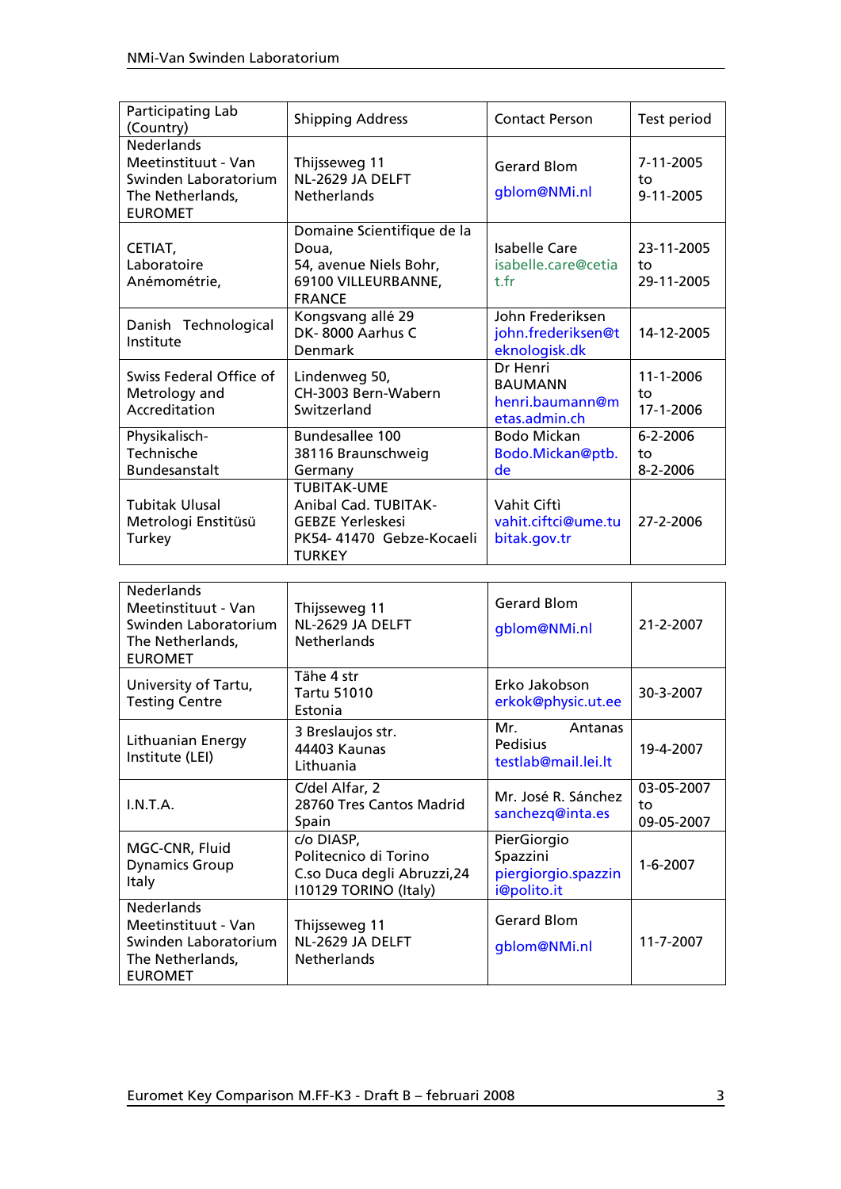| Participating Lab<br>(Country)                                                                         | <b>Shipping Address</b>                                                                                            | <b>Contact Person</b>                                          | Test period                      |
|--------------------------------------------------------------------------------------------------------|--------------------------------------------------------------------------------------------------------------------|----------------------------------------------------------------|----------------------------------|
| Nederlands<br>Meetinstituut - Van<br>Swinden Laboratorium<br>The Netherlands,<br><b>EUROMET</b>        | Thijsseweg 11<br>NL-2629 JA DELFT<br><b>Netherlands</b>                                                            | <b>Gerard Blom</b><br>gblom@NMi.nl                             | 7-11-2005<br>to<br>9-11-2005     |
| CETIAT,<br>Laboratoire<br>Anémométrie,                                                                 | Domaine Scientifique de la<br>Doua,<br>54, avenue Niels Bohr,<br>69100 VILLEURBANNE,<br><b>FRANCE</b>              | <b>Isabelle Care</b><br>isabelle.care@cetia<br>t.fr            | 23-11-2005<br>to<br>29-11-2005   |
| Danish Technological<br>Institute                                                                      | Kongsvang allé 29<br>DK-8000 Aarhus C<br>Denmark                                                                   | John Frederiksen<br>john.frederiksen@t<br>eknologisk.dk        | 14-12-2005                       |
| Swiss Federal Office of<br>Metrology and<br>Accreditation                                              | Lindenweg 50,<br>CH-3003 Bern-Wabern<br>Switzerland                                                                | Dr Henri<br><b>BAUMANN</b><br>henri.baumann@m<br>etas.admin.ch | 11-1-2006<br>to<br>17-1-2006     |
| Physikalisch-<br>Technische<br>Bundesanstalt                                                           | Bundesallee 100<br>38116 Braunschweig<br>Germany                                                                   | <b>Bodo Mickan</b><br>Bodo.Mickan@ptb.<br>de                   | $6 - 2 - 2006$<br>to<br>8-2-2006 |
| <b>Tubitak Ulusal</b><br>Metrologi Enstitüsü<br>Turkey                                                 | <b>TUBITAK-UME</b><br>Anibal Cad. TUBITAK-<br><b>GEBZE Yerleskesi</b><br>PK54-41470 Gebze-Kocaeli<br><b>TURKEY</b> | Vahit Ciftì<br>vahit.ciftci@ume.tu<br>bitak.gov.tr             | 27-2-2006                        |
|                                                                                                        |                                                                                                                    |                                                                |                                  |
| Nederlands<br>Meetinstituut - Van<br>Swinden Laboratorium<br>The Netherlands,<br><b>EUROMET</b>        | Thijsseweg 11<br>NL-2629 JA DELFT<br><b>Netherlands</b>                                                            | <b>Gerard Blom</b><br>gblom@NMi.nl                             | 21-2-2007                        |
| University of Tartu,<br><b>Testing Centre</b>                                                          | Tähe 4 str<br><b>Tartu 51010</b><br>Estonia                                                                        | Erko Jakobson<br>erkok@physic.ut.ee                            | 30-3-2007                        |
| Lithuanian Energy<br>Institute (LEI)                                                                   | 3 Breslaujos str.<br>44403 Kaunas<br>Lithuania                                                                     | Mr.<br>Antanas<br>Pedisius<br>testlab@mail.lei.lt              | 19-4-2007                        |
| I.N.T.A.                                                                                               | C/del Alfar, 2<br>28760 Tres Cantos Madrid<br>Spain                                                                | Mr. José R. Sánchez<br>sanchezq@inta.es                        | 03-05-2007<br>to<br>09-05-2007   |
| MGC-CNR, Fluid<br><b>Dynamics Group</b><br><b>Italy</b>                                                | c/o DIASP,<br>Politecnico di Torino<br>C.so Duca degli Abruzzi, 24<br>I10129 TORINO (Italy)                        | PierGiorgio<br>Spazzini<br>piergiorgio.spazzin<br>i@polito.it  | $1 - 6 - 2007$                   |
| <b>Nederlands</b><br>Meetinstituut - Van<br>Swinden Laboratorium<br>The Netherlands,<br><b>EUROMET</b> | Thijsseweg 11<br>NL-2629 JA DELFT<br><b>Netherlands</b>                                                            | <b>Gerard Blom</b><br>gblom@NMi.nl                             | 11-7-2007                        |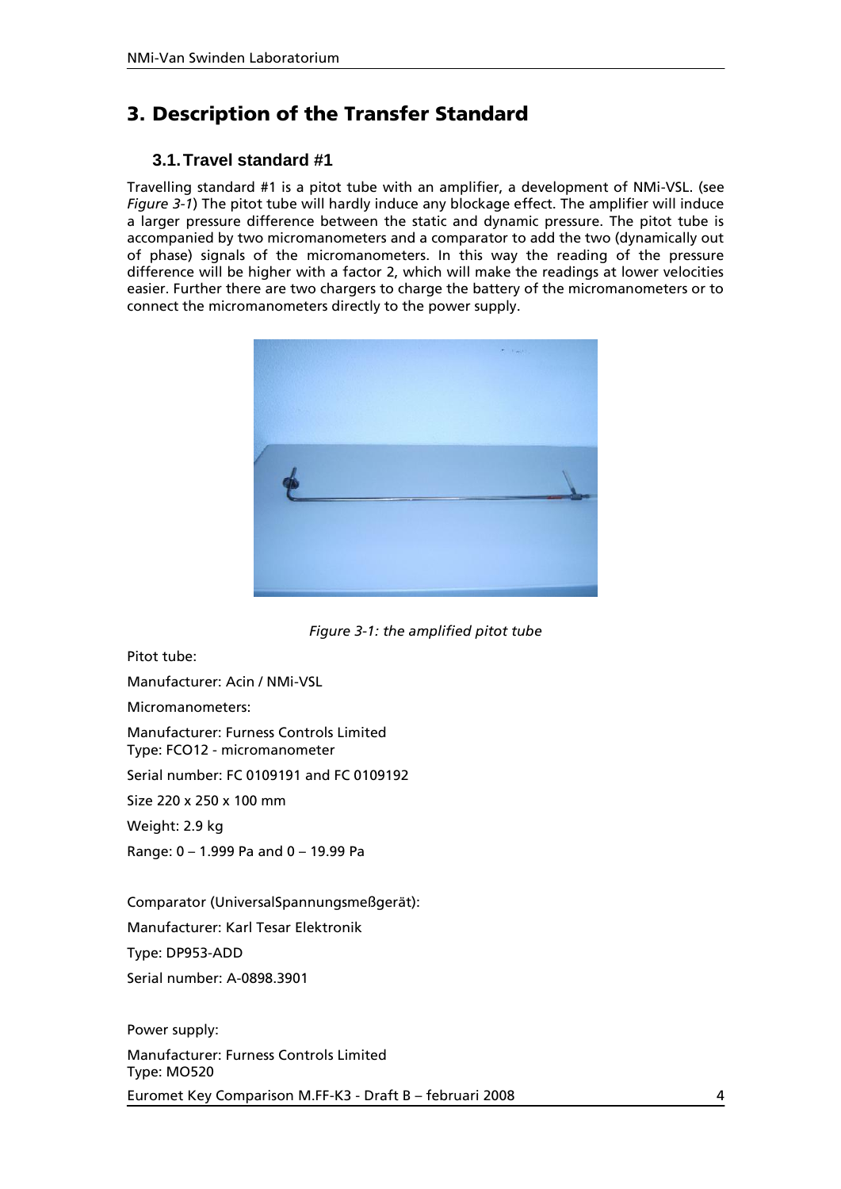# <span id="page-3-0"></span>**3. Description of the Transfer Standard**

### **3.1.Travel standard #1**

<span id="page-3-1"></span>Travelling standard #1 is a pitot tube with an amplifier, a development of NMi-VSL. (see *Figure 3-1*) The pitot tube will hardly induce any blockage effect. The amplifier will induce a larger pressure difference between the static and dynamic pressure. The pitot tube is accompanied by two micromanometers and a comparator to add the two (dynamically out of phase) signals of the micromanometers. In this way the reading of the pressure difference will be higher with a factor 2, which will make the readings at lower velocities easier. Further there are two chargers to charge the battery of the micromanometers or to connect the micromanometers directly to the power supply.



*Figure 3-1: the amplified pitot tube*

Pitot tube:

Manufacturer: Acin / NMi-VSL

Micromanometers:

Manufacturer: Furness Controls Limited

Type: FCO12 - micromanometer

Serial number: FC 0109191 and FC 0109192

Size 220 x 250 x 100 mm

Weight: 2.9 kg

Range: 0 – 1.999 Pa and 0 – 19.99 Pa

Comparator (UniversalSpannungsmeßgerät):

Manufacturer: Karl Tesar Elektronik

Type: DP953-ADD

Serial number: A-0898.3901

Euromet Key Comparison M.FF-K3 - Draft B – februari 2008 4 Power supply: Manufacturer: Furness Controls Limited Type: MO520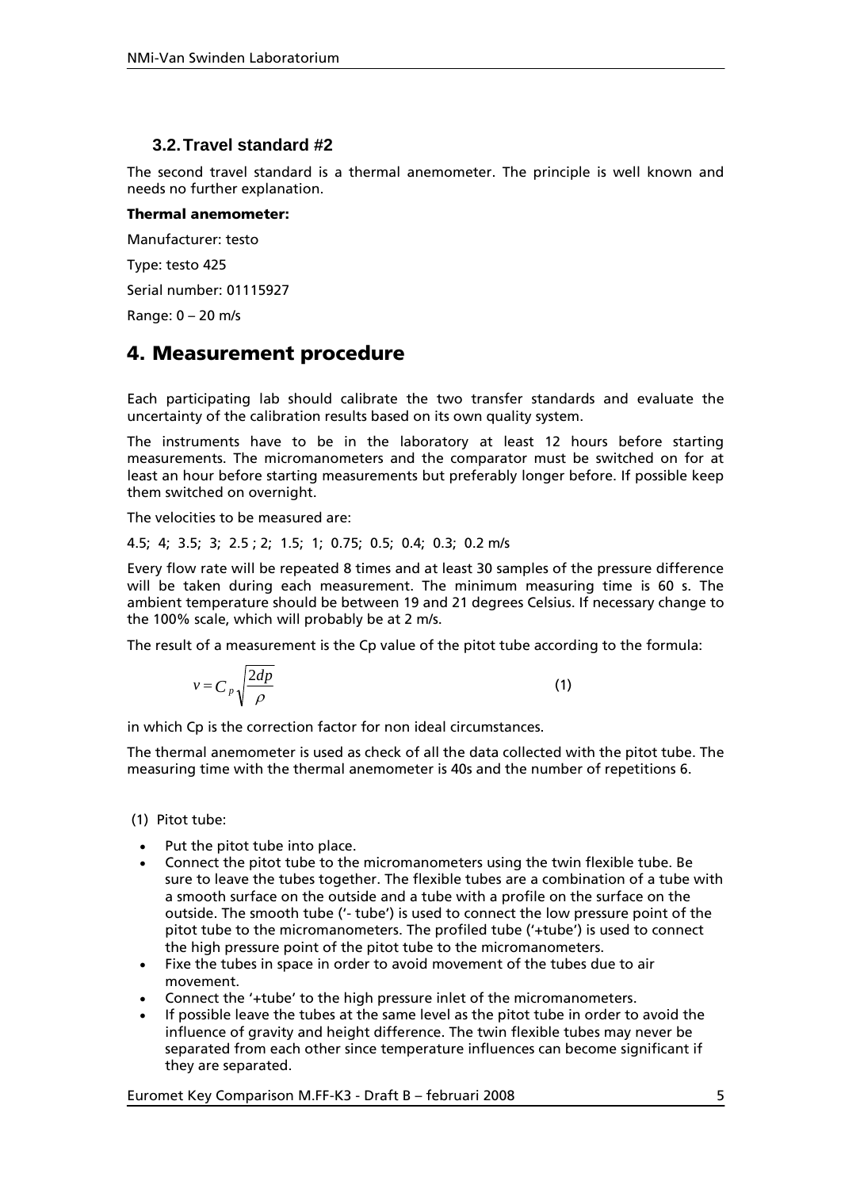### <span id="page-4-0"></span>**3.2.Travel standard #2**

The second travel standard is a thermal anemometer. The principle is well known and needs no further explanation.

#### **Thermal anemometer:**

Manufacturer: testo

Type: testo 425

Serial number: 01115927

Range: 0 – 20 m/s

# <span id="page-4-1"></span>**4. Measurement procedure**

Each participating lab should calibrate the two transfer standards and evaluate the uncertainty of the calibration results based on its own quality system.

The instruments have to be in the laboratory at least 12 hours before starting measurements. The micromanometers and the comparator must be switched on for at least an hour before starting measurements but preferably longer before. If possible keep them switched on overnight.

The velocities to be measured are:

#### 4.5; 4; 3.5; 3; 2.5 ; 2; 1.5; 1; 0.75; 0.5; 0.4; 0.3; 0.2 m/s

Every flow rate will be repeated 8 times and at least 30 samples of the pressure difference will be taken during each measurement. The minimum measuring time is 60 s. The ambient temperature should be between 19 and 21 degrees Celsius. If necessary change to the 100% scale, which will probably be at 2 m/s.

The result of a measurement is the Cp value of the pitot tube according to the formula:

$$
v = C_p \sqrt{\frac{2dp}{\rho}}
$$
 (1)

in which Cp is the correction factor for non ideal circumstances.

The thermal anemometer is used as check of all the data collected with the pitot tube. The measuring time with the thermal anemometer is 40s and the number of repetitions 6.

- (1) Pitot tube:
- Put the pitot tube into place.
- Connect the pitot tube to the micromanometers using the twin flexible tube. Be sure to leave the tubes together. The flexible tubes are a combination of a tube with a smooth surface on the outside and a tube with a profile on the surface on the outside. The smooth tube ('- tube') is used to connect the low pressure point of the pitot tube to the micromanometers. The profiled tube ('+tube') is used to connect the high pressure point of the pitot tube to the micromanometers.
- Fixe the tubes in space in order to avoid movement of the tubes due to air movement.
- Connect the '+tube' to the high pressure inlet of the micromanometers.
- If possible leave the tubes at the same level as the pitot tube in order to avoid the influence of gravity and height difference. The twin flexible tubes may never be separated from each other since temperature influences can become significant if they are separated.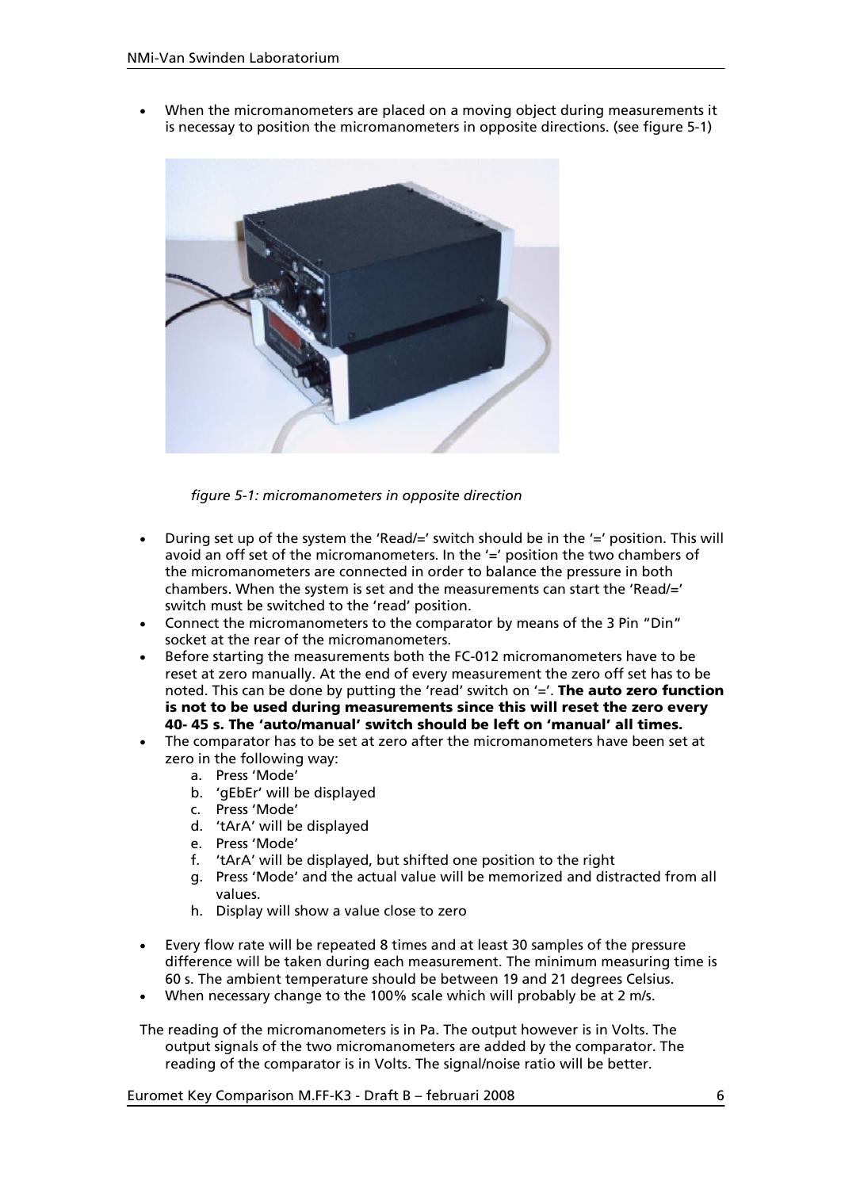When the micromanometers are placed on a moving object during measurements it is necessay to position the micromanometers in opposite directions. (see figure 5-1)



*figure 5-1: micromanometers in opposite direction*

- During set up of the system the 'Read/=' switch should be in the '=' position. This will avoid an off set of the micromanometers. In the '=' position the two chambers of the micromanometers are connected in order to balance the pressure in both chambers. When the system is set and the measurements can start the 'Read/=' switch must be switched to the 'read' position.
- Connect the micromanometers to the comparator by means of the 3 Pin "Din" socket at the rear of the micromanometers.
- Before starting the measurements both the FC-012 micromanometers have to be reset at zero manually. At the end of every measurement the zero off set has to be noted. This can be done by putting the 'read' switch on '='. **The auto zero function is not to be used during measurements since this will reset the zero every 40- 45 s. The 'auto/manual' switch should be left on 'manual' all times.**
- The comparator has to be set at zero after the micromanometers have been set at zero in the following way:
	- a. Press 'Mode'
	- b. 'gEbEr' will be displayed
	- c. Press 'Mode'
	- d. 'tArA' will be displayed
	- e. Press 'Mode'
	- f. 'tArA' will be displayed, but shifted one position to the right
	- g. Press 'Mode' and the actual value will be memorized and distracted from all values.
	- h. Display will show a value close to zero
- Every flow rate will be repeated 8 times and at least 30 samples of the pressure difference will be taken during each measurement. The minimum measuring time is 60 s. The ambient temperature should be between 19 and 21 degrees Celsius.
- When necessary change to the 100% scale which will probably be at 2 m/s.

The reading of the micromanometers is in Pa. The output however is in Volts. The output signals of the two micromanometers are added by the comparator. The reading of the comparator is in Volts. The signal/noise ratio will be better.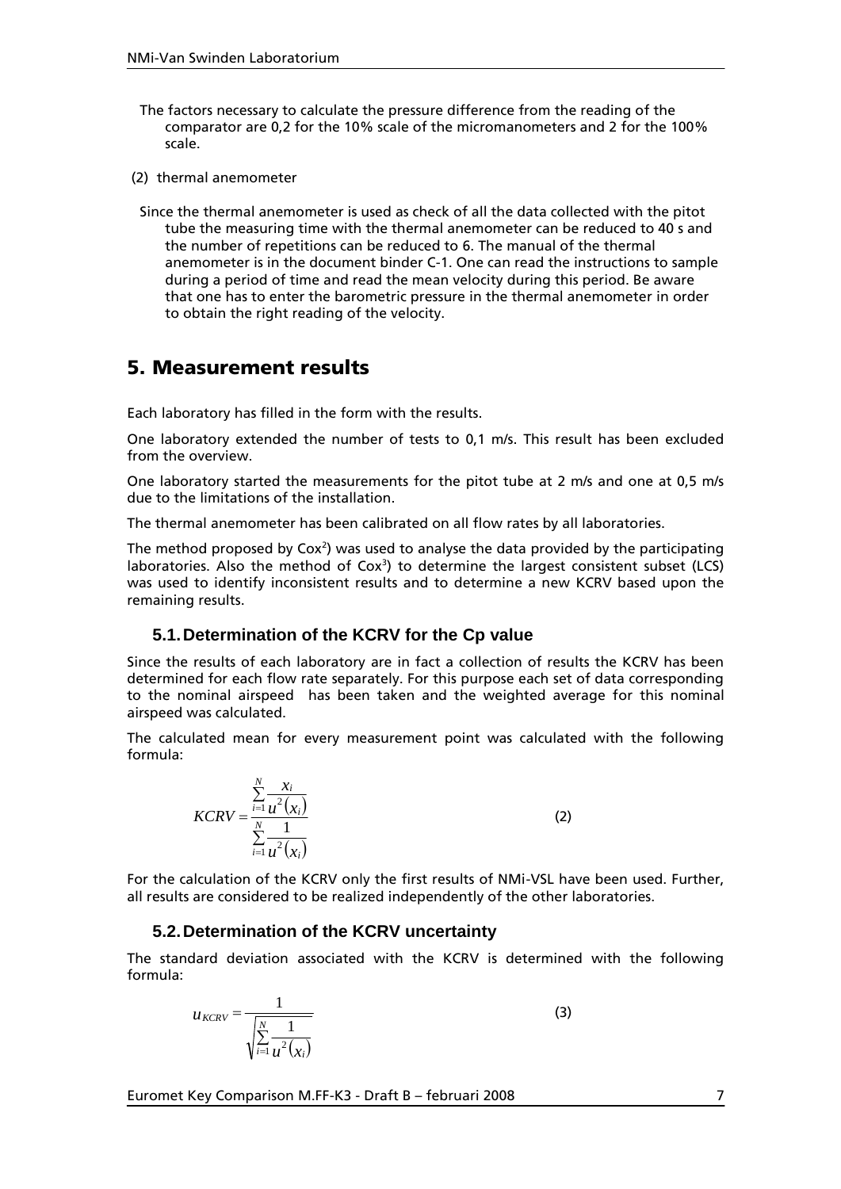- The factors necessary to calculate the pressure difference from the reading of the comparator are 0,2 for the 10% scale of the micromanometers and 2 for the 100% scale.
- (2) thermal anemometer
- Since the thermal anemometer is used as check of all the data collected with the pitot tube the measuring time with the thermal anemometer can be reduced to 40 s and the number of repetitions can be reduced to 6. The manual of the thermal anemometer is in the document binder C-1. One can read the instructions to sample during a period of time and read the mean velocity during this period. Be aware that one has to enter the barometric pressure in the thermal anemometer in order to obtain the right reading of the velocity.

# <span id="page-6-0"></span>**5. Measurement results**

Each laboratory has filled in the form with the results.

One laboratory extended the number of tests to 0,1 m/s. This result has been excluded from the overview.

One laboratory started the measurements for the pitot tube at 2 m/s and one at 0,5 m/s due to the limitations of the installation.

The thermal anemometer has been calibrated on all flow rates by all laboratories.

The method proposed by  $Cox^2$ ) was used to analyse the data provided by the participating laboratories. Also the method of  $Cox<sup>3</sup>$ ) to determine the largest consistent subset (LCS) was used to identify inconsistent results and to determine a new KCRV based upon the remaining results.

### <span id="page-6-1"></span>**5.1.Determination of the KCRV for the Cp value**

Since the results of each laboratory are in fact a collection of results the KCRV has been determined for each flow rate separately. For this purpose each set of data corresponding to the nominal airspeed has been taken and the weighted average for this nominal airspeed was calculated.

The calculated mean for every measurement point was calculated with the following formula:

> $(x_i)$  $\sum_{i=1}^{\infty} \frac{1}{u^2(x_i)}$ Σ  $\overline{a}$  $=\frac{i}{N}$ *i*=1  $\mathcal{U}^{\mathsf{T}}(\mathcal{X}_i)$ *N i*=1  $\mathcal{U}^{\mathsf{T}}(\mathcal{X}_i)$ *i*  $u^2(x)$  $u^2(x)$ *x KCRV*  $\frac{1}{4}u^2$  $\frac{1}{4}u^2$ 1

(2)

For the calculation of the KCRV only the first results of NMi-VSL have been used. Further, all results are considered to be realized independently of the other laboratories.

#### <span id="page-6-2"></span>**5.2.Determination of the KCRV uncertainty**

The standard deviation associated with the KCRV is determined with the following formula:

$$
u_{KCRV} = \frac{1}{\sqrt{\sum_{i=1}^{N} \frac{1}{u^2(\chi_i)}}}
$$

(3)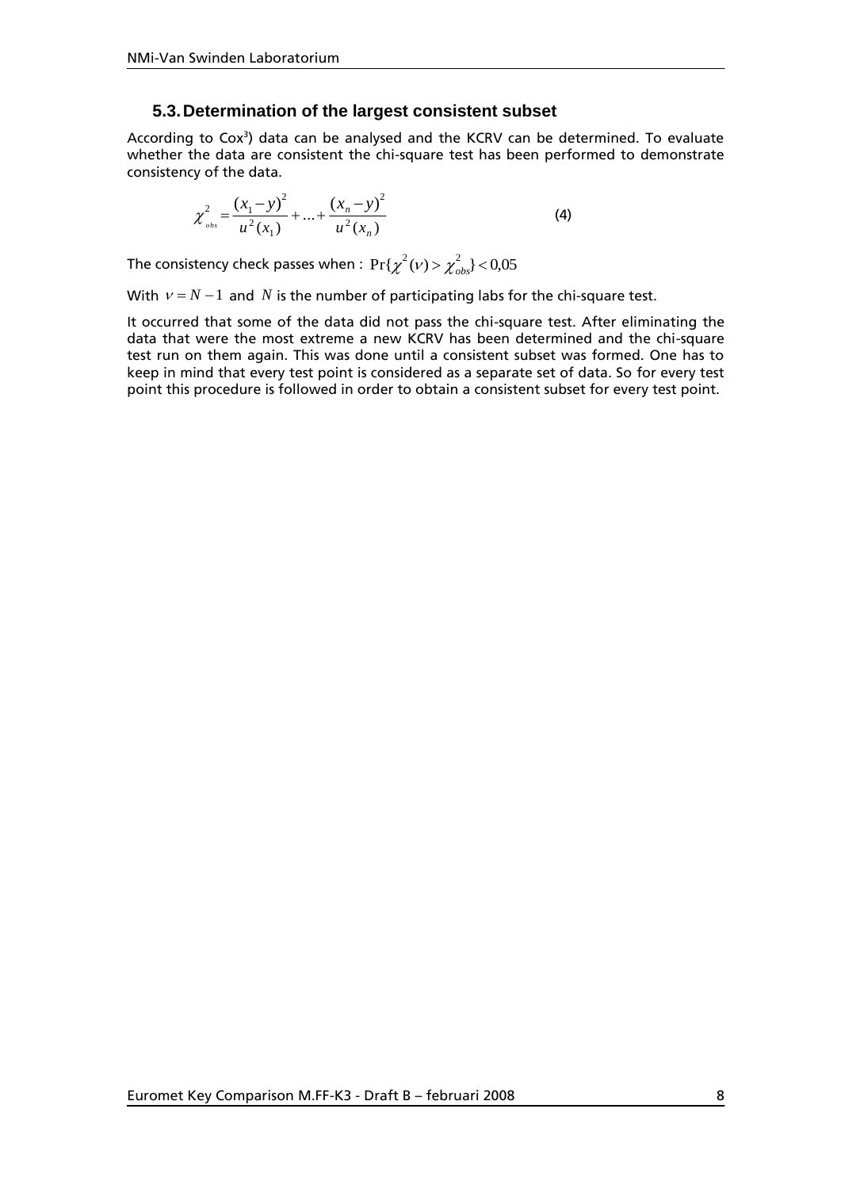#### **5.3.Determination of the largest consistent subset**

<span id="page-7-0"></span>According to Cox<sup>3</sup>) data can be analysed and the KCRV can be determined. To evaluate whether the data are consistent the chi-square test has been performed to demonstrate consistency of the data.

$$
\chi^{2}_{obs} = \frac{(x_1 - y)^2}{u^2(x_1)} + ... + \frac{(x_n - y)^2}{u^2(x_n)}
$$
(4)

The consistency check passes when :  $\Pr\{\chi^2(\nu) \geq \chi^2_{\textit{obs}}\} < 0,05$ 

With  $v = N - 1$  and N is the number of participating labs for the chi-square test.

It occurred that some of the data did not pass the chi-square test. After eliminating the data that were the most extreme a new KCRV has been determined and the chi-square test run on them again. This was done until a consistent subset was formed. One has to keep in mind that every test point is considered as a separate set of data. So for every test point this procedure is followed in order to obtain a consistent subset for every test point.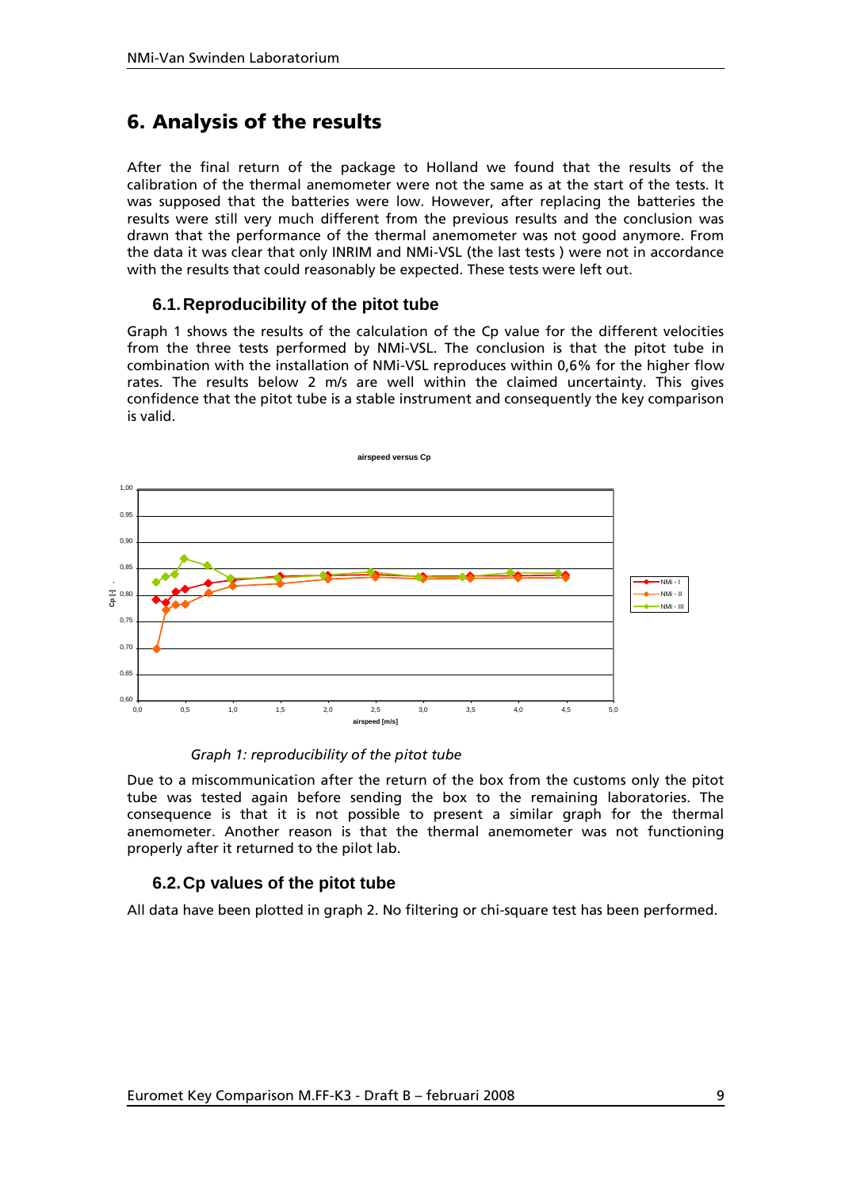# <span id="page-8-0"></span>**6. Analysis of the results**

After the final return of the package to Holland we found that the results of the calibration of the thermal anemometer were not the same as at the start of the tests. It was supposed that the batteries were low. However, after replacing the batteries the results were still very much different from the previous results and the conclusion was drawn that the performance of the thermal anemometer was not good anymore. From the data it was clear that only INRIM and NMi-VSL (the last tests ) were not in accordance with the results that could reasonably be expected. These tests were left out.

#### <span id="page-8-1"></span>**6.1.Reproducibility of the pitot tube**

Graph 1 shows the results of the calculation of the Cp value for the different velocities from the three tests performed by NMi-VSL. The conclusion is that the pitot tube in combination with the installation of NMi-VSL reproduces within 0,6% for the higher flow rates. The results below 2 m/s are well within the claimed uncertainty. This gives confidence that the pitot tube is a stable instrument and consequently the key comparison is valid.



*Graph 1: reproducibility of the pitot tube*

Due to a miscommunication after the return of the box from the customs only the pitot tube was tested again before sending the box to the remaining laboratories. The consequence is that it is not possible to present a similar graph for the thermal anemometer. Another reason is that the thermal anemometer was not functioning properly after it returned to the pilot lab.

### <span id="page-8-2"></span>**6.2.Cp values of the pitot tube**

All data have been plotted in graph 2. No filtering or chi-square test has been performed.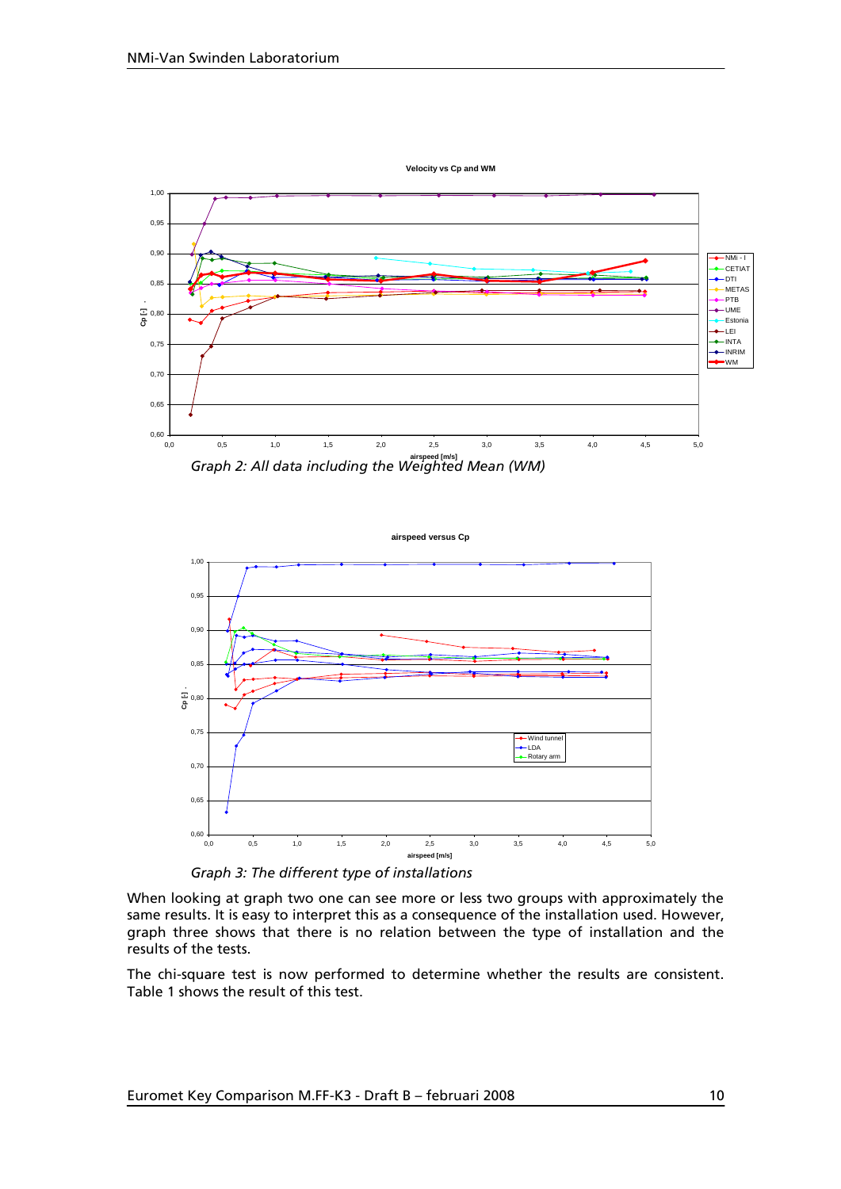



*Graph 3: The different type of installations*

When looking at graph two one can see more or less two groups with approximately the same results. It is easy to interpret this as a consequence of the installation used. However, graph three shows that there is no relation between the type of installation and the results of the tests.

The chi-square test is now performed to determine whether the results are consistent. Table 1 shows the result of this test.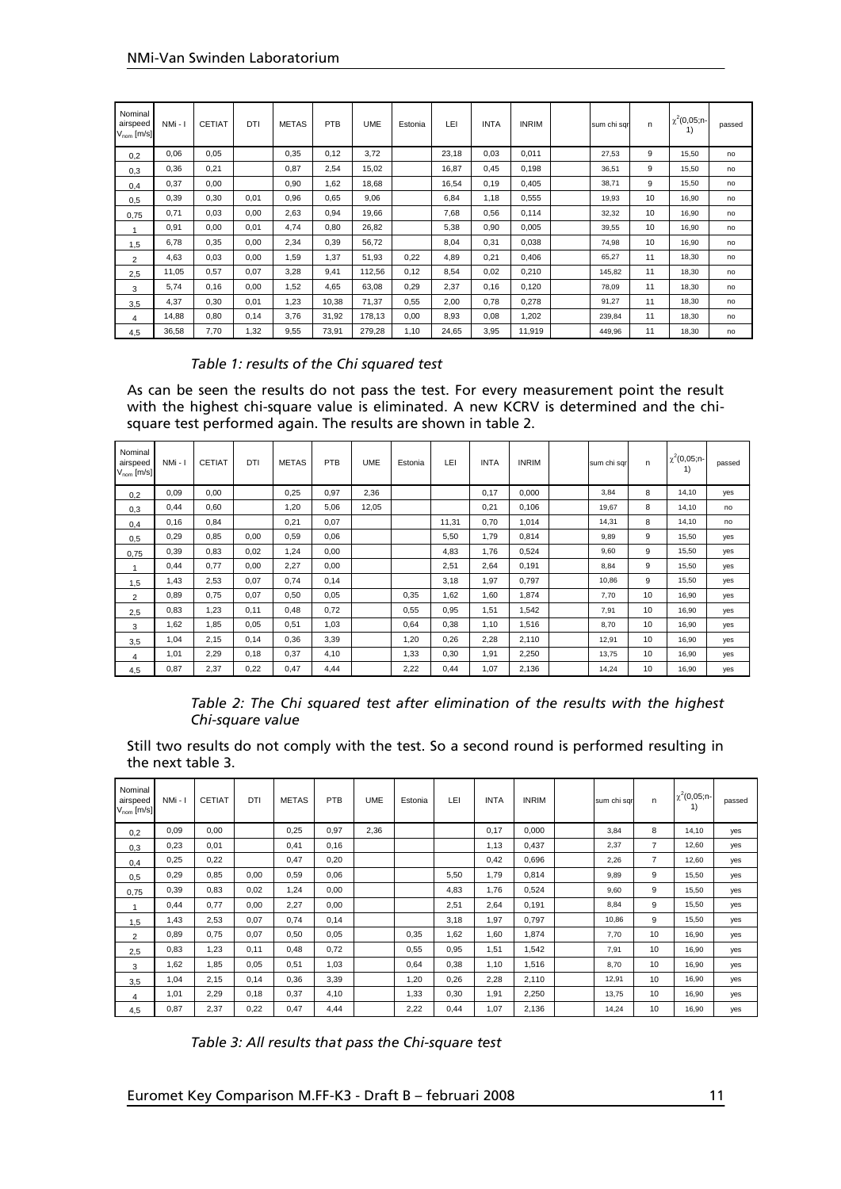| Nominal<br>airspeed<br>$V_{nom}$ [m/s] | NMi - I | CETIAT | DTI  | <b>METAS</b> | PTB   | <b>UME</b> | Estonia | LEI   | <b>INTA</b> | <b>INRIM</b> | sum chi sqr | n  | $\chi^2(0,05; n-$<br>1) | passed |
|----------------------------------------|---------|--------|------|--------------|-------|------------|---------|-------|-------------|--------------|-------------|----|-------------------------|--------|
| 0,2                                    | 0.06    | 0,05   |      | 0,35         | 0,12  | 3,72       |         | 23,18 | 0,03        | 0,011        | 27,53       | 9  | 15,50                   | no     |
| 0,3                                    | 0,36    | 0,21   |      | 0,87         | 2,54  | 15,02      |         | 16,87 | 0,45        | 0,198        | 36,51       | 9  | 15,50                   | no     |
| 0,4                                    | 0,37    | 0,00   |      | 0,90         | 1,62  | 18,68      |         | 16,54 | 0,19        | 0,405        | 38,71       | 9  | 15,50                   | no     |
| 0,5                                    | 0,39    | 0,30   | 0,01 | 0,96         | 0,65  | 9,06       |         | 6,84  | 1,18        | 0,555        | 19,93       | 10 | 16,90                   | no     |
| 0,75                                   | 0,71    | 0,03   | 0,00 | 2,63         | 0,94  | 19,66      |         | 7,68  | 0,56        | 0,114        | 32,32       | 10 | 16,90                   | no     |
|                                        | 0,91    | 0,00   | 0,01 | 4.74         | 0,80  | 26,82      |         | 5,38  | 0,90        | 0,005        | 39,55       | 10 | 16,90                   | no     |
| 1,5                                    | 6.78    | 0,35   | 0,00 | 2,34         | 0,39  | 56,72      |         | 8,04  | 0,31        | 0,038        | 74,98       | 10 | 16,90                   | no     |
| $\overline{2}$                         | 4,63    | 0,03   | 0,00 | 1,59         | 1,37  | 51,93      | 0,22    | 4,89  | 0,21        | 0,406        | 65,27       | 11 | 18,30                   | no     |
| 2,5                                    | 11,05   | 0,57   | 0,07 | 3,28         | 9,41  | 112,56     | 0,12    | 8,54  | 0,02        | 0,210        | 145,82      | 11 | 18,30                   | no     |
| 3                                      | 5.74    | 0.16   | 0,00 | 1,52         | 4,65  | 63,08      | 0,29    | 2,37  | 0,16        | 0,120        | 78,09       | 11 | 18,30                   | no     |
| 3,5                                    | 4,37    | 0,30   | 0,01 | 1,23         | 10,38 | 71,37      | 0.55    | 2,00  | 0,78        | 0,278        | 91,27       | 11 | 18,30                   | no     |
| 4                                      | 14,88   | 0,80   | 0,14 | 3,76         | 31,92 | 178,13     | 0,00    | 8,93  | 0,08        | 1,202        | 239,84      | 11 | 18,30                   | no     |
| 4,5                                    | 36,58   | 7,70   | 1,32 | 9,55         | 73,91 | 279,28     | 1,10    | 24,65 | 3,95        | 11,919       | 449,96      | 11 | 18,30                   | no     |

#### *Table 1: results of the Chi squared test*

As can be seen the results do not pass the test. For every measurement point the result with the highest chi-square value is eliminated. A new KCRV is determined and the chisquare test performed again. The results are shown in table 2.

| Nominal<br>airspeed<br>$V_{nom}$ [m/s] | NMi - I | <b>CETIAT</b> | DTI  | <b>METAS</b> | <b>PTB</b> | <b>UME</b> | Estonia | LEI   | <b>INTA</b> | <b>INRIM</b> | sum chi sqr | n. | $\chi^2(0,05; n-$<br>1) | passed |
|----------------------------------------|---------|---------------|------|--------------|------------|------------|---------|-------|-------------|--------------|-------------|----|-------------------------|--------|
| 0,2                                    | 0,09    | 0,00          |      | 0,25         | 0,97       | 2,36       |         |       | 0,17        | 0,000        | 3,84        | 8  | 14,10                   | yes    |
| 0,3                                    | 0,44    | 0,60          |      | 1,20         | 5,06       | 12,05      |         |       | 0,21        | 0,106        | 19,67       | 8  | 14,10                   | no     |
| 0,4                                    | 0,16    | 0,84          |      | 0,21         | 0,07       |            |         | 11,31 | 0,70        | 1,014        | 14,31       | 8  | 14,10                   | no     |
| 0,5                                    | 0,29    | 0,85          | 0,00 | 0,59         | 0,06       |            |         | 5,50  | 1,79        | 0,814        | 9,89        | 9  | 15,50                   | yes    |
| 0,75                                   | 0,39    | 0,83          | 0,02 | 1,24         | 0,00       |            |         | 4,83  | 1,76        | 0,524        | 9,60        | 9  | 15,50                   | yes    |
| 1                                      | 0,44    | 0,77          | 0,00 | 2,27         | 0,00       |            |         | 2,51  | 2,64        | 0,191        | 8,84        | 9  | 15,50                   | yes    |
| 1,5                                    | 1,43    | 2,53          | 0,07 | 0,74         | 0,14       |            |         | 3,18  | 1,97        | 0,797        | 10,86       | 9  | 15,50                   | yes    |
| $\overline{2}$                         | 0.89    | 0,75          | 0,07 | 0,50         | 0,05       |            | 0,35    | 1,62  | 1,60        | 1,874        | 7,70        | 10 | 16,90                   | yes    |
| 2,5                                    | 0,83    | 1,23          | 0,11 | 0,48         | 0,72       |            | 0,55    | 0,95  | 1,51        | 1,542        | 7,91        | 10 | 16,90                   | yes    |
| 3                                      | 1,62    | 1,85          | 0,05 | 0,51         | 1,03       |            | 0,64    | 0,38  | 1,10        | 1,516        | 8,70        | 10 | 16,90                   | yes    |
| 3,5                                    | 1,04    | 2,15          | 0,14 | 0,36         | 3,39       |            | 1,20    | 0,26  | 2,28        | 2,110        | 12,91       | 10 | 16,90                   | yes    |
| $\overline{4}$                         | 1,01    | 2,29          | 0,18 | 0,37         | 4,10       |            | 1,33    | 0,30  | 1,91        | 2,250        | 13,75       | 10 | 16,90                   | yes    |
| 4,5                                    | 0,87    | 2,37          | 0,22 | 0,47         | 4,44       |            | 2,22    | 0,44  | 1,07        | 2,136        | 14,24       | 10 | 16,90                   | yes    |

*Table 2: The Chi squared test after elimination of the results with the highest Chi-square value*

Still two results do not comply with the test. So a second round is performed resulting in the next table 3.

| Nominal<br>airspeed<br>$V_{\mathsf{nom}}$ [m/s] | NMi-I | CETIAT | DTI  | <b>METAS</b> | PTB  | <b>UME</b> | Estonia | LEI  | <b>INTA</b> | <b>INRIM</b> | sum chi sqr | n               | $\chi^2(0,05; n-)$<br>1) | passed |
|-------------------------------------------------|-------|--------|------|--------------|------|------------|---------|------|-------------|--------------|-------------|-----------------|--------------------------|--------|
| 0,2                                             | 0,09  | 0,00   |      | 0,25         | 0,97 | 2,36       |         |      | 0,17        | 0,000        | 3,84        | 8               | 14,10                    | yes    |
| 0,3                                             | 0.23  | 0,01   |      | 0,41         | 0,16 |            |         |      | 1,13        | 0,437        | 2,37        | $\overline{7}$  | 12,60                    | yes    |
| 0,4                                             | 0,25  | 0,22   |      | 0,47         | 0,20 |            |         |      | 0,42        | 0,696        | 2,26        | $\overline{7}$  | 12,60                    | yes    |
| 0,5                                             | 0,29  | 0,85   | 0,00 | 0,59         | 0,06 |            |         | 5,50 | 1,79        | 0,814        | 9,89        | 9               | 15,50                    | yes    |
| 0,75                                            | 0,39  | 0,83   | 0,02 | 1,24         | 0,00 |            |         | 4,83 | 1,76        | 0,524        | 9,60        | 9               | 15,50                    | yes    |
| и                                               | 0.44  | 0,77   | 0,00 | 2,27         | 0,00 |            |         | 2,51 | 2,64        | 0,191        | 8,84        | 9               | 15,50                    | yes    |
| 1,5                                             | 1,43  | 2,53   | 0,07 | 0.74         | 0,14 |            |         | 3,18 | 1,97        | 0,797        | 10,86       | 9               | 15,50                    | yes    |
| $\overline{2}$                                  | 0,89  | 0,75   | 0,07 | 0,50         | 0,05 |            | 0,35    | 1,62 | 1,60        | 1,874        | 7,70        | 10              | 16,90                    | yes    |
| 2,5                                             | 0,83  | 1,23   | 0,11 | 0.48         | 0,72 |            | 0,55    | 0,95 | 1,51        | 1,542        | 7,91        | 10              | 16,90                    | yes    |
| 3                                               | 1,62  | 1,85   | 0,05 | 0,51         | 1,03 |            | 0.64    | 0,38 | 1,10        | 1,516        | 8,70        | 10              | 16,90                    | yes    |
| 3,5                                             | 1,04  | 2,15   | 0,14 | 0,36         | 3,39 |            | 1,20    | 0,26 | 2,28        | 2,110        | 12,91       | 10              | 16,90                    | yes    |
| $\overline{4}$                                  | 1,01  | 2,29   | 0,18 | 0,37         | 4,10 |            | 1,33    | 0,30 | 1,91        | 2,250        | 13,75       | 10              | 16,90                    | yes    |
| 4,5                                             | 0,87  | 2,37   | 0,22 | 0,47         | 4,44 |            | 2,22    | 0,44 | 1,07        | 2,136        | 14,24       | 10 <sup>1</sup> | 16,90                    | yes    |

*Table 3: All results that pass the Chi-square test*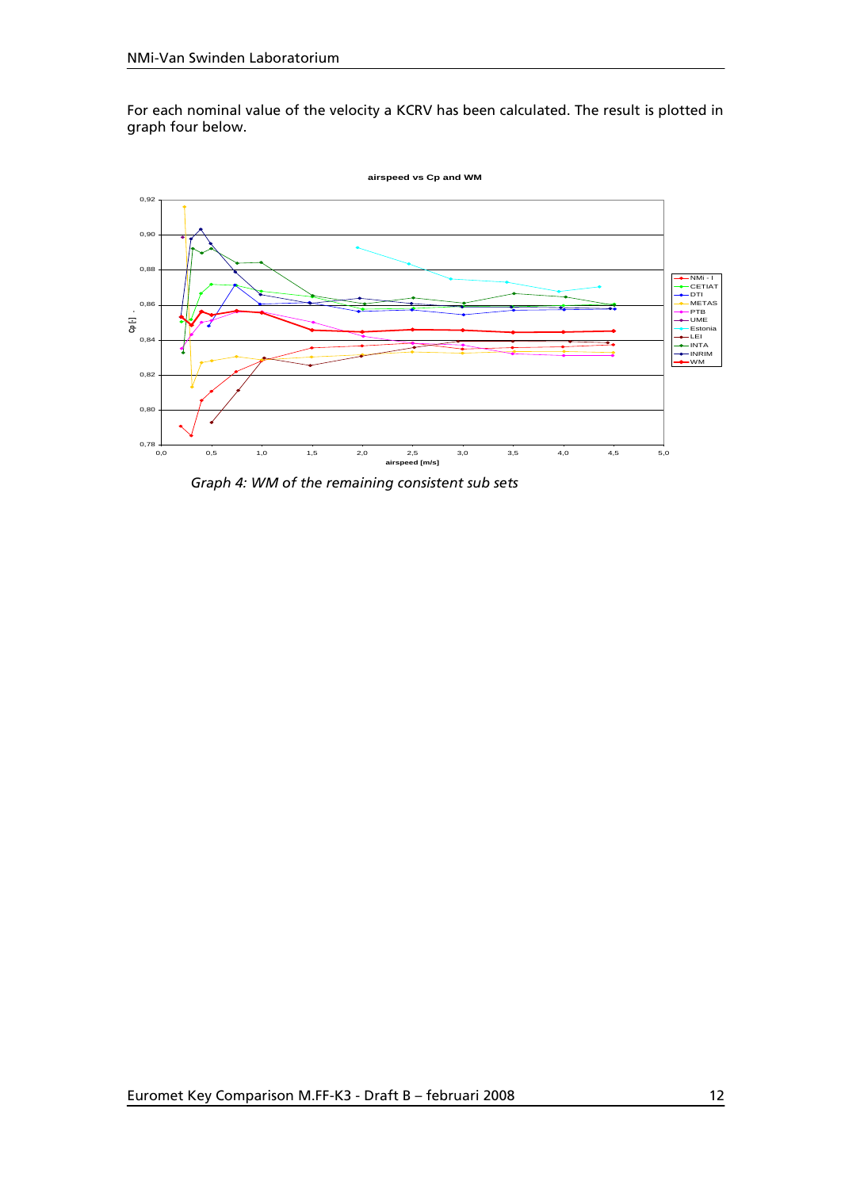For each nominal value of the velocity a KCRV has been calculated. The result is plotted in graph four below.



*Graph 4: WM of the remaining consistent sub sets*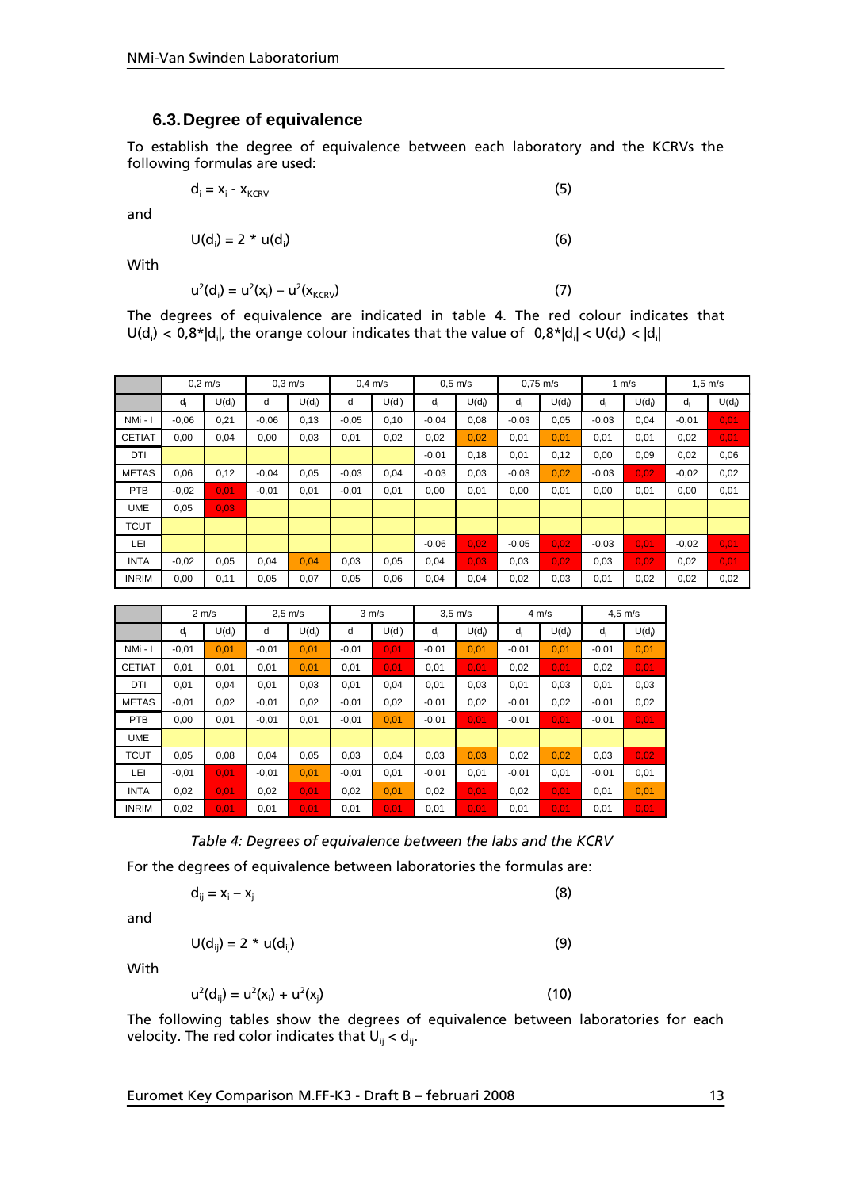#### <span id="page-12-0"></span>**6.3.Degree of equivalence**

To establish the degree of equivalence between each laboratory and the KCRVs the following formulas are used:

 $d_i = x_i - x_{KCRV}$  (5)

and

$$
U(d_i) = 2 * u(d_i)
$$
 (6)

With

$$
u^{2}(d_{i}) = u^{2}(x_{i}) - u^{2}(x_{KCRV})
$$
\n(7)

The degrees of equivalence are indicated in table 4. The red colour indicates that U(d<sub>i</sub>) < 0,8\*|d<sub>i</sub>|, the orange colour indicates that the value of  $|0,8*|d_i| < U(d_i) < |d_i|$ 

|              |         | $0.2 \text{ m/s}$ |         | $0.3$ m/s |         | $0.4$ m/s |         | $0.5$ m/s |         | $0,75 \; \text{m/s}$ |         | 1 m/s    |         | $1,5 \text{ m/s}$ |
|--------------|---------|-------------------|---------|-----------|---------|-----------|---------|-----------|---------|----------------------|---------|----------|---------|-------------------|
|              | $d_i$   | $U(d_i)$          | $d_i$   | $U(d_i)$  | $d_i$   | $U(d_i)$  | $d_i$   | $U(d_i)$  | $d_i$   | $U(d_i)$             | $d_i$   | $U(d_i)$ | $d_i$   | $U(d_i)$          |
| NMi - I      | $-0.06$ | 0,21              | $-0.06$ | 0,13      | $-0.05$ | 0,10      | $-0.04$ | 0,08      | $-0.03$ | 0,05                 | $-0.03$ | 0,04     | $-0.01$ | 0,01              |
| CETIAT       | 0,00    | 0,04              | 0,00    | 0,03      | 0,01    | 0,02      | 0,02    | 0,02      | 0,01    | 0,01                 | 0,01    | 0,01     | 0,02    | 0,01              |
| DTI          |         |                   |         |           |         |           | $-0,01$ | 0,18      | 0,01    | 0,12                 | 0,00    | 0,09     | 0,02    | 0,06              |
| <b>METAS</b> | 0,06    | 0,12              | $-0,04$ | 0,05      | $-0.03$ | 0,04      | $-0,03$ | 0,03      | $-0.03$ | 0,02                 | $-0.03$ | 0,02     | $-0.02$ | 0,02              |
| <b>PTB</b>   | $-0.02$ | 0.01              | $-0,01$ | 0,01      | $-0.01$ | 0,01      | 0,00    | 0,01      | 0,00    | 0,01                 | 0,00    | 0,01     | 0,00    | 0,01              |
| <b>UME</b>   | 0,05    | 0,03              |         |           |         |           |         |           |         |                      |         |          |         |                   |
| <b>TCUT</b>  |         |                   |         |           |         |           |         |           |         |                      |         |          |         |                   |
| LEI          |         |                   |         |           |         |           | $-0.06$ | 0,02      | $-0.05$ | 0,02                 | $-0.03$ | 0,01     | $-0.02$ | 0,01              |
| <b>INTA</b>  | $-0,02$ | 0,05              | 0.04    | 0.04      | 0,03    | 0.05      | 0,04    | 0,03      | 0,03    | 0.02                 | 0,03    | 0,02     | 0,02    | 0,01              |
| <b>INRIM</b> | 0,00    | 0,11              | 0,05    | 0,07      | 0,05    | 0,06      | 0,04    | 0,04      | 0,02    | 0,03                 | 0,01    | 0,02     | 0,02    | 0,02              |

|               |         | $2 \, \text{m/s}$ |         | $2.5 \text{ m/s}$ |         | $3 \text{ m/s}$ |         | $3.5 \text{ m/s}$ |         | $4 \text{ m/s}$ |         | $4.5$ m/s |
|---------------|---------|-------------------|---------|-------------------|---------|-----------------|---------|-------------------|---------|-----------------|---------|-----------|
|               | $d_i$   | $U(d_i)$          | $d_i$   | $U(d_i)$          | $d_i$   | $U(d_i)$        | $d_i$   | $U(d_i)$          | $d_i$   | $U(d_i)$        | $d_i$   | $U(d_i)$  |
| NMi - I       | $-0,01$ | 0,01              | $-0,01$ | 0,01              | $-0,01$ | 0,01            | $-0.01$ | 0,01              | $-0.01$ | 0,01            | $-0.01$ | 0,01      |
| <b>CETIAT</b> | 0,01    | 0,01              | 0,01    | 0,01              | 0,01    | 0.01            | 0,01    | 0,01              | 0,02    | 0.01            | 0,02    | 0,01      |
| DTI           | 0,01    | 0,04              | 0,01    | 0,03              | 0,01    | 0,04            | 0,01    | 0,03              | 0,01    | 0,03            | 0,01    | 0,03      |
| <b>METAS</b>  | $-0,01$ | 0,02              | $-0,01$ | 0,02              | $-0,01$ | 0,02            | $-0.01$ | 0,02              | $-0,01$ | 0,02            | $-0.01$ | 0,02      |
| PTB           | 0,00    | 0,01              | $-0,01$ | 0,01              | $-0,01$ | 0,01            | $-0.01$ | 0,01              | $-0,01$ | 0,01            | $-0.01$ | 0,01      |
| <b>UME</b>    |         |                   |         |                   |         |                 |         |                   |         |                 |         |           |
| <b>TCUT</b>   | 0,05    | 0,08              | 0,04    | 0,05              | 0,03    | 0,04            | 0,03    | 0,03              | 0,02    | 0,02            | 0,03    | 0.02      |
| LEI           | $-0,01$ | 0,01              | $-0,01$ | 0,01              | $-0,01$ | 0,01            | $-0,01$ | 0,01              | $-0,01$ | 0,01            | $-0.01$ | 0,01      |
| <b>INTA</b>   | 0,02    | 0,01              | 0,02    | 0,01              | 0,02    | 0,01            | 0,02    | 0,01              | 0,02    | 0,01            | 0,01    | 0,01      |
| <b>INRIM</b>  | 0,02    | 0.01              | 0,01    | 0,01              | 0,01    | 0.01            | 0,01    | 0,01              | 0,01    | 0,01            | 0,01    | 0.01      |

*Table 4: Degrees of equivalence between the labs and the KCRV* For the degrees of equivalence between laboratories the formulas are:

$$
d_{ij} = x_i - x_j \tag{8}
$$

and

$$
U(d_{ij}) = 2 * u(d_{ij})
$$
 (9)

With

$$
u^{2}(d_{ij}) = u^{2}(x_{i}) + u^{2}(x_{j})
$$
 (10)

The following tables show the degrees of equivalence between laboratories for each velocity. The red color indicates that  $U_{ij} < d_{ij}$ .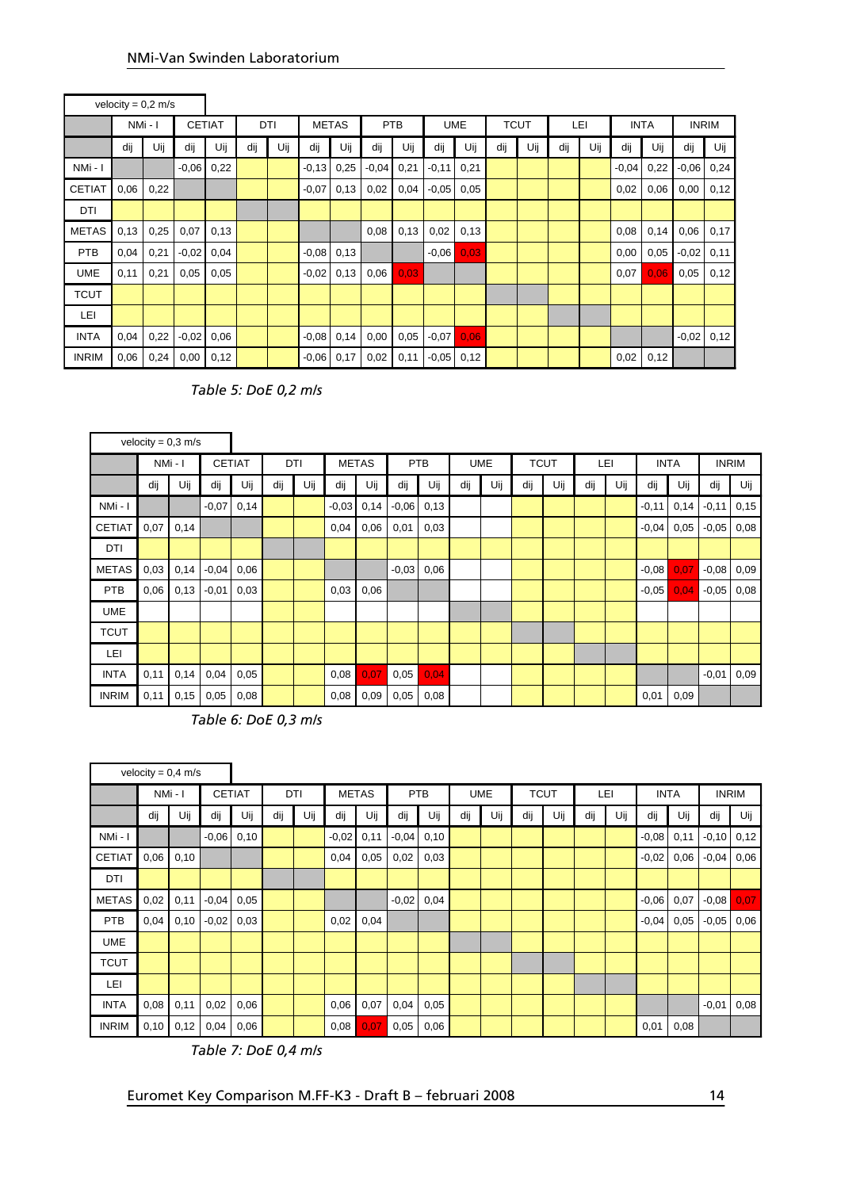|               | velocity = $0,2$ m/s<br>NMi-I |      |         |               |     |     |         |              |         |      |         |            |     |             |     |     |         |             |         |              |
|---------------|-------------------------------|------|---------|---------------|-----|-----|---------|--------------|---------|------|---------|------------|-----|-------------|-----|-----|---------|-------------|---------|--------------|
|               |                               |      |         | <b>CETIAT</b> |     | DTI |         | <b>METAS</b> |         | PTB  |         | <b>UME</b> |     | <b>TCUT</b> |     | LEI |         | <b>INTA</b> |         | <b>INRIM</b> |
|               | dij                           | Uij  | dij     | Uij           | dij | Uij | dij     | Uij          | dij     | Uij  | dij     | Uij        | dij | Uij         | dij | Uij | dij     | Uij         | dij     | Uij          |
| NMi - I       |                               |      | $-0.06$ | 0,22          |     |     | $-0,13$ | 0,25         | $-0.04$ | 0,21 | $-0,11$ | 0,21       |     |             |     |     | $-0.04$ | 0,22        | $-0,06$ | 0,24         |
| <b>CETIAT</b> | 0,06                          | 0,22 |         |               |     |     | $-0.07$ | 0,13         | 0,02    | 0,04 | $-0.05$ | 0,05       |     |             |     |     | 0,02    | 0,06        | 0,00    | 0,12         |
| DTI           |                               |      |         |               |     |     |         |              |         |      |         |            |     |             |     |     |         |             |         |              |
| <b>METAS</b>  | 0,13                          | 0,25 | 0,07    | 0,13          |     |     |         |              | 0,08    | 0,13 | 0,02    | 0,13       |     |             |     |     | 0,08    | 0,14        | 0,06    | 0,17         |
| <b>PTB</b>    | 0,04                          | 0,21 | $-0.02$ | 0,04          |     |     | $-0.08$ | 0,13         |         |      | $-0.06$ | 0,03       |     |             |     |     | 0,00    | 0,05        | $-0.02$ | 0,11         |
| <b>UME</b>    | 0,11                          | 0,21 | 0,05    | 0,05          |     |     | $-0,02$ | 0,13         | 0,06    | 0.03 |         |            |     |             |     |     | 0,07    | 0,06        | 0,05    | 0,12         |
| <b>TCUT</b>   |                               |      |         |               |     |     |         |              |         |      |         |            |     |             |     |     |         |             |         |              |
| LEI           |                               |      |         |               |     |     |         |              |         |      |         |            |     |             |     |     |         |             |         |              |
| <b>INTA</b>   | 0,04                          | 0,22 | $-0,02$ | 0,06          |     |     | $-0.08$ | 0,14         | 0,00    | 0,05 | $-0.07$ | 0.06       |     |             |     |     |         |             | $-0.02$ | 0,12         |
| <b>INRIM</b>  | 0,06                          | 0,24 | 0,00    | 0,12          |     |     | $-0.06$ | 0,17         | 0,02    | 0,11 | $-0.05$ | 0,12       |     |             |     |     | 0,02    | 0,12        |         |              |

### *Table 5: DoE 0,2 m/s*

|               | velocity = $0.3$ m/s |         |         |               |     |     |         |              |         |      |     |            |     |             |     |     |         |             |         |              |
|---------------|----------------------|---------|---------|---------------|-----|-----|---------|--------------|---------|------|-----|------------|-----|-------------|-----|-----|---------|-------------|---------|--------------|
|               |                      | NMi - I |         | <b>CETIAT</b> |     | DTI |         | <b>METAS</b> |         | PTB  |     | <b>UME</b> |     | <b>TCUT</b> |     | LEI |         | <b>INTA</b> |         | <b>INRIM</b> |
|               | dij                  | Uij     | dij     | Uij           | dij | Uij | dij     | Uij          | dij     | Uij  | dij | Uij        | dij | Uij         | dij | Uij | dij     | Uij         | dij     | Uij          |
| NMi-I         |                      |         | $-0.07$ | 0,14          |     |     | $-0.03$ | 0,14         | $-0.06$ | 0,13 |     |            |     |             |     |     | $-0,11$ | 0,14        | $-0,11$ | 0,15         |
| <b>CETIAT</b> | 0,07                 | 0,14    |         |               |     |     | 0,04    | 0,06         | 0,01    | 0,03 |     |            |     |             |     |     | $-0,04$ | 0,05        | $-0,05$ | 0,08         |
| DTI           |                      |         |         |               |     |     |         |              |         |      |     |            |     |             |     |     |         |             |         |              |
| <b>METAS</b>  | 0,03                 | 0,14    | $-0.04$ | 0.06          |     |     |         |              | $-0.03$ | 0,06 |     |            |     |             |     |     | $-0.08$ | 0,07        | $-0.08$ | 0,09         |
| <b>PTB</b>    | 0,06                 | 0,13    | $-0.01$ | 0,03          |     |     | 0,03    | 0,06         |         |      |     |            |     |             |     |     | $-0.05$ | 0,04        | $-0.05$ | 0,08         |
| <b>UME</b>    |                      |         |         |               |     |     |         |              |         |      |     |            |     |             |     |     |         |             |         |              |
| <b>TCUT</b>   |                      |         |         |               |     |     |         |              |         |      |     |            |     |             |     |     |         |             |         |              |
| LEI           |                      |         |         |               |     |     |         |              |         |      |     |            |     |             |     |     |         |             |         |              |
| <b>INTA</b>   | 0,11                 | 0,14    | 0,04    | 0,05          |     |     | 0,08    | 0,07         | 0,05    | 0,04 |     |            |     |             |     |     |         |             | $-0.01$ | 0,09         |
| <b>INRIM</b>  | 0,11                 | 0,15    | 0,05    | 0,08          |     |     | 0,08    | 0,09         | 0,05    | 0,08 |     |            |     |             |     |     | 0,01    | 0,09        |         |              |

*Table 6: DoE 0,3 m/s*

|               | velocity = $0.4$ m/s |      |         |               |     |     |         |              |         |      |     |            |     |             |     |     |         |             |         |              |
|---------------|----------------------|------|---------|---------------|-----|-----|---------|--------------|---------|------|-----|------------|-----|-------------|-----|-----|---------|-------------|---------|--------------|
|               | NMi - I              |      |         | <b>CETIAT</b> |     | DTI |         | <b>METAS</b> |         | PTB  |     | <b>UME</b> |     | <b>TCUT</b> |     | LEI |         | <b>INTA</b> |         | <b>INRIM</b> |
|               | dij                  | Uij  | dij     | Uij           | dij | Uij | dij     | Uij          | dij     | Uij  | dij | Uij        | dij | Uij         | dij | Uij | dij     | Uij         | dij     | Uij          |
| NMi - I       |                      |      | $-0.06$ | 0,10          |     |     | $-0.02$ | 0,11         | $-0.04$ | 0,10 |     |            |     |             |     |     | $-0.08$ | 0,11        | $-0,10$ | 0,12         |
| <b>CETIAT</b> | 0,06                 | 0,10 |         |               |     |     | 0,04    | 0,05         | 0,02    | 0,03 |     |            |     |             |     |     | $-0.02$ | 0,06        | $-0.04$ | 0,06         |
| DTI           |                      |      |         |               |     |     |         |              |         |      |     |            |     |             |     |     |         |             |         |              |
| <b>METAS</b>  | 0,02                 | 0,11 | $-0.04$ | 0,05          |     |     |         |              | $-0,02$ | 0,04 |     |            |     |             |     |     | $-0.06$ | 0,07        | $-0,08$ | 0,07         |
| <b>PTB</b>    | 0,04                 | 0,10 | $-0.02$ | 0,03          |     |     | 0,02    | 0,04         |         |      |     |            |     |             |     |     | $-0.04$ | 0,05        | $-0.05$ | 0,06         |
| UME           |                      |      |         |               |     |     |         |              |         |      |     |            |     |             |     |     |         |             |         |              |
| <b>TCUT</b>   |                      |      |         |               |     |     |         |              |         |      |     |            |     |             |     |     |         |             |         |              |
| LEI           |                      |      |         |               |     |     |         |              |         |      |     |            |     |             |     |     |         |             |         |              |
| <b>INTA</b>   | 0,08                 | 0,11 | 0,02    | 0,06          |     |     | 0,06    | 0,07         | 0,04    | 0,05 |     |            |     |             |     |     |         |             | $-0.01$ | 0,08         |
| <b>INRIM</b>  | 0,10                 | 0,12 | 0,04    | 0,06          |     |     | 0,08    | 0.07         | 0,05    | 0,06 |     |            |     |             |     |     | 0,01    | 0,08        |         |              |

*Table 7: DoE 0,4 m/s*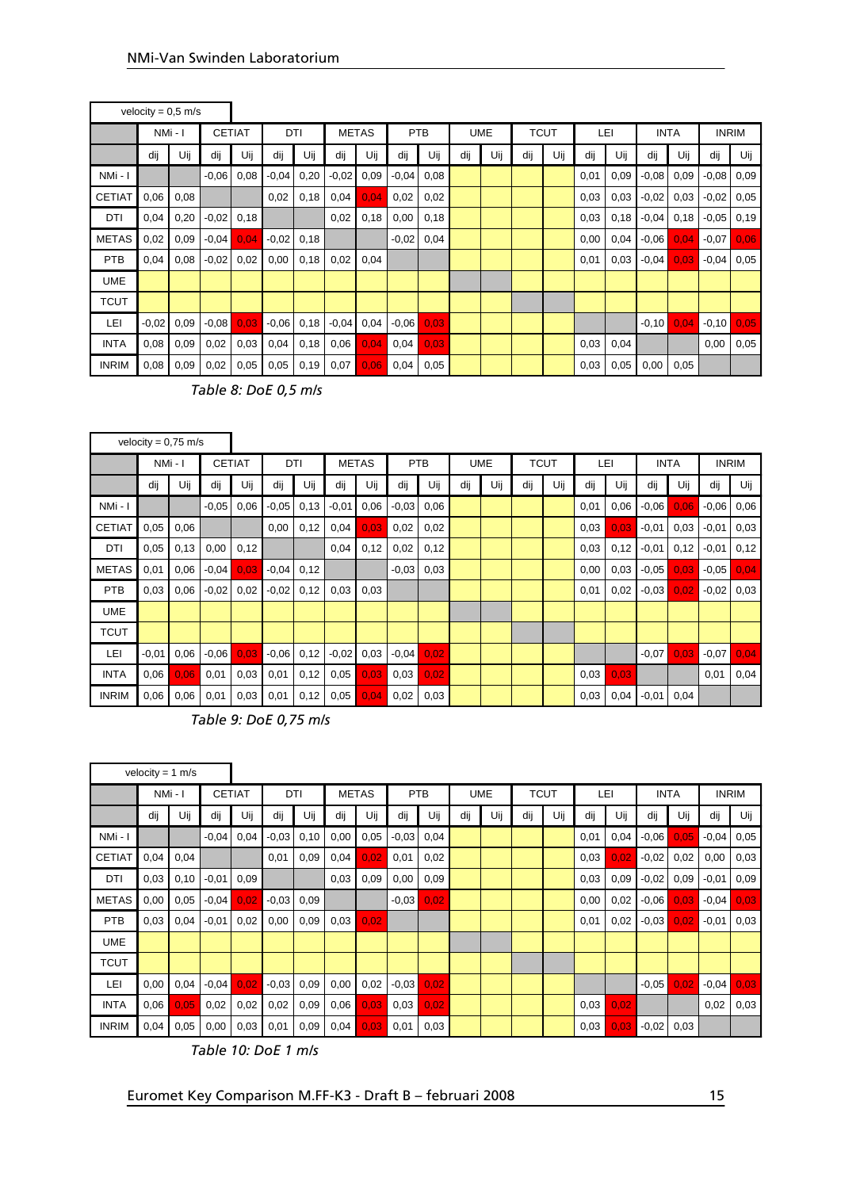í.

|              | velocity = $0.5$ m/s |       |         |               |         |      |         |              |         |            |     |            |     |             |      |      |         |             |         |              |
|--------------|----------------------|-------|---------|---------------|---------|------|---------|--------------|---------|------------|-----|------------|-----|-------------|------|------|---------|-------------|---------|--------------|
|              |                      | NMi-I |         | <b>CETIAT</b> |         | DTI  |         | <b>METAS</b> |         | <b>PTB</b> |     | <b>UME</b> |     | <b>TCUT</b> |      | LEI  |         | <b>INTA</b> |         | <b>INRIM</b> |
|              | dij                  | Uij   | dij     | Uij           | dij     | Uij  | dij     | Uij          | dij     | Uij        | dij | Uij        | dij | Uij         | dij  | Uij  | dij     | Uij         | dij     | Uij          |
| NMi - I      |                      |       | $-0.06$ | 0.08          | $-0.04$ | 0,20 | $-0,02$ | 0,09         | $-0.04$ | 0,08       |     |            |     |             | 0,01 | 0.09 | $-0.08$ | 0.09        | $-0.08$ | 0,09         |
| CETIAT       | 0,06                 | 0,08  |         |               | 0,02    | 0,18 | 0,04    | 0.04         | 0,02    | 0,02       |     |            |     |             | 0,03 | 0.03 | $-0.02$ | 0,03        | $-0.02$ | 0,05         |
| DTI          | 0,04                 | 0,20  | $-0.02$ | 0,18          |         |      | 0,02    | 0,18         | 0,00    | 0,18       |     |            |     |             | 0,03 | 0,18 | $-0.04$ | 0,18        | $-0.05$ | 0,19         |
| <b>METAS</b> | 0,02                 | 0,09  | $-0.04$ | 0.04          | $-0.02$ | 0,18 |         |              | $-0.02$ | 0,04       |     |            |     |             | 0,00 | 0,04 | $-0.06$ | 0,04        | $-0.07$ | 0.06         |
| <b>PTB</b>   | 0,04                 | 0,08  | $-0.02$ | 0,02          | 0,00    | 0,18 | 0,02    | 0,04         |         |            |     |            |     |             | 0,01 | 0,03 | $-0.04$ | 0,03        | $-0.04$ | 0,05         |
| <b>UME</b>   |                      |       |         |               |         |      |         |              |         |            |     |            |     |             |      |      |         |             |         |              |
| <b>TCUT</b>  |                      |       |         |               |         |      |         |              |         |            |     |            |     |             |      |      |         |             |         |              |
| LEI          | $-0.02$              | 0,09  | $-0.08$ | 0,03          | $-0.06$ | 0,18 | $-0.04$ | 0,04         | $-0.06$ | 0,03       |     |            |     |             |      |      | $-0,10$ | 0,04        | $-0,10$ | 0,05         |
| <b>INTA</b>  | 0,08                 | 0,09  | 0,02    | 0,03          | 0,04    | 0,18 | 0,06    | 0.04         | 0,04    | 0,03       |     |            |     |             | 0,03 | 0,04 |         |             | 0,00    | 0,05         |
| <b>INRIM</b> | 0,08                 | 0,09  | 0,02    | 0,05          | 0,05    | 0,19 | 0,07    | 0.06         | 0,04    | 0,05       |     |            |     |             | 0,03 | 0,05 | 0,00    | 0,05        |         |              |

*Table 8: DoE 0,5 m/s*

|               | velocity = $0,75$ m/s |         |         |               |         |            |         |              |         |      |     |            |     |             |      |      |         |             |         |              |
|---------------|-----------------------|---------|---------|---------------|---------|------------|---------|--------------|---------|------|-----|------------|-----|-------------|------|------|---------|-------------|---------|--------------|
|               |                       | NMi - I |         | <b>CETIAT</b> |         | <b>DTI</b> |         | <b>METAS</b> |         | PTB  |     | <b>UME</b> |     | <b>TCUT</b> |      | LEI  |         | <b>INTA</b> |         | <b>INRIM</b> |
|               | dij                   | Uij     | dij     | Uij           | dij     | Uij        | dij     | Uij          | dij     | Uij  | dij | Uij        | dij | Uij         | dij  | Uij  | dii     | Uij         | dij     | Uij          |
| NMi - I       |                       |         | $-0.05$ | 0,06          | $-0.05$ | 0,13       | $-0.01$ | 0,06         | $-0.03$ | 0,06 |     |            |     |             | 0,01 | 0,06 | $-0.06$ | 0,06        | $-0.06$ | 0,06         |
| <b>CETIAT</b> | 0,05                  | 0,06    |         |               | 0,00    | 0,12       | 0,04    | 0,03         | 0,02    | 0,02 |     |            |     |             | 0.03 | 0.03 | $-0.01$ | 0,03        | $-0.01$ | 0,03         |
| DTI           | 0,05                  | 0,13    | 0,00    | 0,12          |         |            | 0,04    | 0,12         | 0,02    | 0,12 |     |            |     |             | 0,03 | 0,12 | $-0.01$ | 0,12        | $-0.01$ | 0,12         |
| <b>METAS</b>  | 0,01                  | 0,06    | $-0.04$ | 0,03          | $-0.04$ | 0,12       |         |              | $-0.03$ | 0,03 |     |            |     |             | 0,00 | 0,03 | $-0.05$ | 0.03        | $-0.05$ | 0.04         |
| PTB           | 0,03                  | 0,06    | $-0.02$ | 0,02          | $-0.02$ | 0,12       | 0,03    | 0,03         |         |      |     |            |     |             | 0,01 | 0,02 | $-0.03$ | 0.02        | $-0.02$ | 0,03         |
| <b>UME</b>    |                       |         |         |               |         |            |         |              |         |      |     |            |     |             |      |      |         |             |         |              |
| <b>TCUT</b>   |                       |         |         |               |         |            |         |              |         |      |     |            |     |             |      |      |         |             |         |              |
| LEI           | $-0.01$               | 0,06    | $-0.06$ | 0.03          | $-0.06$ | 0,12       | $-0.02$ | 0,03         | $-0.04$ | 0,02 |     |            |     |             |      |      | $-0.07$ | 0,03        | $-0.07$ | 0.04         |
| <b>INTA</b>   | 0,06                  | 0.06    | 0,01    | 0.03          | 0,01    | 0,12       | 0,05    | 0,03         | 0,03    | 0,02 |     |            |     |             | 0,03 | 0,03 |         |             | 0,01    | 0,04         |
| <b>INRIM</b>  | 0.06                  | 0,06    | 0,01    | 0,03          | 0,01    | 0,12       | 0,05    | 0.04         | 0,02    | 0,03 |     |            |     |             | 0,03 | 0,04 | $-0.01$ | 0,04        |         |              |

*Table 9: DoE 0,75 m/s*

|               | velocity = $1 \text{ m/s}$ |      |         |               |         |      |      |              |         |            |     |            |             |     |      |      |         |             |         |              |
|---------------|----------------------------|------|---------|---------------|---------|------|------|--------------|---------|------------|-----|------------|-------------|-----|------|------|---------|-------------|---------|--------------|
|               | NMi - I                    |      |         | <b>CETIAT</b> | DTI     |      |      | <b>METAS</b> |         | <b>PTB</b> |     | <b>UME</b> | <b>TCUT</b> |     |      | LEI  |         | <b>INTA</b> |         | <b>INRIM</b> |
|               | dij                        | Uij  | dij     | Uij           | dij     | Uij  | dij  | Uij          | dij     | Uij        | dij | Uij        | dij         | Uij | dij  | Uij  | dij     | Uij         | dij     | Uij          |
| NMi - I       |                            |      | $-0.04$ | 0,04          | $-0.03$ | 0,10 | 0,00 | 0,05         | $-0.03$ | 0,04       |     |            |             |     | 0,01 | 0,04 | $-0.06$ | 0.05        | $-0.04$ | 0,05         |
| <b>CETIAT</b> | 0,04                       | 0,04 |         |               | 0,01    | 0,09 | 0,04 | 0,02         | 0,01    | 0,02       |     |            |             |     | 0,03 | 0,02 | $-0.02$ | 0,02        | 0,00    | 0,03         |
| DTI           | 0,03                       | 0,10 | $-0.01$ | 0.09          |         |      | 0,03 | 0,09         | 0,00    | 0,09       |     |            |             |     | 0.03 | 0,09 | $-0,02$ | 0,09        | $-0.01$ | 0,09         |
| <b>METAS</b>  | 0,00                       | 0,05 | $-0.04$ | 0.02          | $-0.03$ | 0.09 |      |              | $-0.03$ | 0.02       |     |            |             |     | 0,00 | 0,02 | $-0.06$ | 0,03        | $-0.04$ | 0.03         |
| PTB           | 0,03                       | 0,04 | $-0.01$ | 0,02          | 0,00    | 0,09 | 0,03 | 0,02         |         |            |     |            |             |     | 0,01 | 0,02 | $-0.03$ | 0.02        | $-0,01$ | 0,03         |
| <b>UME</b>    |                            |      |         |               |         |      |      |              |         |            |     |            |             |     |      |      |         |             |         |              |
| TCUT          |                            |      |         |               |         |      |      |              |         |            |     |            |             |     |      |      |         |             |         |              |
| LEI           | 0,00                       | 0,04 | $-0,04$ | 0,02          | $-0,03$ | 0,09 | 0,00 | 0,02         | $-0.03$ | 0,02       |     |            |             |     |      |      | $-0.05$ | 0.02        | $-0.04$ | 0,03         |
| <b>INTA</b>   | 0.06                       | 0,05 | 0,02    | 0,02          | 0,02    | 0,09 | 0,06 | 0,03         | 0,03    | 0,02       |     |            |             |     | 0,03 | 0.02 |         |             | 0,02    | 0,03         |
| <b>INRIM</b>  | 0,04                       | 0,05 | 0,00    | 0,03          | 0,01    | 0,09 | 0,04 | 0,03         | 0,01    | 0,03       |     |            |             |     | 0,03 | 0.03 | $-0.02$ | 0,03        |         |              |

*Table 10: DoE 1 m/s*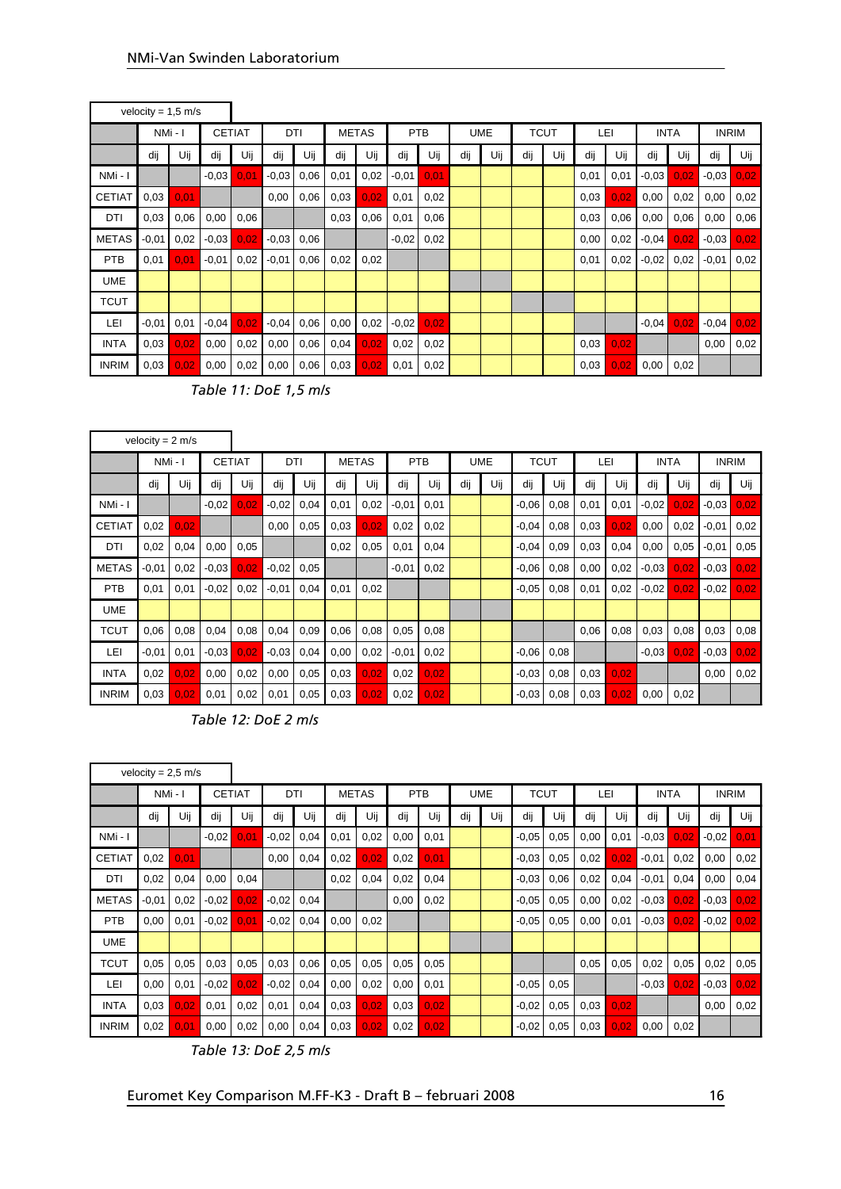|               | velocity = $1,5$ m/s |      |         |               |         |      |      |              |         |      |     |            |             |     |      |      |         |             |         |              |
|---------------|----------------------|------|---------|---------------|---------|------|------|--------------|---------|------|-----|------------|-------------|-----|------|------|---------|-------------|---------|--------------|
|               | NMi - I              |      |         | <b>CETIAT</b> |         | DTI  |      | <b>METAS</b> |         | PTB  |     | <b>UME</b> | <b>TCUT</b> |     |      | LEI  |         | <b>INTA</b> |         | <b>INRIM</b> |
|               | dij                  | Uij  | dij     | Uij           | dij     | Uij  | dij  | Uij          | dij     | Uij  | dij | Uij        | dij         | Uij | dij  | Uij  | dij     | Uij         | dij     | Uij          |
| NMi - I       |                      |      | $-0.03$ | 0.01          | $-0.03$ | 0,06 | 0,01 | 0,02         | $-0.01$ | 0.01 |     |            |             |     | 0,01 | 0,01 | $-0.03$ | 0.02        | $-0.03$ | 0,02         |
| <b>CETIAT</b> | 0,03                 | 0,01 |         |               | 0,00    | 0,06 | 0,03 | 0,02         | 0,01    | 0,02 |     |            |             |     | 0.03 | 0,02 | 0,00    | 0,02        | 0,00    | 0,02         |
| DTI           | 0,03                 | 0,06 | 0,00    | 0,06          |         |      | 0,03 | 0,06         | 0,01    | 0,06 |     |            |             |     | 0,03 | 0.06 | 0,00    | 0,06        | 0,00    | 0,06         |
| <b>METAS</b>  | $-0,01$              | 0,02 | $-0,03$ | 0,02          | $-0.03$ | 0,06 |      |              | $-0.02$ | 0,02 |     |            |             |     | 0,00 | 0,02 | $-0.04$ | 0,02        | $-0.03$ | 0,02         |
| <b>PTB</b>    | 0,01                 | 0,01 | $-0,01$ | 0,02          | $-0.01$ | 0,06 | 0,02 | 0,02         |         |      |     |            |             |     | 0,01 | 0,02 | $-0,02$ | 0,02        | $-0,01$ | 0,02         |
| <b>UME</b>    |                      |      |         |               |         |      |      |              |         |      |     |            |             |     |      |      |         |             |         |              |
| TCUT          |                      |      |         |               |         |      |      |              |         |      |     |            |             |     |      |      |         |             |         |              |
| LEI           | $-0.01$              | 0,01 | $-0.04$ | 0,02          | $-0.04$ | 0,06 | 0,00 | 0,02         | $-0.02$ | 0,02 |     |            |             |     |      |      | $-0.04$ | 0.02        | $-0.04$ | 0,02         |
| <b>INTA</b>   | 0,03                 | 0,02 | 0,00    | 0,02          | 0,00    | 0,06 | 0,04 | 0,02         | 0,02    | 0,02 |     |            |             |     | 0,03 | 0.02 |         |             | 0,00    | 0,02         |
| <b>INRIM</b>  | 0,03                 | 0,02 | 0,00    | 0,02          | 0,00    | 0,06 | 0,03 | 0,02         | 0,01    | 0,02 |     |            |             |     | 0,03 | 0,02 | 0,00    | 0,02        |         |              |

*Table 11: DoE 1,5 m/s*

|               | velocity = $2 \text{ m/s}$ |      |         |        |         |      |      |              |         |            |     |            |         |             |      |      |         |             |         |              |
|---------------|----------------------------|------|---------|--------|---------|------|------|--------------|---------|------------|-----|------------|---------|-------------|------|------|---------|-------------|---------|--------------|
|               | NMi-                       |      |         | CETIAT |         | DTI  |      | <b>METAS</b> |         | <b>PTB</b> |     | <b>UME</b> |         | <b>TCUT</b> |      | LEI  |         | <b>INTA</b> |         | <b>INRIM</b> |
|               | dij                        | Uij  | dij     | Uij    | dij     | Uij  | dij  | Uii          | dij     | Uij        | dij | Uij        | dij     | Uij         | dij  | Uij  | dij     | Uij         | dij     | Uij          |
| NMi - I       |                            |      | $-0.02$ | 0,02   | $-0,02$ | 0,04 | 0,01 | 0,02         | $-0.01$ | 0,01       |     |            | $-0.06$ | 0,08        | 0,01 | 0,01 | $-0.02$ | 0.02        | $-0.03$ | 0,02         |
| <b>CETIAT</b> | 0,02                       | 0,02 |         |        | 0,00    | 0,05 | 0.03 | 0,02         | 0,02    | 0,02       |     |            | $-0.04$ | 0,08        | 0,03 | 0.02 | 0,00    | 0,02        | $-0.01$ | 0,02         |
| DTI           | 0,02                       | 0,04 | 0,00    | 0,05   |         |      | 0,02 | 0,05         | 0,01    | 0,04       |     |            | $-0.04$ | 0,09        | 0,03 | 0,04 | 0,00    | 0,05        | $-0.01$ | 0,05         |
| <b>METAS</b>  | $-0.01$                    | 0,02 | $-0.03$ | 0,02   | $-0.02$ | 0.05 |      |              | $-0.01$ | 0,02       |     |            | $-0.06$ | 0,08        | 0,00 | 0,02 | $-0.03$ | 0.02        | $-0.03$ | 0,02         |
| <b>PTB</b>    | 0,01                       | 0,01 | $-0.02$ | 0,02   | $-0.01$ | 0,04 | 0,01 | 0,02         |         |            |     |            | $-0.05$ | 0,08        | 0,01 | 0,02 | $-0.02$ | 0,02        | $-0.02$ | 0,02         |
| <b>UME</b>    |                            |      |         |        |         |      |      |              |         |            |     |            |         |             |      |      |         |             |         |              |
| <b>TCUT</b>   | 0,06                       | 0,08 | 0,04    | 0,08   | 0,04    | 0,09 | 0,06 | 0,08         | 0,05    | 0,08       |     |            |         |             | 0,06 | 0,08 | 0,03    | 0.08        | 0,03    | 0,08         |
| LEI           | $-0.01$                    | 0,01 | $-0.03$ | 0,02   | $-0.03$ | 0,04 | 0,00 | 0,02         | $-0.01$ | 0,02       |     |            | $-0.06$ | 0,08        |      |      | $-0.03$ | 0,02        | $-0.03$ | 0,02         |
| <b>INTA</b>   | 0,02                       | 0,02 | 0,00    | 0,02   | 0,00    | 0,05 | 0,03 | 0,02         | 0,02    | 0,02       |     |            | $-0.03$ | 0,08        | 0,03 | 0.02 |         |             | 0,00    | 0,02         |
| <b>INRIM</b>  | 0,03                       | 0,02 | 0,01    | 0,02   | 0,01    | 0,05 | 0,03 | 0,02         | 0,02    | 0,02       |     |            | $-0.03$ | 0,08        | 0,03 | 0.02 | 0,00    | 0,02        |         |              |

*Table 12: DoE 2 m/s*

|               | velocity = $2.5$ m/s |      |         |               |         |      |      |              |      |      |     |            |             |      |      |      |             |      |         |              |
|---------------|----------------------|------|---------|---------------|---------|------|------|--------------|------|------|-----|------------|-------------|------|------|------|-------------|------|---------|--------------|
|               | NMi - I              |      |         | <b>CETIAT</b> |         | DTI  |      | <b>METAS</b> |      | PTB  |     | <b>UME</b> | <b>TCUT</b> |      |      | LEI  | <b>INTA</b> |      |         | <b>INRIM</b> |
|               | dij                  | Uij  | dij     | Uij           | dij     | Uij  | dij  | Uij          | dij  | Uij  | dij | Uij        | dij         | Uij  | dij  | Uii  | dij         | Uij  | dij     | Uij          |
| NMi - I       |                      |      | $-0.02$ | 0,01          | $-0,02$ | 0,04 | 0,01 | 0,02         | 0,00 | 0,01 |     |            | $-0.05$     | 0,05 | 0,00 | 0,01 | $-0.03$     | 0,02 | $-0.02$ | 0,01         |
| <b>CETIAT</b> | 0,02                 | 0,01 |         |               | 0,00    | 0,04 | 0,02 | 0,02         | 0,02 | 0,01 |     |            | $-0.03$     | 0,05 | 0,02 | 0,02 | $-0.01$     | 0,02 | 0,00    | 0,02         |
| DTI           | 0,02                 | 0,04 | 0,00    | 0,04          |         |      | 0,02 | 0,04         | 0,02 | 0,04 |     |            | $-0.03$     | 0,06 | 0,02 | 0,04 | $-0.01$     | 0,04 | 0,00    | 0,04         |
| <b>METAS</b>  | $-0.01$              | 0,02 | $-0.02$ | 0.02          | $-0.02$ | 0,04 |      |              | 0,00 | 0,02 |     |            | $-0.05$     | 0,05 | 0,00 | 0,02 | $-0.03$     | 0,02 | $-0.03$ | 0,02         |
| <b>PTB</b>    | 0,00                 | 0,01 | $-0.02$ | 0.01          | $-0.02$ | 0,04 | 0,00 | 0,02         |      |      |     |            | $-0.05$     | 0,05 | 0,00 | 0,01 | $-0.03$     | 0.02 | $-0.02$ | 0,02         |
| <b>UME</b>    |                      |      |         |               |         |      |      |              |      |      |     |            |             |      |      |      |             |      |         |              |
| TCUT          | 0,05                 | 0,05 | 0,03    | 0,05          | 0,03    | 0,06 | 0,05 | 0,05         | 0,05 | 0,05 |     |            |             |      | 0,05 | 0,05 | 0,02        | 0,05 | 0,02    | 0,05         |
| LEI           | 0,00                 | 0,01 | $-0,02$ | 0,02          | $-0,02$ | 0,04 | 0,00 | 0,02         | 0,00 | 0,01 |     |            | $-0.05$     | 0,05 |      |      | $-0.03$     | 0,02 | $-0,03$ | 0,02         |
| <b>INTA</b>   | 0,03                 | 0,02 | 0,01    | 0,02          | 0,01    | 0,04 | 0,03 | 0,02         | 0,03 | 0,02 |     |            | $-0.02$     | 0,05 | 0,03 | 0,02 |             |      | 0,00    | 0,02         |
| <b>INRIM</b>  | 0,02                 | 0,01 | 0,00    | 0,02          | 0,00    | 0,04 | 0,03 | 0,02         | 0,02 | 0,02 |     |            | $-0.02$     | 0,05 | 0,03 | 0,02 | 0,00        | 0,02 |         |              |

*Table 13: DoE 2,5 m/s*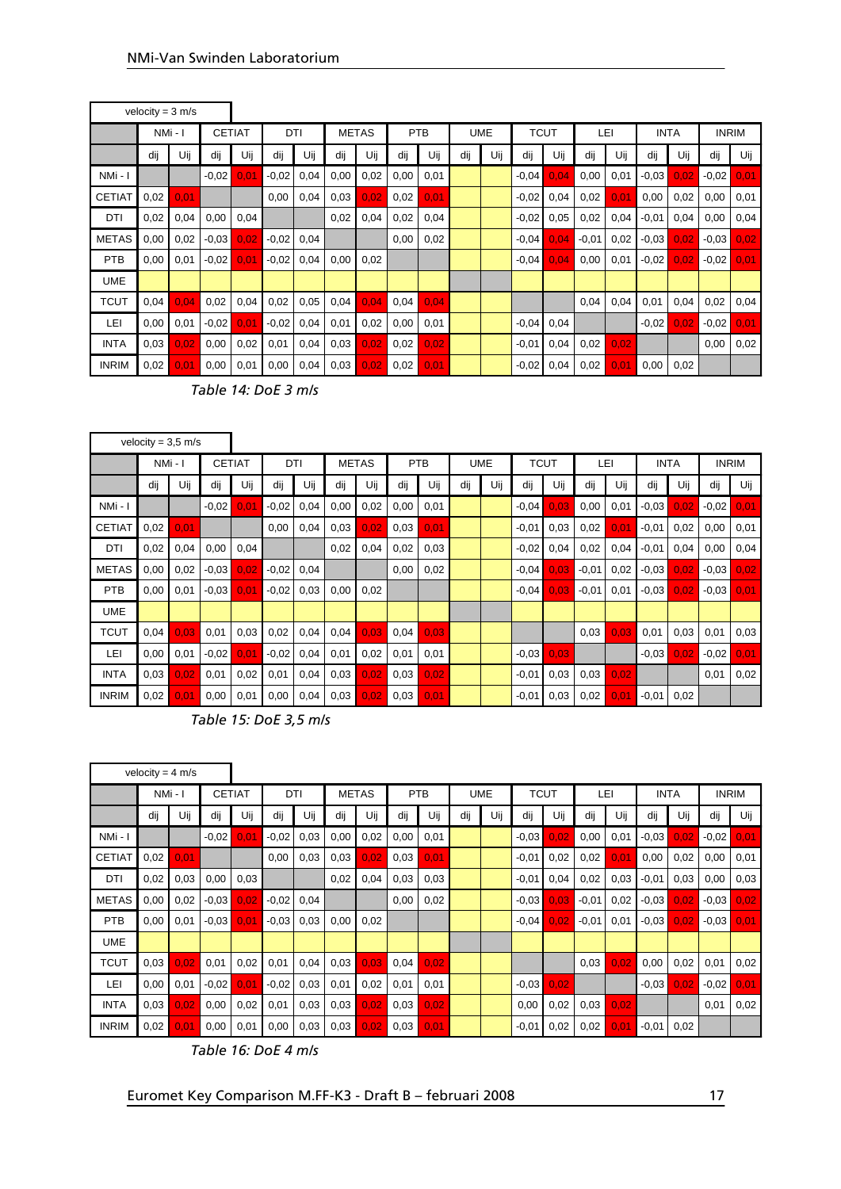|               | velocity = $3 \text{ m/s}$ |         |         |               |         |            |      |              |      |      |     |            |             |      |         |      |         |             |         |              |
|---------------|----------------------------|---------|---------|---------------|---------|------------|------|--------------|------|------|-----|------------|-------------|------|---------|------|---------|-------------|---------|--------------|
|               |                            | NMi - I |         | <b>CETIAT</b> |         | <b>DTI</b> |      | <b>METAS</b> |      | PTB  |     | <b>UME</b> | <b>TCUT</b> |      |         | LEI  |         | <b>INTA</b> |         | <b>INRIM</b> |
|               | dij                        | Uij     | dij     | Uij           | dij     | Uij        | dij  | Uij          | dij  | Uij  | dij | Uij        | dij         | Uij  | dij     | Uij  | dii     | Uij         | dij     | Uij          |
| NMi - I       |                            |         | $-0.02$ | 0,01          | $-0,02$ | 0,04       | 0,00 | 0,02         | 0,00 | 0,01 |     |            | $-0.04$     | 0.04 | 0,00    | 0,01 | $-0.03$ | 0,02        | $-0.02$ | 0,01         |
| <b>CETIAT</b> | 0,02                       | 0,01    |         |               | 0,00    | 0,04       | 0,03 | 0,02         | 0,02 | 0,01 |     |            | $-0.02$     | 0,04 | 0,02    | 0,01 | 0,00    | 0,02        | 0,00    | 0,01         |
| DTI           | 0,02                       | 0,04    | 0,00    | 0,04          |         |            | 0,02 | 0,04         | 0,02 | 0,04 |     |            | $-0.02$     | 0,05 | 0,02    | 0,04 | $-0.01$ | 0,04        | 0,00    | 0,04         |
| <b>METAS</b>  | 0,00                       | 0,02    | $-0.03$ | 0.02          | $-0.02$ | 0,04       |      |              | 0,00 | 0,02 |     |            | $-0.04$     | 0.04 | $-0.01$ | 0,02 | $-0.03$ | 0,02        | $-0.03$ | 0,02         |
| <b>PTB</b>    | 0,00                       | 0,01    | $-0.02$ | 0.01          | $-0.02$ | 0,04       | 0,00 | 0,02         |      |      |     |            | $-0.04$     | 0.04 | 0,00    | 0,01 | $-0.02$ | 0,02        | $-0.02$ | 0.01         |
| <b>UME</b>    |                            |         |         |               |         |            |      |              |      |      |     |            |             |      |         |      |         |             |         |              |
| <b>TCUT</b>   | 0,04                       | 0.04    | 0,02    | 0,04          | 0,02    | 0,05       | 0,04 | 0.04         | 0,04 | 0.04 |     |            |             |      | 0,04    | 0,04 | 0,01    | 0,04        | 0,02    | 0,04         |
| LEI           | 0,00                       | 0,01    | $-0.02$ | 0.01          | $-0.02$ | 0,04       | 0,01 | 0,02         | 0,00 | 0,01 |     |            | $-0.04$     | 0,04 |         |      | $-0.02$ | 0,02        | $-0.02$ | 0,01         |
| <b>INTA</b>   | 0,03                       | 0,02    | 0,00    | 0,02          | 0,01    | 0,04       | 0,03 | 0.02         | 0,02 | 0,02 |     |            | $-0.01$     | 0,04 | 0,02    | 0,02 |         |             | 0,00    | 0,02         |
| <b>INRIM</b>  | 0,02                       | 0,01    | 0,00    | 0,01          | 0,00    | 0,04       | 0,03 | 0.02         | 0,02 | 0,01 |     |            | $-0.02$     | 0,04 | 0,02    | 0.01 | 0,00    | 0,02        |         |              |

*Table 14: DoE 3 m/s*

|               | velocity = $3.5$ m/s |         |         |               |         |            |      |              |      |      |     |            |         |             |         |      |         |             |         |              |
|---------------|----------------------|---------|---------|---------------|---------|------------|------|--------------|------|------|-----|------------|---------|-------------|---------|------|---------|-------------|---------|--------------|
|               |                      | NMi - I |         | <b>CETIAT</b> |         | <b>DTI</b> |      | <b>METAS</b> |      | PTB  |     | <b>UME</b> |         | <b>TCUT</b> |         | LEI  |         | <b>INTA</b> |         | <b>INRIM</b> |
|               | dij                  | Uij     | dij     | Uij           | dij     | Uij        | dij  | Uij          | dij  | Uij  | dij | Uij        | dij     | Uij         | dij     | Uij  | dii     | Uij         | dij     | Uij          |
| NMi - I       |                      |         | $-0.02$ | 0.01          | $-0.02$ | 0,04       | 0,00 | 0,02         | 0,00 | 0,01 |     |            | $-0.04$ | 0,03        | 0,00    | 0,01 | $-0.03$ | 0,02        | $-0.02$ | 0,01         |
| <b>CETIAT</b> | 0,02                 | 0,01    |         |               | 0,00    | 0,04       | 0,03 | 0,02         | 0,03 | 0,01 |     |            | $-0.01$ | 0,03        | 0,02    | 0,01 | $-0.01$ | 0,02        | 0,00    | 0,01         |
| DTI           | 0,02                 | 0,04    | 0,00    | 0,04          |         |            | 0,02 | 0,04         | 0,02 | 0,03 |     |            | $-0.02$ | 0,04        | 0,02    | 0,04 | $-0.01$ | 0,04        | 0,00    | 0,04         |
| <b>METAS</b>  | 0,00                 | 0,02    | $-0.03$ | 0,02          | $-0.02$ | 0,04       |      |              | 0,00 | 0,02 |     |            | $-0.04$ | 0,03        | $-0.01$ | 0,02 | $-0.03$ | 0,02        | $-0.03$ | 0,02         |
| <b>PTB</b>    | 0,00                 | 0,01    | $-0.03$ | 0,01          | $-0.02$ | 0.03       | 0,00 | 0,02         |      |      |     |            | $-0.04$ | 0.03        | $-0.01$ | 0,01 | $-0.03$ | 0,02        | $-0.03$ | 0.01         |
| <b>UME</b>    |                      |         |         |               |         |            |      |              |      |      |     |            |         |             |         |      |         |             |         |              |
| TCUT          | 0,04                 | 0.03    | 0,01    | 0,03          | 0,02    | 0,04       | 0,04 | 0.03         | 0,04 | 0,03 |     |            |         |             | 0,03    | 0,03 | 0,01    | 0.03        | 0,01    | 0,03         |
| LEI           | 0,00                 | 0,01    | $-0.02$ | 0.01          | $-0.02$ | 0,04       | 0,01 | 0,02         | 0,01 | 0,01 |     |            | $-0.03$ | 0,03        |         |      | $-0.03$ | 0,02        | $-0.02$ | 0.01         |
| <b>INTA</b>   | 0,03                 | 0,02    | 0,01    | 0,02          | 0,01    | 0,04       | 0,03 | 0,02         | 0,03 | 0,02 |     |            | $-0.01$ | 0,03        | 0,03    | 0.02 |         |             | 0,01    | 0,02         |
| <b>INRIM</b>  | 0,02                 | 0,01    | 0,00    | 0,01          | 0,00    | 0,04       | 0,03 | 0,02         | 0,03 | 0,01 |     |            | $-0.01$ | 0,03        | 0,02    | 0,01 | $-0.01$ | 0,02        |         |              |

*Table 15: DoE 3,5 m/s*

|               | velocity = $4 \text{ m/s}$ |      |               |      |         |      |      |              |      |            |     |            |         |             |         |      |         |             |         |              |
|---------------|----------------------------|------|---------------|------|---------|------|------|--------------|------|------------|-----|------------|---------|-------------|---------|------|---------|-------------|---------|--------------|
|               | NMi - I                    |      | <b>CETIAT</b> |      | DTI     |      |      | <b>METAS</b> |      | <b>PTB</b> |     | <b>UME</b> |         | <b>TCUT</b> |         | LEI  |         | <b>INTA</b> |         | <b>INRIM</b> |
|               | dij                        | Uij  | dij           | Uij  | dij     | Uij  | dij  | Uij          | dij  | Uij        | dij | Uij        | dij     | Uij         | dij     | Uii  | dij     | Uij         | dij     | Uij          |
| NMi - I       |                            |      | $-0.02$       | 0,01 | $-0.02$ | 0,03 | 0,00 | 0,02         | 0,00 | 0,01       |     |            | $-0.03$ | 0,02        | 0,00    | 0,01 | $-0.03$ | 0,02        | $-0.02$ | 0,01         |
| <b>CETIAT</b> | 0,02                       | 0,01 |               |      | 0,00    | 0,03 | 0,03 | 0,02         | 0,03 | 0.01       |     |            | $-0.01$ | 0,02        | 0,02    | 0,01 | 0,00    | 0,02        | 0,00    | 0,01         |
| DTI           | 0,02                       | 0,03 | 0,00          | 0,03 |         |      | 0,02 | 0,04         | 0,03 | 0,03       |     |            | $-0.01$ | 0,04        | 0,02    | 0,03 | $-0.01$ | 0,03        | 0,00    | 0,03         |
| <b>METAS</b>  | 0,00                       | 0,02 | $-0.03$       | 0.02 | $-0.02$ | 0,04 |      |              | 0,00 | 0,02       |     |            | $-0.03$ | 0,03        | $-0.01$ | 0,02 | $-0.03$ | 0,02        | $-0.03$ | 0,02         |
| <b>PTB</b>    | 0,00                       | 0,01 | $-0.03$       | 0.01 | $-0.03$ | 0,03 | 0,00 | 0,02         |      |            |     |            | $-0.04$ | 0,02        | $-0.01$ | 0,01 | $-0.03$ | 0,02        | $-0.03$ | 0.01         |
| <b>UME</b>    |                            |      |               |      |         |      |      |              |      |            |     |            |         |             |         |      |         |             |         |              |
| TCUT          | 0.03                       | 0,02 | 0,01          | 0,02 | 0,01    | 0,04 | 0,03 | 0,03         | 0,04 | 0,02       |     |            |         |             | 0,03    | 0.02 | 0,00    | 0,02        | 0,01    | 0,02         |
| LEI           | 0,00                       | 0,01 | $-0.02$       | 0,01 | $-0.02$ | 0,03 | 0,01 | 0,02         | 0,01 | 0,01       |     |            | $-0.03$ | 0.02        |         |      | $-0.03$ | 0,02        | $-0.02$ | 0,01         |
| <b>INTA</b>   | 0.03                       | 0.02 | 0,00          | 0,02 | 0,01    | 0,03 | 0,03 | 0,02         | 0,03 | 0,02       |     |            | 0,00    | 0,02        | 0.03    | 0,02 |         |             | 0,01    | 0,02         |
| <b>INRIM</b>  | 0,02                       | 0,01 | 0,00          | 0,01 | 0,00    | 0,03 | 0,03 | 0,02         | 0,03 | 0,01       |     |            | $-0,01$ | 0,02        | 0,02    | 0,01 | $-0.01$ | 0,02        |         |              |

*Table 16: DoE 4 m/s*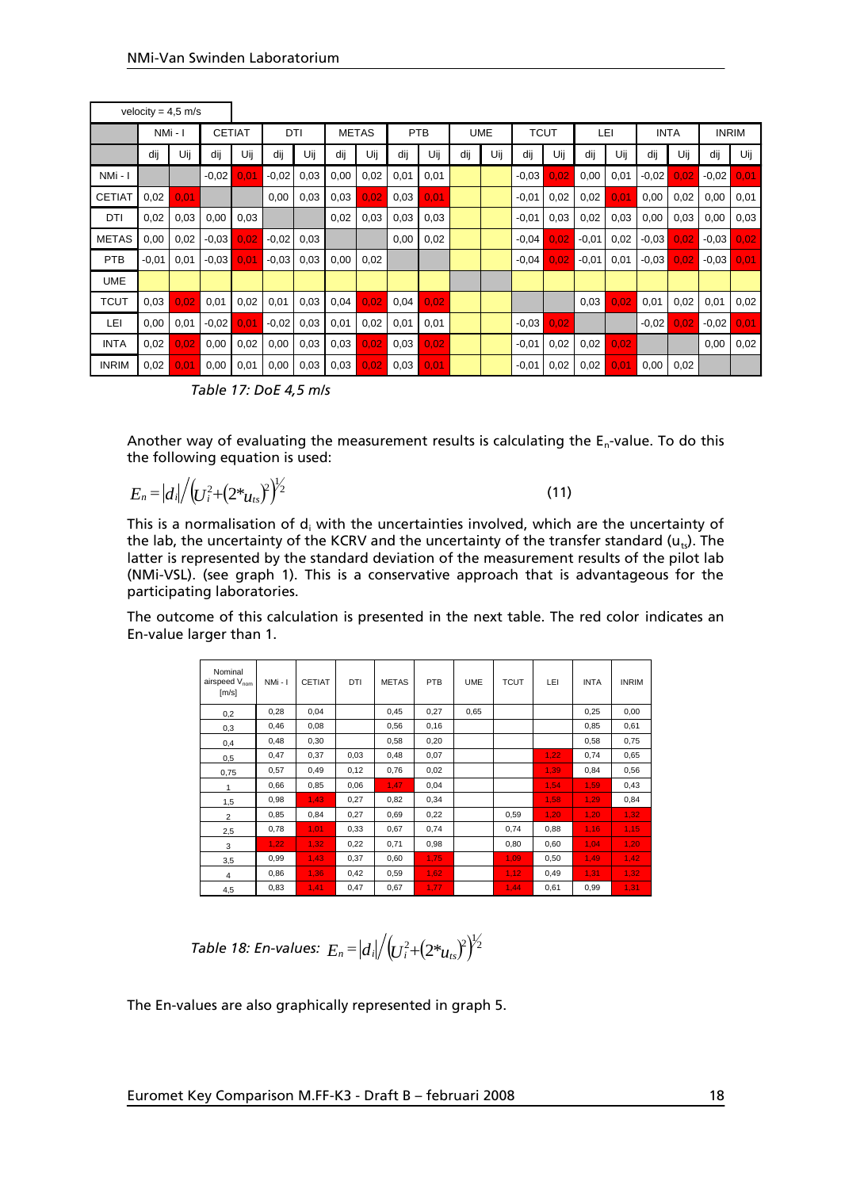|               | velocity = $4.5$ m/s |         |         |               |         |      |      |              |      |      |     |            |         |             |         |      |         |             |         |              |
|---------------|----------------------|---------|---------|---------------|---------|------|------|--------------|------|------|-----|------------|---------|-------------|---------|------|---------|-------------|---------|--------------|
|               |                      | NMi - I |         | <b>CETIAT</b> |         | DTI  |      | <b>METAS</b> |      | PTB  |     | <b>UME</b> |         | <b>TCUT</b> |         | LEI  |         | <b>INTA</b> |         | <b>INRIM</b> |
|               | dij                  | Uij     | dij     | Uij           | dij     | Uij  | dij  | Uij          | dij  | Uij  | dij | Uij        | dij     | Uij         | dij     | Uij  | dii     | Uij         | dij     | Uij          |
| NMi - I       |                      |         | $-0.02$ | 0.01          | $-0.02$ | 0,03 | 0,00 | 0,02         | 0,01 | 0,01 |     |            | $-0.03$ | 0,02        | 0,00    | 0,01 | $-0.02$ | 0,02        | $-0.02$ | 0,01         |
| <b>CETIAT</b> | 0,02                 | 0.01    |         |               | 0,00    | 0.03 | 0,03 | 0,02         | 0,03 | 0.01 |     |            | $-0.01$ | 0,02        | 0,02    | 0,01 | 0,00    | 0,02        | 0,00    | 0,01         |
| DTI           | 0,02                 | 0,03    | 0,00    | 0,03          |         |      | 0,02 | 0,03         | 0,03 | 0,03 |     |            | $-0.01$ | 0,03        | 0,02    | 0,03 | 0,00    | 0.03        | 0,00    | 0,03         |
| <b>METAS</b>  | 0,00                 | 0,02    | $-0.03$ | 0,02          | $-0.02$ | 0,03 |      |              | 0,00 | 0,02 |     |            | $-0.04$ | 0,02        | $-0.01$ | 0,02 | $-0.03$ | 0,02        | $-0.03$ | 0,02         |
| PTB           | $-0.01$              | 0,01    | $-0.03$ | 0,01          | $-0.03$ | 0,03 | 0.00 | 0,02         |      |      |     |            | $-0.04$ | 0.02        | $-0.01$ | 0,01 | $-0.03$ | 0,02        | $-0.03$ | 0.01         |
| <b>UME</b>    |                      |         |         |               |         |      |      |              |      |      |     |            |         |             |         |      |         |             |         |              |
| TCUT          | 0,03                 | 0,02    | 0,01    | 0,02          | 0,01    | 0,03 | 0,04 | 0,02         | 0,04 | 0,02 |     |            |         |             | 0,03    | 0,02 | 0,01    | 0,02        | 0,01    | 0,02         |
| LEI           | 0,00                 | 0,01    | $-0.02$ | 0.01          | $-0.02$ | 0.03 | 0,01 | 0,02         | 0,01 | 0,01 |     |            | $-0.03$ | 0,02        |         |      | $-0.02$ | 0,02        | $-0.02$ | 0.01         |
| <b>INTA</b>   | 0,02                 | 0,02    | 0,00    | 0,02          | 0,00    | 0,03 | 0.03 | 0,02         | 0,03 | 0,02 |     |            | $-0,01$ | 0,02        | 0,02    | 0,02 |         |             | 0,00    | 0,02         |
| <b>INRIM</b>  | 0,02                 | 0,01    | 0,00    | 0,01          | 0,00    | 0,03 | 0,03 | 0,02         | 0,03 | 0,01 |     |            | $-0.01$ | 0,02        | 0,02    | 0,01 | 0,00    | 0,02        |         |              |

*Table 17: DoE 4,5 m/s*

Another way of evaluating the measurement results is calculating the  $E_n$ -value. To do this the following equation is used:

$$
E_n = |d_i| / (U_i^2 + (2 \cdot u_{ts})^2)^{1/2}
$$

(11)

This is a normalisation of  $d_i$  with the uncertainties involved, which are the uncertainty of the lab, the uncertainty of the KCRV and the uncertainty of the transfer standard  $(u_{t,s})$ . The latter is represented by the standard deviation of the measurement results of the pilot lab (NMi-VSL). (see graph 1). This is a conservative approach that is advantageous for the participating laboratories.

The outcome of this calculation is presented in the next table. The red color indicates an En-value larger than 1.

| Nominal<br>airspeed V <sub>nom</sub><br>[m/s] | $N$ Mi - I | <b>CETIAT</b> | DTI  | <b>METAS</b> | <b>PTB</b> | <b>UME</b> | <b>TCUT</b> | LEI  | <b>INTA</b> | <b>INRIM</b> |
|-----------------------------------------------|------------|---------------|------|--------------|------------|------------|-------------|------|-------------|--------------|
| 0,2                                           | 0,28       | 0,04          |      | 0,45         | 0,27       | 0,65       |             |      | 0,25        | 0,00         |
| 0,3                                           | 0,46       | 0,08          |      | 0,56         | 0, 16      |            |             |      | 0,85        | 0,61         |
| 0,4                                           | 0,48       | 0,30          |      | 0,58         | 0,20       |            |             |      | 0,58        | 0,75         |
| 0,5                                           | 0,47       | 0,37          | 0,03 | 0,48         | 0,07       |            |             | 1,22 | 0,74        | 0,65         |
| 0,75                                          | 0,57       | 0,49          | 0,12 | 0,76         | 0,02       |            |             | 1,39 | 0,84        | 0,56         |
| 1                                             | 0,66       | 0,85          | 0,06 | 1,47         | 0,04       |            |             | 1,54 | 1.59        | 0,43         |
| 1,5                                           | 0,98       | 1,43          | 0,27 | 0,82         | 0,34       |            |             | 1,58 | 1,29        | 0,84         |
| $\overline{2}$                                | 0,85       | 0,84          | 0,27 | 0,69         | 0,22       |            | 0,59        | 1,20 | 1,20        | 1,32         |
| 2,5                                           | 0,78       | 1,01          | 0,33 | 0,67         | 0,74       |            | 0,74        | 0,88 | 1,16        | 1,15         |
| 3                                             | 1,22       | 1,32          | 0,22 | 0,71         | 0,98       |            | 0,80        | 0,60 | 1.04        | 1,20         |
| 3,5                                           | 0,99       | 1,43          | 0,37 | 0,60         | 1,75       |            | 1.09        | 0,50 | 1,49        | 1,42         |
| 4                                             | 0,86       | 1.36          | 0,42 | 0,59         | 1,62       |            | 1.12        | 0,49 | 1.31        | 1,32         |
| 4,5                                           | 0,83       | 1,41          | 0,47 | 0,67         | 1,77       |            | 1.44        | 0,61 | 0,99        | 1,31         |

Table 18: En-values: 
$$
E_n = |d_i| / (U_i^2 + (2 \cdot u_{ts})^2)^{1/2}
$$

The En-values are also graphically represented in graph 5.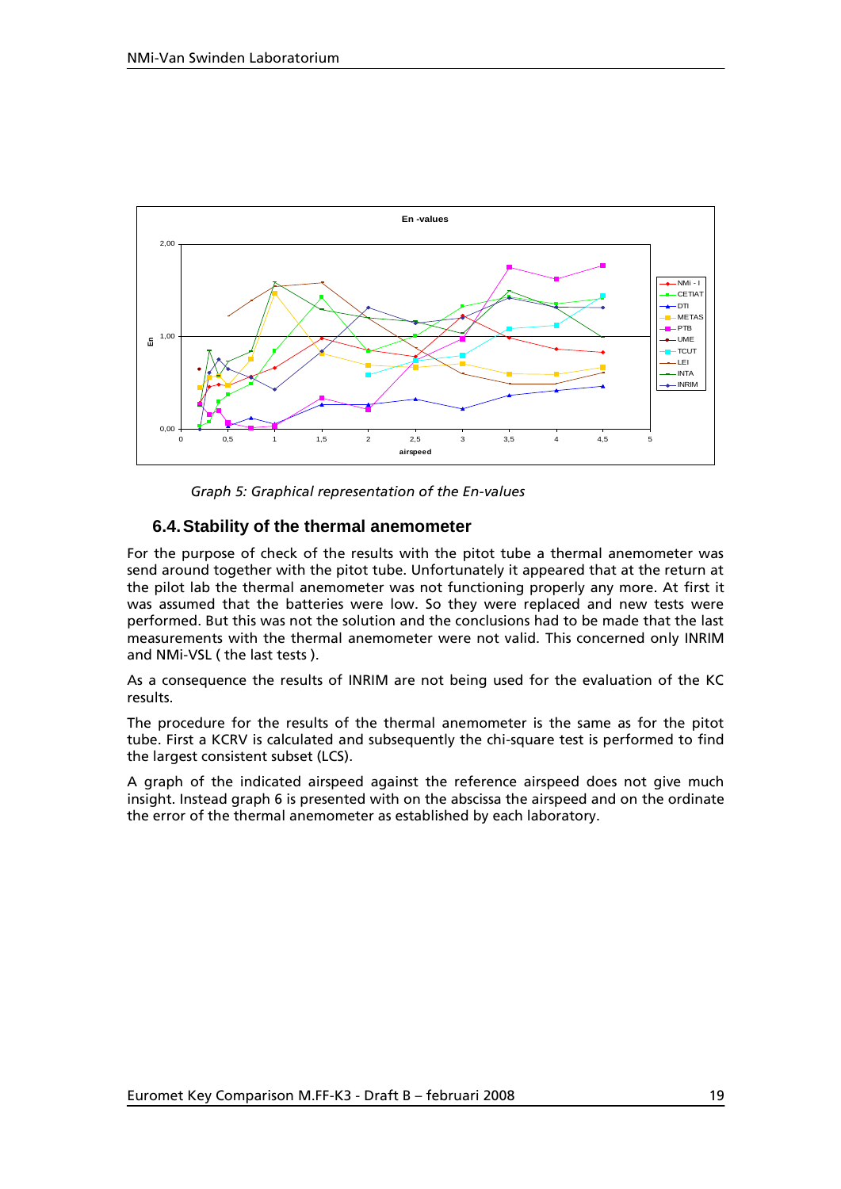

*Graph 5: Graphical representation of the En-values*

### <span id="page-18-0"></span>**6.4.Stability of the thermal anemometer**

For the purpose of check of the results with the pitot tube a thermal anemometer was send around together with the pitot tube. Unfortunately it appeared that at the return at the pilot lab the thermal anemometer was not functioning properly any more. At first it was assumed that the batteries were low. So they were replaced and new tests were performed. But this was not the solution and the conclusions had to be made that the last measurements with the thermal anemometer were not valid. This concerned only INRIM and NMi-VSL ( the last tests ).

As a consequence the results of INRIM are not being used for the evaluation of the KC results.

The procedure for the results of the thermal anemometer is the same as for the pitot tube. First a KCRV is calculated and subsequently the chi-square test is performed to find the largest consistent subset (LCS).

A graph of the indicated airspeed against the reference airspeed does not give much insight. Instead graph 6 is presented with on the abscissa the airspeed and on the ordinate the error of the thermal anemometer as established by each laboratory.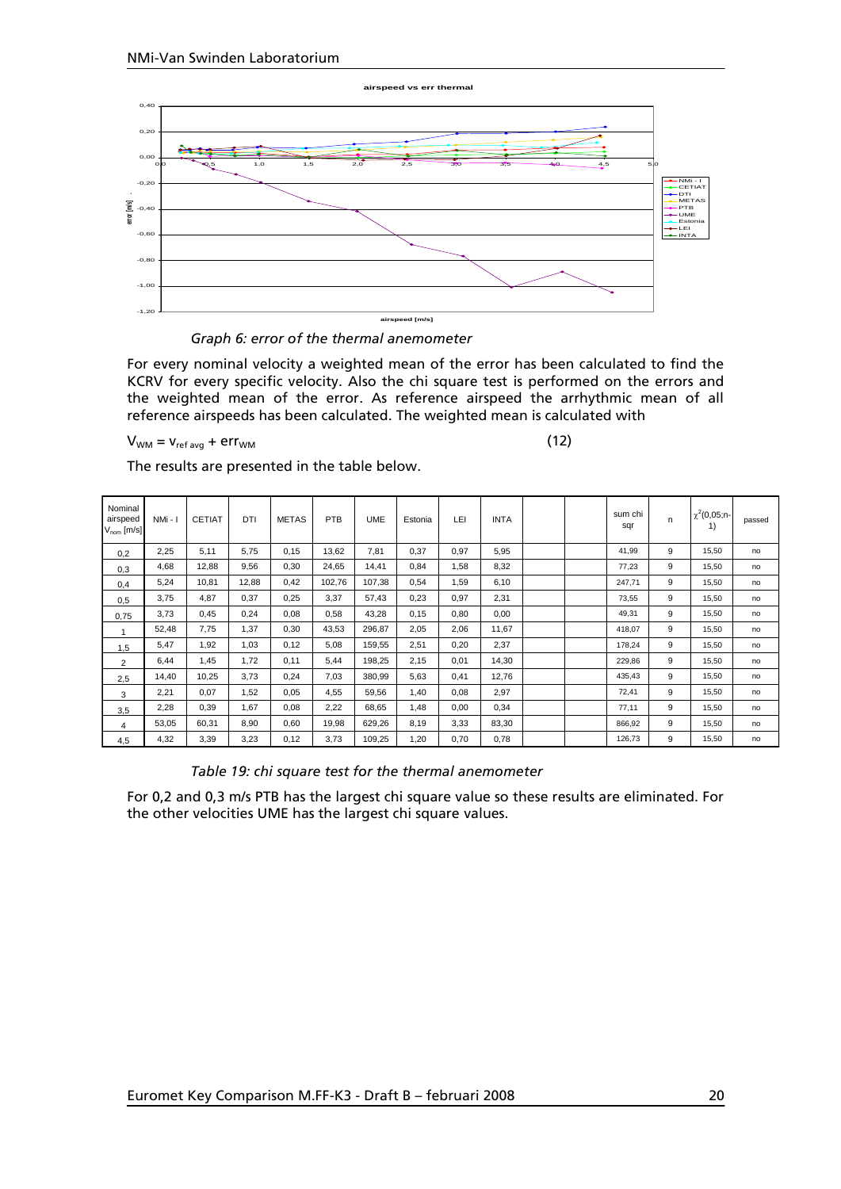



For every nominal velocity a weighted mean of the error has been calculated to find the KCRV for every specific velocity. Also the chi square test is performed on the errors and the weighted mean of the error. As reference airspeed the arrhythmic mean of all reference airspeeds has been calculated. The weighted mean is calculated with

 $V_{WM} = V_{ref,avg} + err_{WM}$  (12)

The results are presented in the table below.

| Nominal<br>airspeed<br>$V_{nom}$ [m/s] | NMi-I | <b>CETIAT</b> | DTI   | <b>METAS</b> | PTB    | <b>UME</b> | Estonia | LEI  | <b>INTA</b> |  | sum chi<br>sqr | n | $\chi^2(0,05; n-$<br>1) | passed |
|----------------------------------------|-------|---------------|-------|--------------|--------|------------|---------|------|-------------|--|----------------|---|-------------------------|--------|
| 0,2                                    | 2,25  | 5,11          | 5,75  | 0,15         | 13,62  | 7,81       | 0,37    | 0,97 | 5,95        |  | 41,99          | 9 | 15,50                   | no     |
| 0,3                                    | 4,68  | 12,88         | 9,56  | 0,30         | 24,65  | 14,41      | 0,84    | 1,58 | 8,32        |  | 77,23          | 9 | 15,50                   | no     |
| 0,4                                    | 5,24  | 10,81         | 12,88 | 0,42         | 102,76 | 107,38     | 0,54    | 1,59 | 6,10        |  | 247,71         | 9 | 15,50                   | no     |
| 0,5                                    | 3,75  | 4,87          | 0,37  | 0,25         | 3,37   | 57,43      | 0,23    | 0,97 | 2,31        |  | 73,55          | 9 | 15,50                   | no     |
| 0,75                                   | 3,73  | 0,45          | 0,24  | 0,08         | 0,58   | 43,28      | 0,15    | 0,80 | 0,00        |  | 49,31          | 9 | 15,50                   | no     |
|                                        | 52,48 | 7,75          | 1,37  | 0,30         | 43,53  | 296,87     | 2,05    | 2,06 | 11,67       |  | 418,07         | 9 | 15,50                   | no     |
| 1,5                                    | 5,47  | 1,92          | 1,03  | 0,12         | 5,08   | 159,55     | 2,51    | 0,20 | 2,37        |  | 178,24         | 9 | 15,50                   | no     |
| $\overline{2}$                         | 6,44  | 1,45          | 1,72  | 0,11         | 5,44   | 198,25     | 2,15    | 0,01 | 14,30       |  | 229,86         | 9 | 15,50                   | no     |
| 2,5                                    | 14,40 | 10,25         | 3,73  | 0,24         | 7,03   | 380,99     | 5,63    | 0,41 | 12,76       |  | 435,43         | 9 | 15,50                   | no     |
| 3                                      | 2,21  | 0,07          | 1,52  | 0,05         | 4,55   | 59,56      | 1,40    | 0,08 | 2,97        |  | 72,41          | 9 | 15,50                   | no     |
| 3,5                                    | 2,28  | 0,39          | 1,67  | 0,08         | 2,22   | 68,65      | 1,48    | 0,00 | 0,34        |  | 77,11          | 9 | 15,50                   | no     |
| $\overline{4}$                         | 53,05 | 60,31         | 8,90  | 0,60         | 19,98  | 629,26     | 8,19    | 3,33 | 83,30       |  | 866,92         | 9 | 15,50                   | no     |
| 4,5                                    | 4,32  | 3,39          | 3,23  | 0,12         | 3,73   | 109,25     | 1,20    | 0,70 | 0,78        |  | 126,73         | 9 | 15,50                   | no     |

*Table 19: chi square test for the thermal anemometer*

For 0,2 and 0,3 m/s PTB has the largest chi square value so these results are eliminated. For the other velocities UME has the largest chi square values.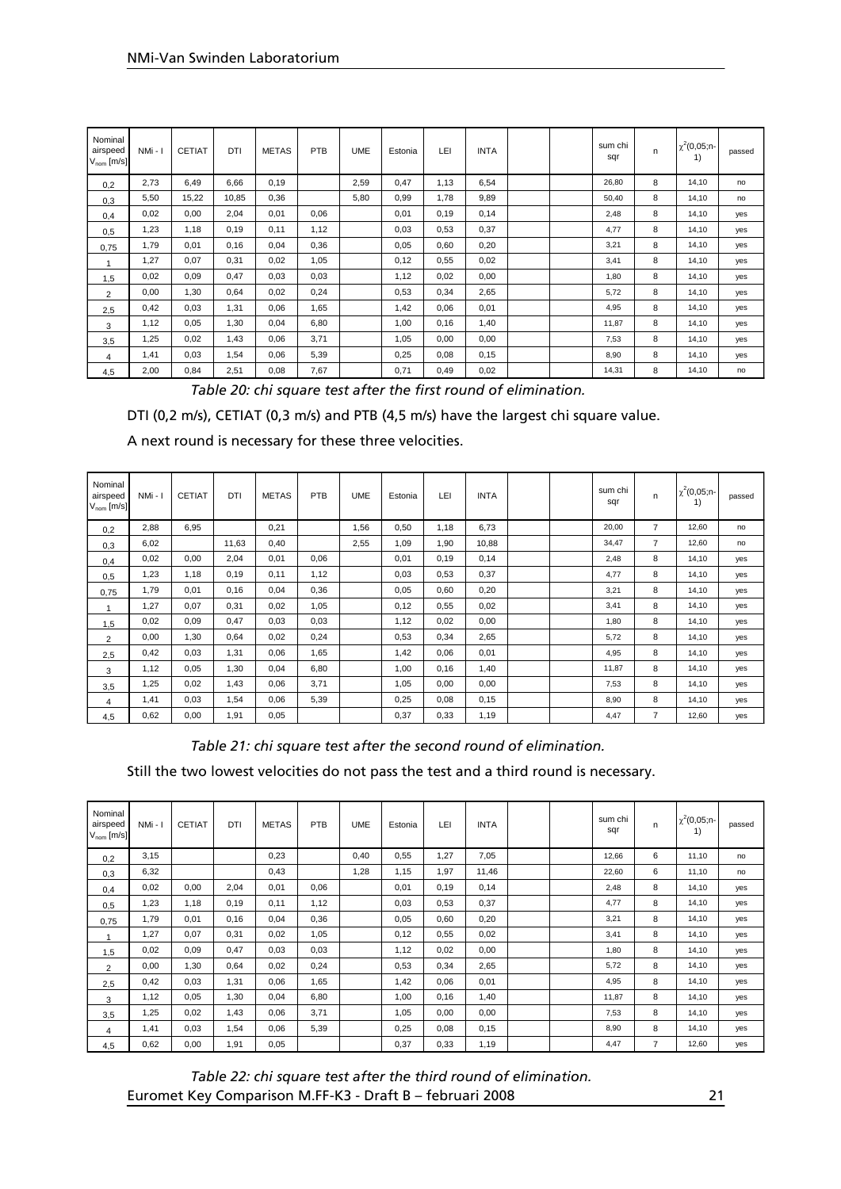| Nominal<br>airspeed<br>$V_{nom}$ [m/s] | NMi-I | <b>CETIAT</b> | DTI   | <b>METAS</b> | PTB  | <b>UME</b> | Estonia | LEI   | <b>INTA</b> |  | sum chi<br>sqr | n | $\chi^2$ (0,05;n-<br>1) | passed |
|----------------------------------------|-------|---------------|-------|--------------|------|------------|---------|-------|-------------|--|----------------|---|-------------------------|--------|
| 0,2                                    | 2,73  | 6,49          | 6,66  | 0,19         |      | 2,59       | 0,47    | 1,13  | 6,54        |  | 26,80          | 8 | 14,10                   | no     |
| 0,3                                    | 5,50  | 15,22         | 10,85 | 0,36         |      | 5,80       | 0,99    | 1,78  | 9,89        |  | 50,40          | 8 | 14,10                   | no     |
| 0,4                                    | 0,02  | 0,00          | 2,04  | 0,01         | 0,06 |            | 0,01    | 0, 19 | 0,14        |  | 2,48           | 8 | 14,10                   | yes    |
| 0,5                                    | 1,23  | 1,18          | 0, 19 | 0,11         | 1,12 |            | 0,03    | 0,53  | 0,37        |  | 4,77           | 8 | 14,10                   | yes    |
| 0,75                                   | 1,79  | 0,01          | 0, 16 | 0,04         | 0,36 |            | 0,05    | 0,60  | 0,20        |  | 3,21           | 8 | 14,10                   | yes    |
| 1                                      | 1,27  | 0,07          | 0,31  | 0,02         | 1,05 |            | 0,12    | 0,55  | 0,02        |  | 3,41           | 8 | 14,10                   | yes    |
| 1,5                                    | 0,02  | 0,09          | 0,47  | 0,03         | 0,03 |            | 1,12    | 0,02  | 0,00        |  | 1,80           | 8 | 14,10                   | yes    |
| $\overline{2}$                         | 0,00  | 1,30          | 0,64  | 0,02         | 0,24 |            | 0,53    | 0,34  | 2,65        |  | 5,72           | 8 | 14,10                   | yes    |
| 2,5                                    | 0,42  | 0,03          | 1,31  | 0,06         | 1,65 |            | 1,42    | 0,06  | 0,01        |  | 4,95           | 8 | 14,10                   | yes    |
| 3                                      | 1,12  | 0,05          | 1,30  | 0,04         | 6,80 |            | 1,00    | 0, 16 | 1,40        |  | 11,87          | 8 | 14,10                   | yes    |
| 3,5                                    | 1,25  | 0,02          | 1,43  | 0,06         | 3,71 |            | 1,05    | 0,00  | 0,00        |  | 7,53           | 8 | 14,10                   | yes    |
| 4                                      | 1,41  | 0,03          | 1,54  | 0,06         | 5,39 |            | 0,25    | 0,08  | 0,15        |  | 8,90           | 8 | 14,10                   | yes    |
| 4,5                                    | 2,00  | 0,84          | 2,51  | 0,08         | 7,67 |            | 0,71    | 0,49  | 0,02        |  | 14,31          | 8 | 14,10                   | no     |

*Table 20: chi square test after the first round of elimination.*

DTI (0,2 m/s), CETIAT (0,3 m/s) and PTB (4,5 m/s) have the largest chi square value.

A next round is necessary for these three velocities.

| Nominal<br>airspeed<br>$V_{nom}$ [m/s] | NMi-I | <b>CETIAT</b> | DTI   | <b>METAS</b> | PTB  | <b>UME</b> | Estonia | LEI   | <b>INTA</b> |  | sum chi<br>sqr | n              | $\chi^2(0,05; n-$<br>1) | passed |
|----------------------------------------|-------|---------------|-------|--------------|------|------------|---------|-------|-------------|--|----------------|----------------|-------------------------|--------|
| 0,2                                    | 2,88  | 6,95          |       | 0,21         |      | 1,56       | 0,50    | 1,18  | 6,73        |  | 20,00          | $\overline{7}$ | 12,60                   | no     |
| 0,3                                    | 6,02  |               | 11,63 | 0,40         |      | 2,55       | 1,09    | 1,90  | 10,88       |  | 34,47          | $\overline{7}$ | 12,60                   | no     |
| 0,4                                    | 0,02  | 0,00          | 2,04  | 0,01         | 0,06 |            | 0,01    | 0, 19 | 0,14        |  | 2,48           | 8              | 14,10                   | yes    |
| 0,5                                    | 1,23  | 1,18          | 0, 19 | 0,11         | 1,12 |            | 0,03    | 0,53  | 0,37        |  | 4,77           | 8              | 14,10                   | yes    |
| 0,75                                   | 1,79  | 0,01          | 0, 16 | 0,04         | 0,36 |            | 0,05    | 0,60  | 0,20        |  | 3,21           | 8              | 14,10                   | yes    |
|                                        | 1,27  | 0,07          | 0,31  | 0,02         | 1,05 |            | 0,12    | 0,55  | 0,02        |  | 3,41           | 8              | 14,10                   | yes    |
| 1,5                                    | 0,02  | 0,09          | 0,47  | 0,03         | 0,03 |            | 1,12    | 0,02  | 0,00        |  | 1,80           | 8              | 14,10                   | yes    |
| $\overline{2}$                         | 0,00  | 1,30          | 0,64  | 0,02         | 0,24 |            | 0,53    | 0,34  | 2,65        |  | 5,72           | 8              | 14,10                   | yes    |
| 2,5                                    | 0,42  | 0,03          | 1,31  | 0,06         | 1,65 |            | 1,42    | 0,06  | 0,01        |  | 4,95           | 8              | 14,10                   | yes    |
| 3                                      | 1,12  | 0,05          | 1,30  | 0,04         | 6,80 |            | 1,00    | 0, 16 | 1,40        |  | 11,87          | 8              | 14,10                   | yes    |
| 3,5                                    | 1,25  | 0,02          | 1,43  | 0,06         | 3,71 |            | 1,05    | 0,00  | 0,00        |  | 7,53           | 8              | 14,10                   | yes    |
| 4                                      | 1,41  | 0,03          | 1,54  | 0,06         | 5,39 |            | 0,25    | 0,08  | 0,15        |  | 8,90           | 8              | 14,10                   | yes    |
| 4,5                                    | 0,62  | 0,00          | 1,91  | 0,05         |      |            | 0,37    | 0,33  | 1,19        |  | 4,47           | $\overline{7}$ | 12,60                   | yes    |

*Table 21: chi square test after the second round of elimination.*

Still the two lowest velocities do not pass the test and a third round is necessary.

| Nominal<br>airspeed<br>$V_{nom}$ [m/s] | NMi-I | <b>CETIAT</b> | DTI   | <b>METAS</b> | PTB  | <b>UME</b> | Estonia | LEI  | <b>INTA</b> |  | sum chi<br>sqr | n.             | $\chi^2(0,05; n-$<br>1) | passed |
|----------------------------------------|-------|---------------|-------|--------------|------|------------|---------|------|-------------|--|----------------|----------------|-------------------------|--------|
| 0,2                                    | 3,15  |               |       | 0,23         |      | 0,40       | 0,55    | 1,27 | 7,05        |  | 12,66          | 6              | 11,10                   | no     |
| 0,3                                    | 6,32  |               |       | 0,43         |      | 1,28       | 1,15    | 1,97 | 11,46       |  | 22,60          | 6              | 11,10                   | no     |
| 0,4                                    | 0,02  | 0,00          | 2,04  | 0,01         | 0,06 |            | 0,01    | 0,19 | 0,14        |  | 2,48           | 8              | 14,10                   | yes    |
| 0,5                                    | 1,23  | 1,18          | 0, 19 | 0.11         | 1,12 |            | 0,03    | 0,53 | 0,37        |  | 4,77           | 8              | 14,10                   | yes    |
| 0,75                                   | 1,79  | 0,01          | 0, 16 | 0,04         | 0,36 |            | 0,05    | 0,60 | 0,20        |  | 3,21           | 8              | 14,10                   | yes    |
| $\overline{ }$                         | 1,27  | 0,07          | 0,31  | 0,02         | 1,05 |            | 0,12    | 0,55 | 0,02        |  | 3,41           | 8              | 14,10                   | yes    |
| 1,5                                    | 0,02  | 0,09          | 0,47  | 0,03         | 0,03 |            | 1,12    | 0,02 | 0,00        |  | 1,80           | 8              | 14,10                   | yes    |
| $\overline{2}$                         | 0,00  | 1,30          | 0,64  | 0,02         | 0,24 |            | 0,53    | 0,34 | 2,65        |  | 5,72           | 8              | 14,10                   | yes    |
| 2,5                                    | 0,42  | 0,03          | 1,31  | 0,06         | 1,65 |            | 1,42    | 0,06 | 0,01        |  | 4,95           | 8              | 14,10                   | yes    |
| 3                                      | 1,12  | 0.05          | 1,30  | 0.04         | 6,80 |            | 1,00    | 0,16 | 1,40        |  | 11,87          | 8              | 14,10                   | yes    |
| 3,5                                    | 1,25  | 0,02          | 1,43  | 0,06         | 3,71 |            | 1,05    | 0,00 | 0,00        |  | 7,53           | 8              | 14,10                   | yes    |
| 4                                      | 1,41  | 0,03          | 1,54  | 0,06         | 5,39 |            | 0,25    | 0,08 | 0,15        |  | 8,90           | 8              | 14,10                   | yes    |
| 4,5                                    | 0,62  | 0,00          | 1,91  | 0,05         |      |            | 0,37    | 0,33 | 1,19        |  | 4,47           | $\overline{7}$ | 12,60                   | yes    |

Euromet Key Comparison M.FF-K3 - Draft B – februari 2008 21 *Table 22: chi square test after the third round of elimination.*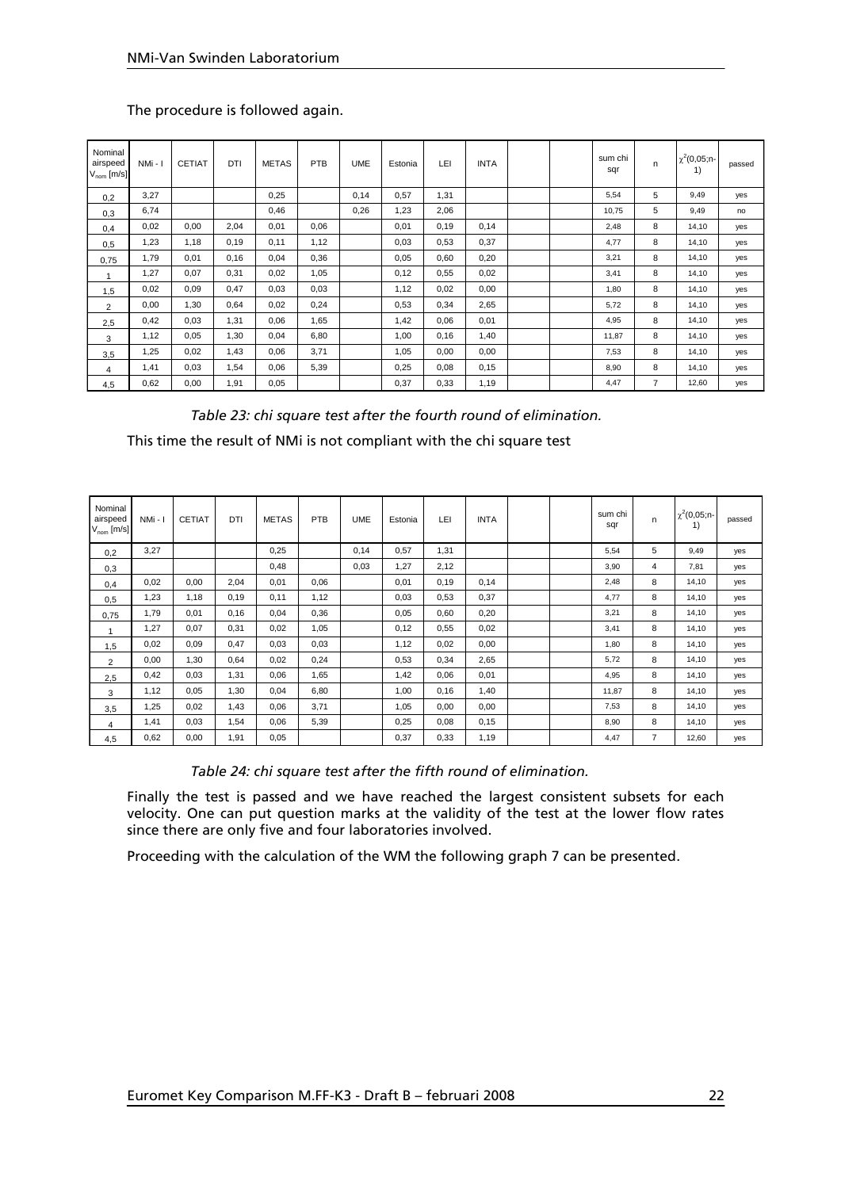| Nominal<br>airspeed<br>$V_{nom}$ [m/s] | NMi-I | <b>CETIAT</b> | DTI   | <b>METAS</b> | PTB  | <b>UME</b> | Estonia | LEI   | <b>INTA</b> |  | sum chi<br>sqr | n              | $\chi^2(0,05; n-$<br>1) | passed |
|----------------------------------------|-------|---------------|-------|--------------|------|------------|---------|-------|-------------|--|----------------|----------------|-------------------------|--------|
| 0,2                                    | 3,27  |               |       | 0,25         |      | 0,14       | 0,57    | 1,31  |             |  | 5,54           | 5              | 9,49                    | yes    |
| 0,3                                    | 6,74  |               |       | 0,46         |      | 0,26       | 1,23    | 2,06  |             |  | 10,75          | 5              | 9,49                    | no     |
| 0,4                                    | 0,02  | 0,00          | 2,04  | 0,01         | 0,06 |            | 0,01    | 0, 19 | 0,14        |  | 2,48           | 8              | 14,10                   | yes    |
| 0,5                                    | 1,23  | 1,18          | 0, 19 | 0,11         | 1,12 |            | 0,03    | 0,53  | 0,37        |  | 4,77           | 8              | 14,10                   | yes    |
| 0,75                                   | 1,79  | 0,01          | 0, 16 | 0,04         | 0,36 |            | 0,05    | 0,60  | 0,20        |  | 3,21           | 8              | 14,10                   | yes    |
| 1                                      | 1,27  | 0,07          | 0,31  | 0,02         | 1,05 |            | 0,12    | 0,55  | 0,02        |  | 3,41           | 8              | 14,10                   | yes    |
| 1,5                                    | 0,02  | 0,09          | 0,47  | 0,03         | 0,03 |            | 1,12    | 0,02  | 0,00        |  | 1,80           | 8              | 14,10                   | yes    |
| 2                                      | 0,00  | 1,30          | 0,64  | 0,02         | 0,24 |            | 0,53    | 0,34  | 2,65        |  | 5,72           | 8              | 14,10                   | yes    |
| 2,5                                    | 0,42  | 0,03          | 1,31  | 0,06         | 1,65 |            | 1,42    | 0,06  | 0,01        |  | 4,95           | 8              | 14,10                   | yes    |
| 3                                      | 1,12  | 0,05          | 1,30  | 0,04         | 6,80 |            | 1,00    | 0, 16 | 1,40        |  | 11,87          | 8              | 14,10                   | yes    |
| 3,5                                    | 1,25  | 0,02          | 1,43  | 0,06         | 3,71 |            | 1,05    | 0,00  | 0,00        |  | 7,53           | 8              | 14,10                   | yes    |
| 4                                      | 1,41  | 0,03          | 1,54  | 0,06         | 5,39 |            | 0,25    | 0,08  | 0,15        |  | 8,90           | 8              | 14,10                   | yes    |
| 4,5                                    | 0,62  | 0,00          | 1,91  | 0,05         |      |            | 0,37    | 0,33  | 1,19        |  | 4,47           | $\overline{7}$ | 12,60                   | yes    |

#### The procedure is followed again.

*Table 23: chi square test after the fourth round of elimination.*

This time the result of NMi is not compliant with the chi square test

| Nominal<br>airspeed<br>$V_{nom}$ [m/s] | NMi-I | <b>CETIAT</b> | DTI  | <b>METAS</b> | PTB  | <b>UME</b> | Estonia | LEI  | <b>INTA</b> |  | sum chi<br>sqr | n.             | $\chi^2(0,05; n-$<br>1) | passed |
|----------------------------------------|-------|---------------|------|--------------|------|------------|---------|------|-------------|--|----------------|----------------|-------------------------|--------|
| 0,2                                    | 3,27  |               |      | 0,25         |      | 0,14       | 0,57    | 1,31 |             |  | 5,54           | 5              | 9,49                    | yes    |
| 0,3                                    |       |               |      | 0,48         |      | 0,03       | 1,27    | 2,12 |             |  | 3,90           | 4              | 7,81                    | yes    |
| 0,4                                    | 0,02  | 0,00          | 2,04 | 0,01         | 0,06 |            | 0,01    | 0,19 | 0,14        |  | 2,48           | 8              | 14,10                   | yes    |
| 0,5                                    | 1,23  | 1,18          | 0,19 | 0,11         | 1,12 |            | 0,03    | 0,53 | 0,37        |  | 4,77           | 8              | 14,10                   | yes    |
| 0,75                                   | 1,79  | 0,01          | 0,16 | 0,04         | 0,36 |            | 0,05    | 0,60 | 0,20        |  | 3,21           | 8              | 14,10                   | yes    |
| $\mathbf{1}$                           | 1,27  | 0,07          | 0,31 | 0,02         | 1,05 |            | 0,12    | 0,55 | 0,02        |  | 3,41           | 8              | 14,10                   | yes    |
| 1,5                                    | 0,02  | 0,09          | 0,47 | 0,03         | 0,03 |            | 1,12    | 0,02 | 0,00        |  | 1,80           | 8              | 14,10                   | yes    |
| 2                                      | 0,00  | 1,30          | 0,64 | 0,02         | 0,24 |            | 0,53    | 0,34 | 2,65        |  | 5,72           | 8              | 14,10                   | yes    |
| 2,5                                    | 0,42  | 0,03          | 1,31 | 0,06         | 1,65 |            | 1,42    | 0,06 | 0,01        |  | 4,95           | 8              | 14,10                   | yes    |
| 3                                      | 1,12  | 0,05          | 1,30 | 0,04         | 6,80 |            | 1,00    | 0,16 | 1,40        |  | 11,87          | 8              | 14,10                   | yes    |
| 3,5                                    | 1,25  | 0,02          | 1,43 | 0,06         | 3,71 |            | 1,05    | 0,00 | 0,00        |  | 7,53           | 8              | 14,10                   | yes    |
| $\overline{4}$                         | 1,41  | 0,03          | 1,54 | 0,06         | 5,39 |            | 0,25    | 0,08 | 0,15        |  | 8,90           | 8              | 14,10                   | yes    |
| 4,5                                    | 0,62  | 0,00          | 1,91 | 0,05         |      |            | 0,37    | 0,33 | 1,19        |  | 4,47           | $\overline{7}$ | 12,60                   | yes    |

*Table 24: chi square test after the fifth round of elimination.*

Finally the test is passed and we have reached the largest consistent subsets for each velocity. One can put question marks at the validity of the test at the lower flow rates since there are only five and four laboratories involved.

Proceeding with the calculation of the WM the following graph 7 can be presented.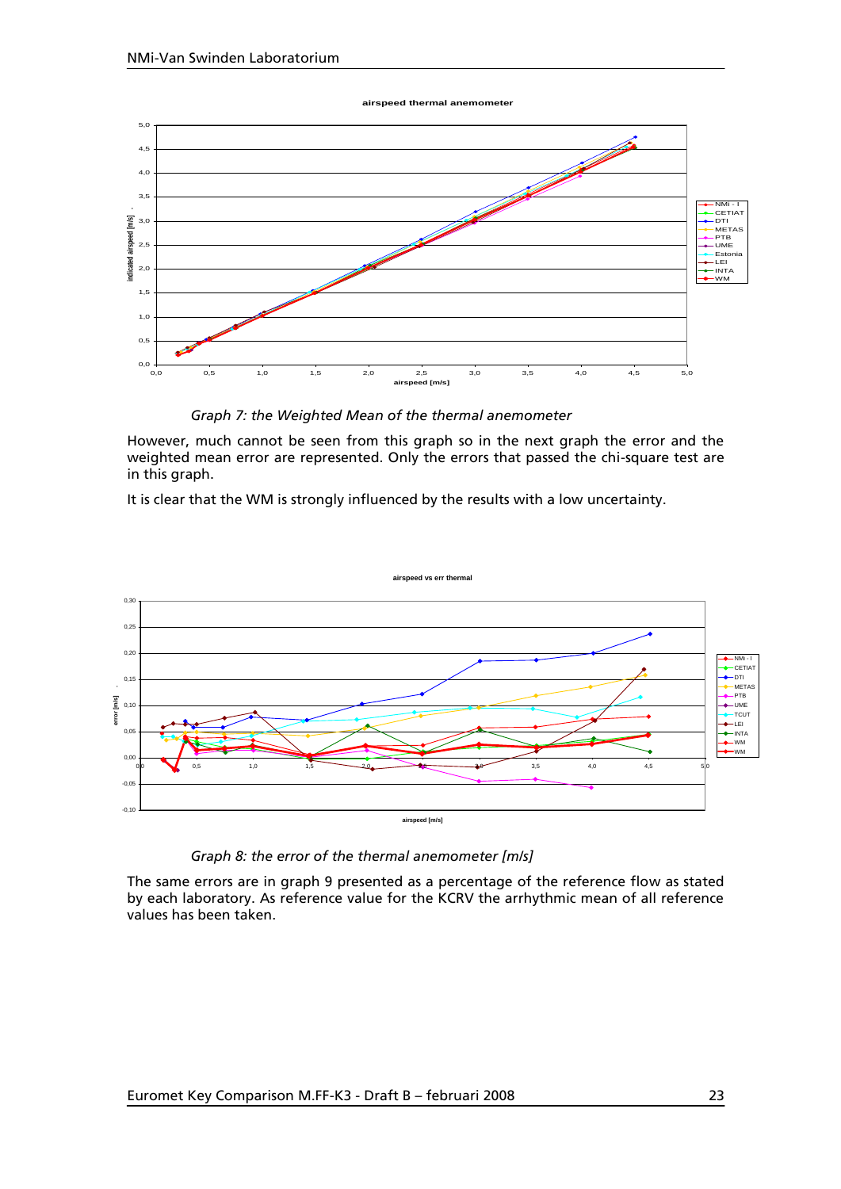



*Graph 7: the Weighted Mean of the thermal anemometer*

However, much cannot be seen from this graph so in the next graph the error and the weighted mean error are represented. Only the errors that passed the chi-square test are in this graph.

It is clear that the WM is strongly influenced by the results with a low uncertainty.





The same errors are in graph 9 presented as a percentage of the reference flow as stated by each laboratory. As reference value for the KCRV the arrhythmic mean of all reference values has been taken.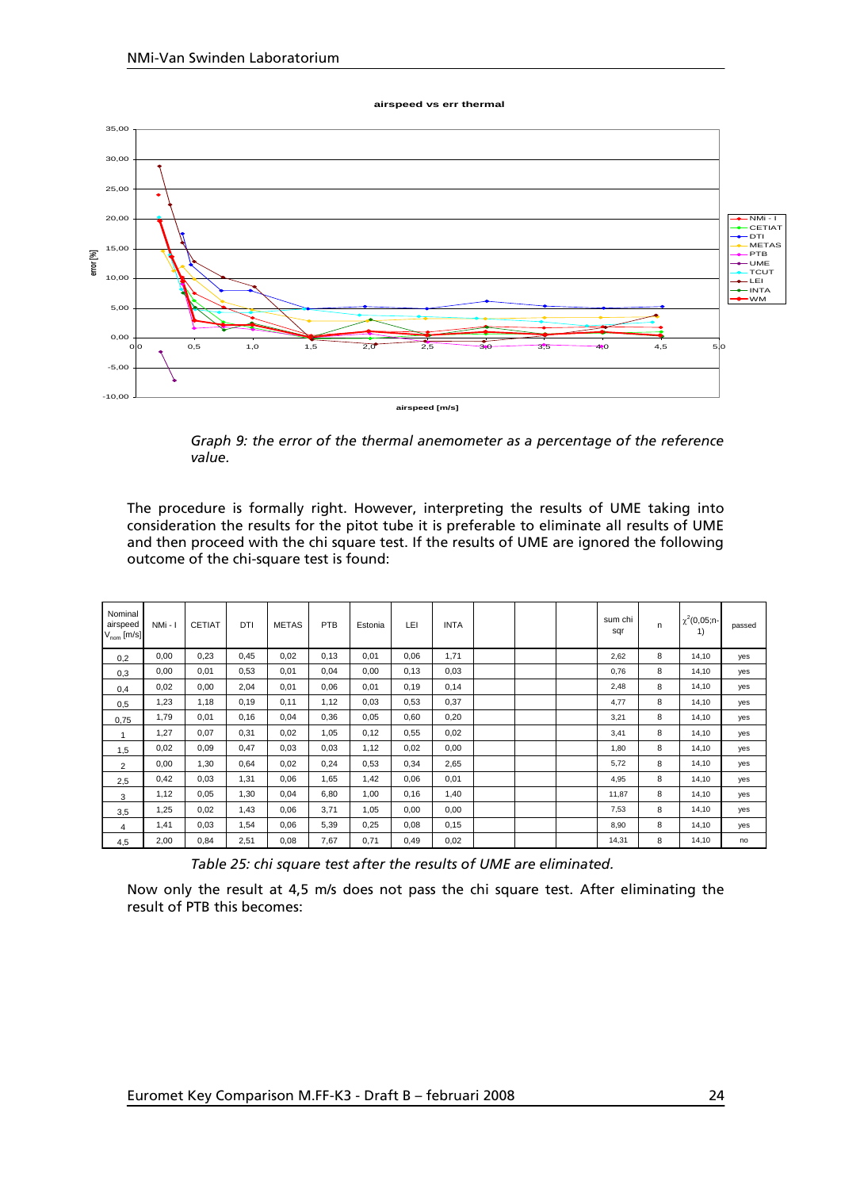**airspeed vs err thermal**



*Graph 9: the error of the thermal anemometer as a percentage of the reference value.*

The procedure is formally right. However, interpreting the results of UME taking into consideration the results for the pitot tube it is preferable to eliminate all results of UME and then proceed with the chi square test. If the results of UME are ignored the following outcome of the chi-square test is found:

| Nominal<br>airspeed<br>$V_{nom}$ [m/s] | NMi-I | <b>CETIAT</b> | DTI  | <b>METAS</b> | PTB  | Estonia | LEI  | <b>INTA</b> |  | sum chi<br>sqr | n | $\chi^2$ (0,05;n-<br>1) | passed |
|----------------------------------------|-------|---------------|------|--------------|------|---------|------|-------------|--|----------------|---|-------------------------|--------|
| 0,2                                    | 0,00  | 0,23          | 0,45 | 0,02         | 0,13 | 0,01    | 0,06 | 1,71        |  | 2,62           | 8 | 14,10                   | yes    |
| 0,3                                    | 0,00  | 0,01          | 0,53 | 0,01         | 0,04 | 0,00    | 0.13 | 0,03        |  | 0,76           | 8 | 14,10                   | yes    |
| 0,4                                    | 0,02  | 0,00          | 2,04 | 0,01         | 0,06 | 0,01    | 0,19 | 0,14        |  | 2,48           | 8 | 14,10                   | yes    |
| 0,5                                    | 1,23  | 1,18          | 0,19 | 0,11         | 1,12 | 0,03    | 0,53 | 0,37        |  | 4,77           | 8 | 14,10                   | yes    |
| 0,75                                   | 1,79  | 0,01          | 0,16 | 0,04         | 0,36 | 0,05    | 0,60 | 0,20        |  | 3,21           | 8 | 14,10                   | yes    |
| 1                                      | 1,27  | 0,07          | 0,31 | 0,02         | 1,05 | 0,12    | 0,55 | 0,02        |  | 3,41           | 8 | 14,10                   | yes    |
| 1,5                                    | 0,02  | 0,09          | 0,47 | 0,03         | 0,03 | 1,12    | 0,02 | 0,00        |  | 1,80           | 8 | 14,10                   | yes    |
| 2                                      | 0,00  | 1,30          | 0,64 | 0,02         | 0,24 | 0,53    | 0,34 | 2,65        |  | 5,72           | 8 | 14,10                   | yes    |
| 2,5                                    | 0,42  | 0,03          | 1,31 | 0,06         | 1,65 | 1,42    | 0,06 | 0,01        |  | 4,95           | 8 | 14,10                   | yes    |
| 3                                      | 1,12  | 0,05          | 1,30 | 0,04         | 6,80 | 1,00    | 0,16 | 1,40        |  | 11,87          | 8 | 14,10                   | yes    |
| 3,5                                    | 1,25  | 0,02          | 1,43 | 0,06         | 3,71 | 1,05    | 0,00 | 0,00        |  | 7,53           | 8 | 14,10                   | yes    |
| $\overline{4}$                         | 1,41  | 0,03          | 1,54 | 0,06         | 5,39 | 0,25    | 0,08 | 0,15        |  | 8,90           | 8 | 14,10                   | yes    |
| 4,5                                    | 2,00  | 0,84          | 2,51 | 0,08         | 7,67 | 0,71    | 0,49 | 0,02        |  | 14,31          | 8 | 14,10                   | no     |

*Table 25: chi square test after the results of UME are eliminated.*

Now only the result at 4,5 m/s does not pass the chi square test. After eliminating the result of PTB this becomes: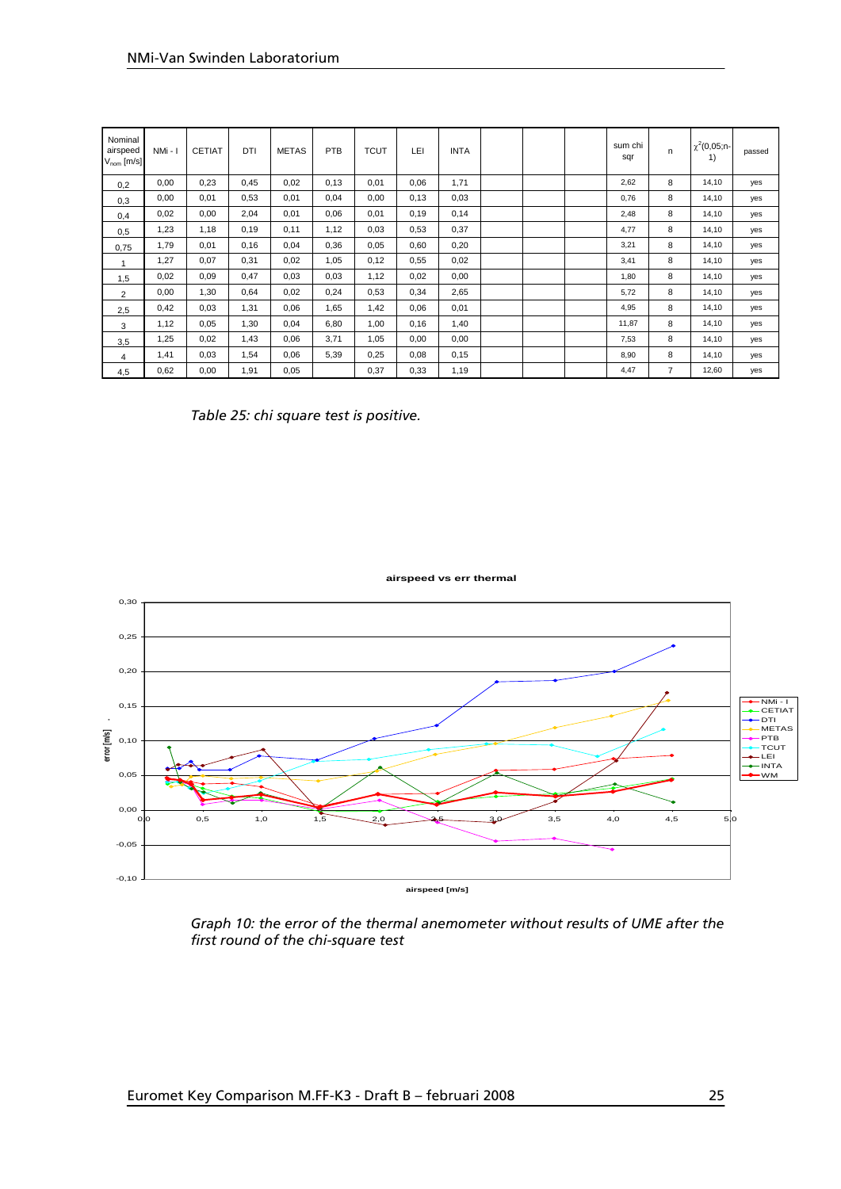| Nominal<br>airspeed<br>$V_{nom}$ [m/s] | NMi-I | <b>CETIAT</b> | DTI   | <b>METAS</b> | <b>PTB</b> | <b>TCUT</b> | LEI  | <b>INTA</b> |  | sum chi<br>sqr | n.             | $\chi^2(0,05; n-)$<br>1) | passed |
|----------------------------------------|-------|---------------|-------|--------------|------------|-------------|------|-------------|--|----------------|----------------|--------------------------|--------|
| 0,2                                    | 0,00  | 0,23          | 0,45  | 0,02         | 0,13       | 0,01        | 0,06 | 1,71        |  | 2,62           | 8              | 14,10                    | yes    |
| 0,3                                    | 0,00  | 0,01          | 0,53  | 0,01         | 0,04       | 0,00        | 0,13 | 0,03        |  | 0,76           | 8              | 14,10                    | yes    |
| 0,4                                    | 0,02  | 0,00          | 2,04  | 0,01         | 0,06       | 0,01        | 0,19 | 0,14        |  | 2,48           | 8              | 14,10                    | yes    |
| 0,5                                    | 1,23  | 1,18          | 0, 19 | 0,11         | 1,12       | 0,03        | 0,53 | 0,37        |  | 4,77           | 8              | 14,10                    | yes    |
| 0,75                                   | 1,79  | 0,01          | 0, 16 | 0,04         | 0,36       | 0,05        | 0,60 | 0,20        |  | 3,21           | 8              | 14,10                    | yes    |
| 1                                      | 1,27  | 0,07          | 0,31  | 0,02         | 1,05       | 0,12        | 0,55 | 0,02        |  | 3,41           | 8              | 14,10                    | yes    |
| 1,5                                    | 0,02  | 0,09          | 0,47  | 0,03         | 0,03       | 1,12        | 0,02 | 0,00        |  | 1,80           | 8              | 14,10                    | yes    |
| $\overline{2}$                         | 0,00  | 1,30          | 0,64  | 0,02         | 0,24       | 0,53        | 0,34 | 2,65        |  | 5,72           | 8              | 14,10                    | yes    |
| 2,5                                    | 0,42  | 0,03          | 1,31  | 0,06         | 1,65       | 1,42        | 0,06 | 0,01        |  | 4,95           | 8              | 14,10                    | yes    |
| 3                                      | 1,12  | 0,05          | 1,30  | 0,04         | 6,80       | 1,00        | 0,16 | 1,40        |  | 11,87          | 8              | 14,10                    | yes    |
| 3,5                                    | 1,25  | 0,02          | 1,43  | 0,06         | 3,71       | 1,05        | 0,00 | 0,00        |  | 7,53           | 8              | 14,10                    | yes    |
| 4                                      | 1,41  | 0,03          | 1,54  | 0,06         | 5,39       | 0,25        | 0,08 | 0, 15       |  | 8,90           | 8              | 14,10                    | yes    |
| 4,5                                    | 0,62  | 0,00          | 1,91  | 0,05         |            | 0,37        | 0,33 | 1,19        |  | 4,47           | $\overline{7}$ | 12,60                    | yes    |

*Table 25: chi square test is positive.*



**airspeed vs err thermal**

*Graph 10: the error of the thermal anemometer without results of UME after the first round of the chi-square test*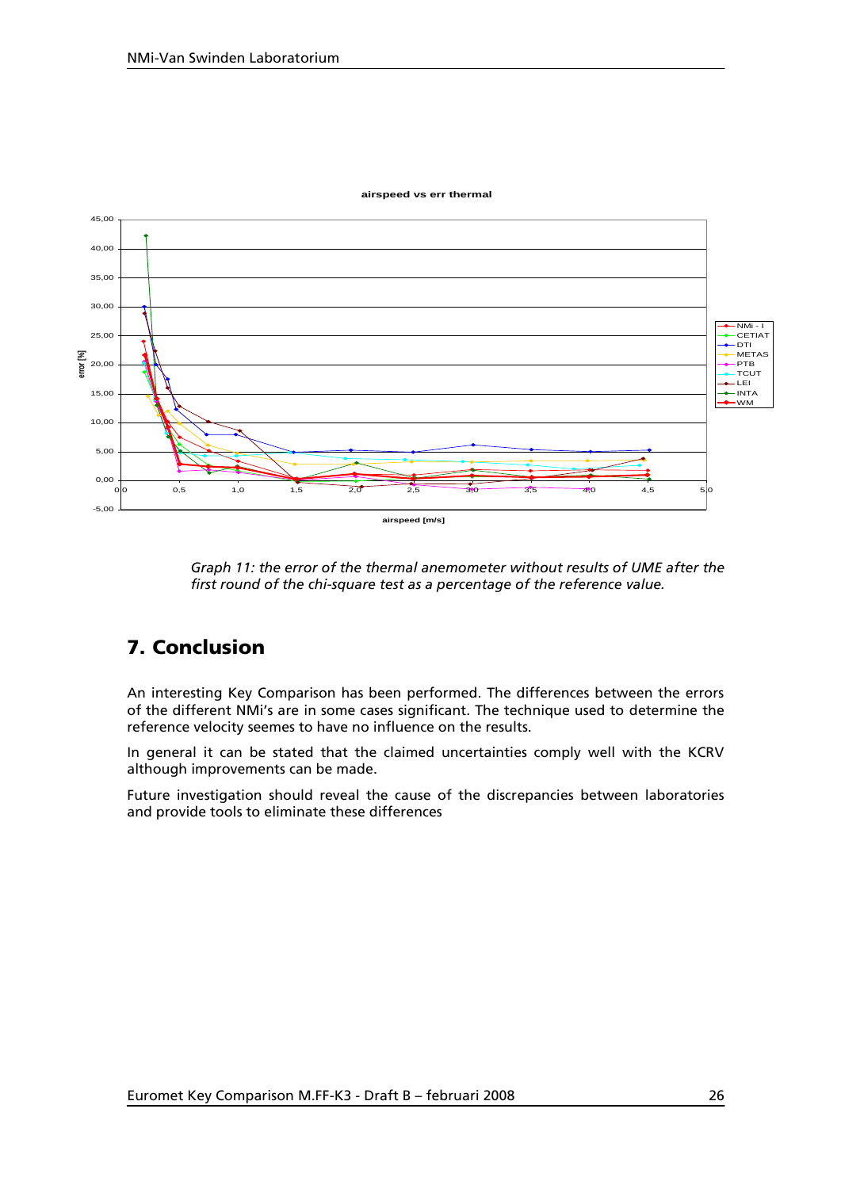

**airspeed vs err thermal**

*Graph 11: the error of the thermal anemometer without results of UME after the first round of the chi-square test as a percentage of the reference value.*

# <span id="page-25-0"></span>**7. Conclusion**

An interesting Key Comparison has been performed. The differences between the errors of the different NMi's are in some cases significant. The technique used to determine the reference velocity seemes to have no influence on the results.

In general it can be stated that the claimed uncertainties comply well with the KCRV although improvements can be made.

Future investigation should reveal the cause of the discrepancies between laboratories and provide tools to eliminate these differences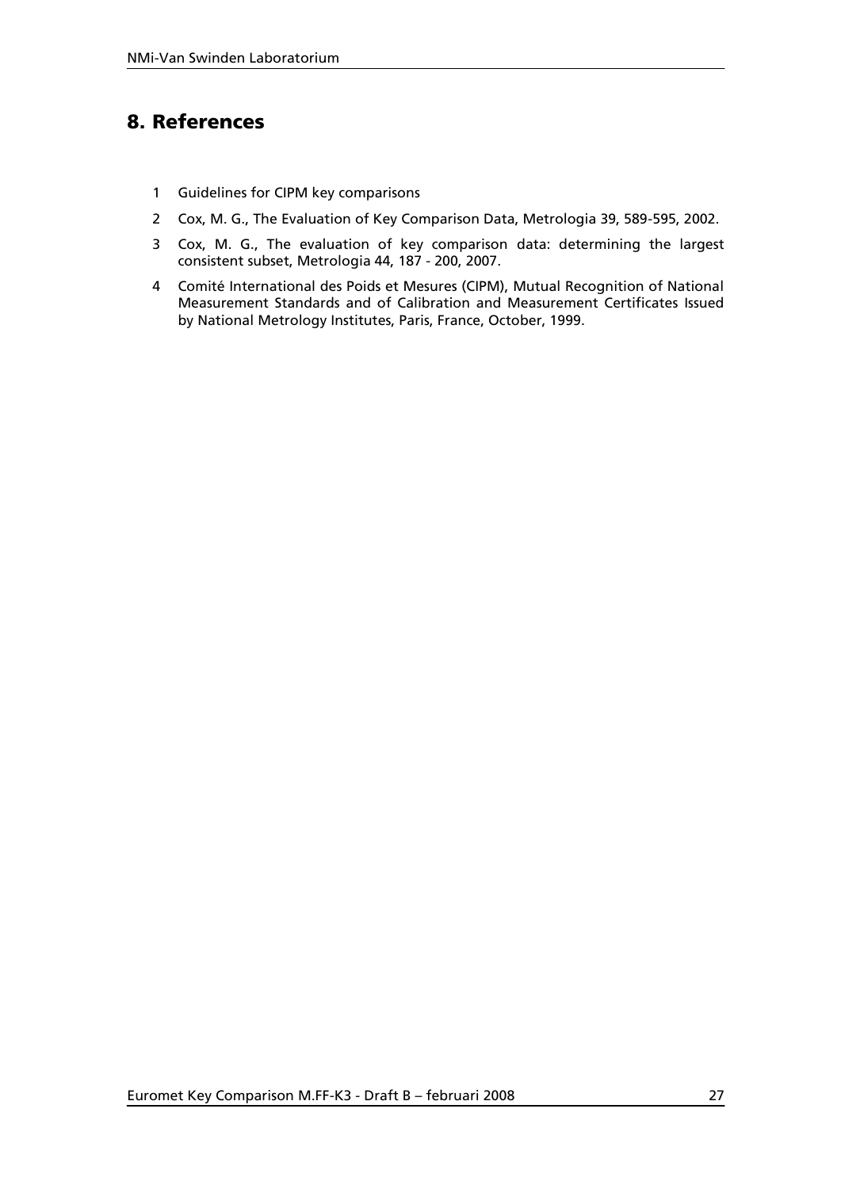# <span id="page-26-0"></span>**8. References**

- 1 Guidelines for CIPM key comparisons
- 2 Cox, M. G., The Evaluation of Key Comparison Data, Metrologia 39, 589-595, 2002.
- 3 Cox, M. G., The evaluation of key comparison data: determining the largest consistent subset, Metrologia 44, 187 - 200, 2007.
- 4 Comité International des Poids et Mesures (CIPM), Mutual Recognition of National Measurement Standards and of Calibration and Measurement Certificates Issued by National Metrology Institutes, Paris, France, October, 1999.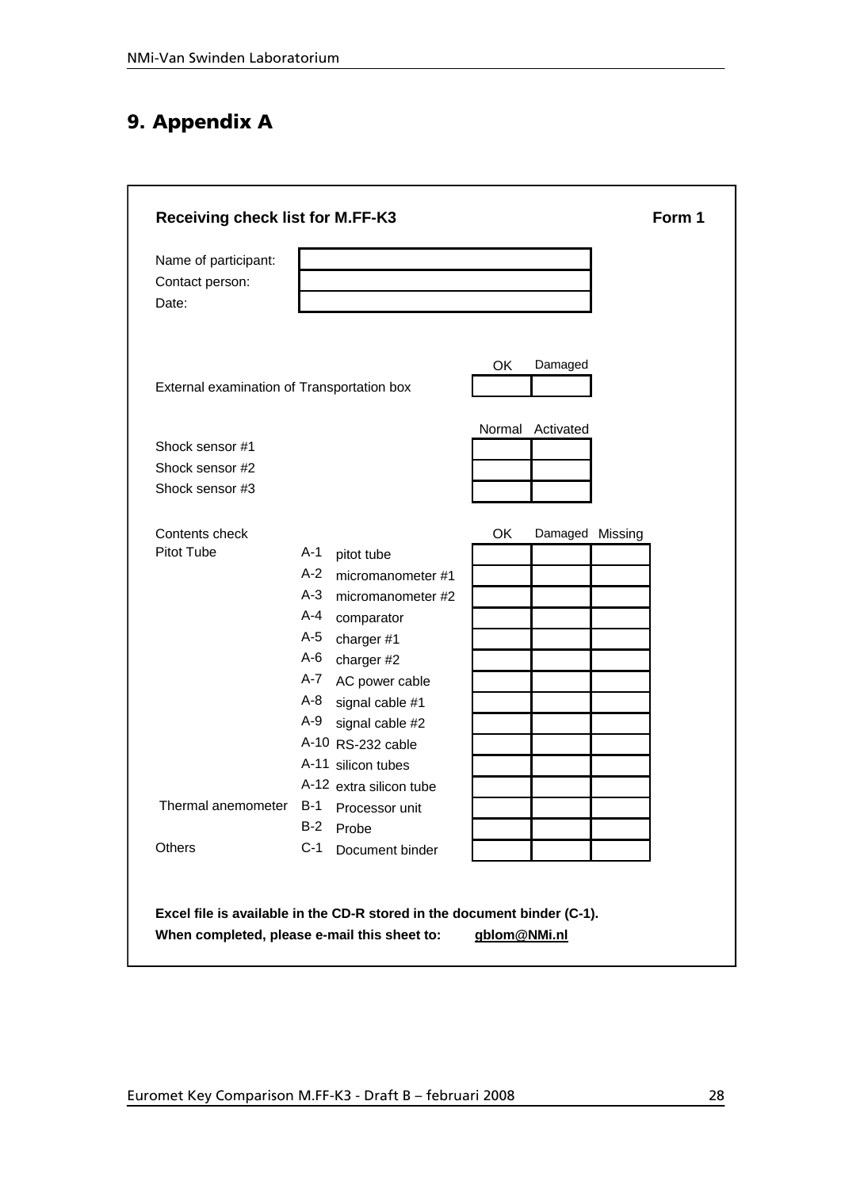# <span id="page-27-0"></span>**9. Appendix A**

| External examination of Transportation box | OK<br>Normal                                                                                                                                                                                                                                                               | Damaged<br>Activated |                 |
|--------------------------------------------|----------------------------------------------------------------------------------------------------------------------------------------------------------------------------------------------------------------------------------------------------------------------------|----------------------|-----------------|
|                                            |                                                                                                                                                                                                                                                                            |                      |                 |
|                                            |                                                                                                                                                                                                                                                                            |                      |                 |
|                                            |                                                                                                                                                                                                                                                                            |                      |                 |
|                                            |                                                                                                                                                                                                                                                                            |                      |                 |
|                                            |                                                                                                                                                                                                                                                                            |                      |                 |
|                                            |                                                                                                                                                                                                                                                                            |                      |                 |
|                                            |                                                                                                                                                                                                                                                                            |                      |                 |
|                                            | OK                                                                                                                                                                                                                                                                         |                      |                 |
|                                            |                                                                                                                                                                                                                                                                            |                      |                 |
|                                            |                                                                                                                                                                                                                                                                            |                      |                 |
|                                            |                                                                                                                                                                                                                                                                            |                      |                 |
|                                            |                                                                                                                                                                                                                                                                            |                      |                 |
|                                            |                                                                                                                                                                                                                                                                            |                      |                 |
|                                            |                                                                                                                                                                                                                                                                            |                      |                 |
|                                            |                                                                                                                                                                                                                                                                            |                      |                 |
|                                            |                                                                                                                                                                                                                                                                            |                      |                 |
|                                            |                                                                                                                                                                                                                                                                            |                      |                 |
|                                            |                                                                                                                                                                                                                                                                            |                      |                 |
|                                            |                                                                                                                                                                                                                                                                            |                      |                 |
|                                            |                                                                                                                                                                                                                                                                            |                      |                 |
|                                            |                                                                                                                                                                                                                                                                            |                      |                 |
|                                            |                                                                                                                                                                                                                                                                            |                      |                 |
|                                            |                                                                                                                                                                                                                                                                            |                      |                 |
|                                            |                                                                                                                                                                                                                                                                            |                      |                 |
|                                            | pitot tube<br>micromanometer #1<br>micromanometer #2<br>comparator<br>charger #1<br>charger #2<br>AC power cable<br>signal cable #1<br>signal cable #2<br>A-10 RS-232 cable<br>A-11 silicon tubes<br>A-12 extra silicon tube<br>Processor unit<br>Probe<br>Document binder |                      | Damaged Missing |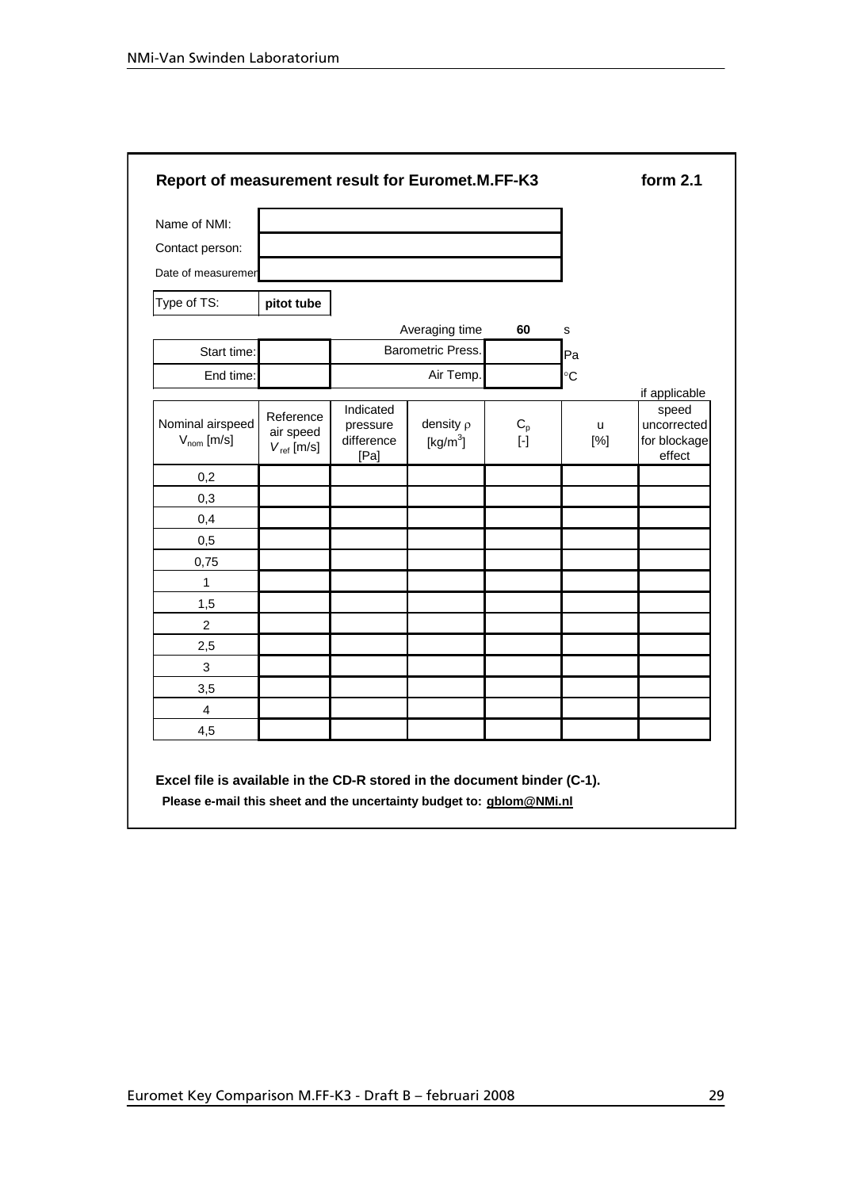| Contact person:<br>Date of measuremer<br>Type of TS:<br>Start time:      | pitot tube                                |                                             |                               |                      |             |                                                |
|--------------------------------------------------------------------------|-------------------------------------------|---------------------------------------------|-------------------------------|----------------------|-------------|------------------------------------------------|
|                                                                          |                                           |                                             |                               |                      |             |                                                |
|                                                                          |                                           |                                             |                               |                      |             |                                                |
|                                                                          |                                           |                                             |                               |                      |             |                                                |
|                                                                          |                                           |                                             | Averaging time                | 60                   | s           |                                                |
|                                                                          |                                           |                                             | Barometric Press.             |                      | Pa          |                                                |
| End time:                                                                |                                           |                                             | Air Temp.                     |                      | °C          |                                                |
|                                                                          |                                           |                                             |                               |                      |             | if applicable                                  |
| Nominal airspeed<br>$V_{nom}$ [m/s]                                      | Reference<br>air speed<br>$V_{ref}$ [m/s] | Indicated<br>pressure<br>difference<br>[Pa] | density $\rho$<br>[ $kg/m3$ ] | $C_{p}$<br>$[\cdot]$ | u<br>$[\%]$ | speed<br>uncorrected<br>for blockage<br>effect |
| 0,2                                                                      |                                           |                                             |                               |                      |             |                                                |
| 0,3                                                                      |                                           |                                             |                               |                      |             |                                                |
| 0,4                                                                      |                                           |                                             |                               |                      |             |                                                |
| 0,5                                                                      |                                           |                                             |                               |                      |             |                                                |
| 0,75                                                                     |                                           |                                             |                               |                      |             |                                                |
| 1                                                                        |                                           |                                             |                               |                      |             |                                                |
| 1,5                                                                      |                                           |                                             |                               |                      |             |                                                |
| 2                                                                        |                                           |                                             |                               |                      |             |                                                |
| 2,5                                                                      |                                           |                                             |                               |                      |             |                                                |
| $\mathbf{3}$                                                             |                                           |                                             |                               |                      |             |                                                |
| 3,5                                                                      |                                           |                                             |                               |                      |             |                                                |
| 4                                                                        |                                           |                                             |                               |                      |             |                                                |
| 4,5                                                                      |                                           |                                             |                               |                      |             |                                                |
| Excel file is available in the CD-R stored in the document binder (C-1). |                                           |                                             |                               |                      |             |                                                |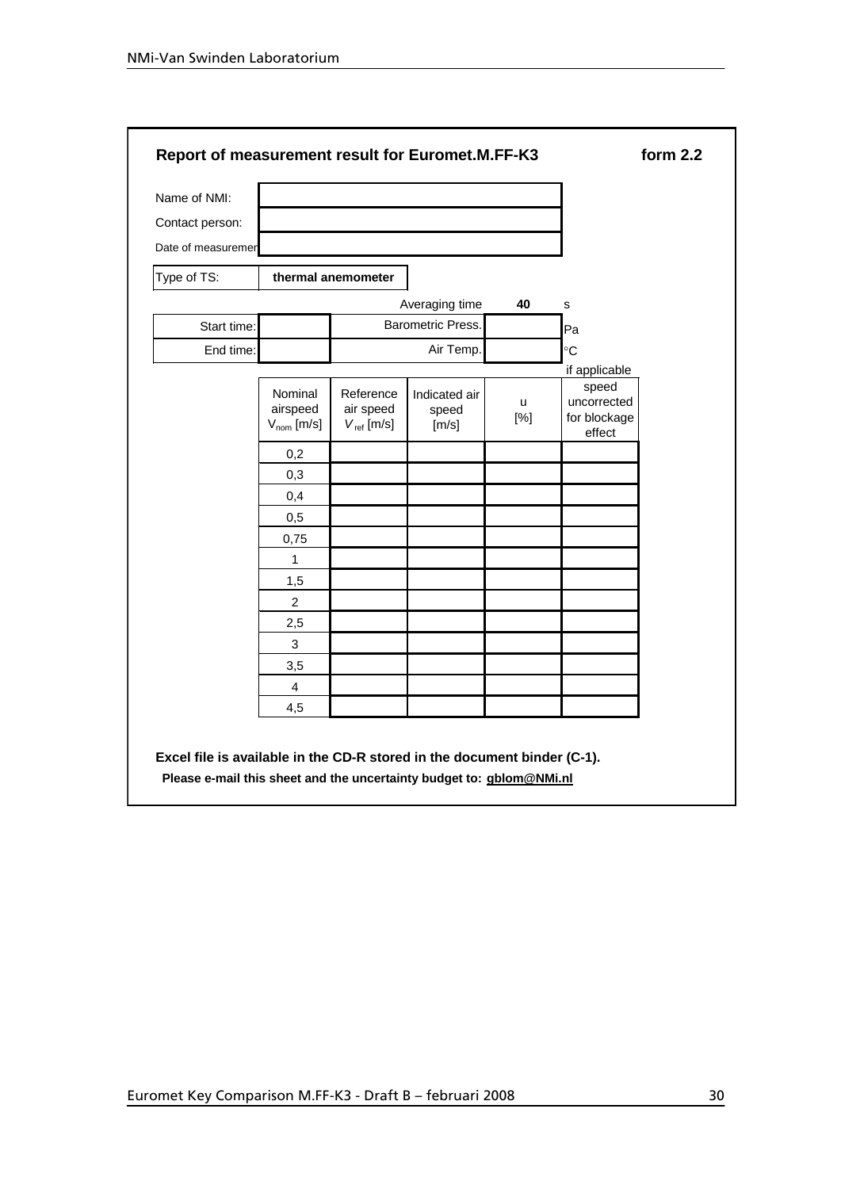| Name of NMI:                                                                                                                                     |                                        |                                                  |                                 |             |                                                                 |  |
|--------------------------------------------------------------------------------------------------------------------------------------------------|----------------------------------------|--------------------------------------------------|---------------------------------|-------------|-----------------------------------------------------------------|--|
| Contact person:                                                                                                                                  |                                        |                                                  |                                 |             |                                                                 |  |
| Date of measuremer                                                                                                                               |                                        |                                                  |                                 |             |                                                                 |  |
| Type of TS:                                                                                                                                      |                                        | thermal anemometer                               |                                 |             |                                                                 |  |
|                                                                                                                                                  |                                        |                                                  | Averaging time                  | 40          | $\mathbf S$                                                     |  |
| Start time:                                                                                                                                      |                                        |                                                  | Barometric Press.               |             | Pa                                                              |  |
| End time:                                                                                                                                        |                                        |                                                  | Air Temp.                       |             | $^{\circ}{\rm C}$                                               |  |
|                                                                                                                                                  | Nominal<br>airspeed<br>$V_{nom}$ [m/s] | Reference<br>air speed<br>$V_{\text{ref}}$ [m/s] | Indicated air<br>speed<br>[m/s] | u<br>$[\%]$ | if applicable<br>speed<br>uncorrected<br>for blockage<br>effect |  |
|                                                                                                                                                  | 0,2                                    |                                                  |                                 |             |                                                                 |  |
|                                                                                                                                                  | 0,3                                    |                                                  |                                 |             |                                                                 |  |
|                                                                                                                                                  | 0,4                                    |                                                  |                                 |             |                                                                 |  |
|                                                                                                                                                  | 0,5                                    |                                                  |                                 |             |                                                                 |  |
|                                                                                                                                                  | 0,75                                   |                                                  |                                 |             |                                                                 |  |
|                                                                                                                                                  | $\mathbf{1}$                           |                                                  |                                 |             |                                                                 |  |
|                                                                                                                                                  | 1,5<br>$\sqrt{2}$                      |                                                  |                                 |             |                                                                 |  |
|                                                                                                                                                  | 2,5                                    |                                                  |                                 |             |                                                                 |  |
|                                                                                                                                                  | $\sqrt{3}$                             |                                                  |                                 |             |                                                                 |  |
|                                                                                                                                                  | 3,5                                    |                                                  |                                 |             |                                                                 |  |
|                                                                                                                                                  | $\overline{4}$                         |                                                  |                                 |             |                                                                 |  |
|                                                                                                                                                  | 4,5                                    |                                                  |                                 |             |                                                                 |  |
| Excel file is available in the CD-R stored in the document binder (C-1).<br>Please e-mail this sheet and the uncertainty budget to: gblom@NMi.nl |                                        |                                                  |                                 |             |                                                                 |  |
|                                                                                                                                                  |                                        |                                                  |                                 |             |                                                                 |  |
|                                                                                                                                                  |                                        |                                                  |                                 |             |                                                                 |  |
|                                                                                                                                                  |                                        |                                                  |                                 |             |                                                                 |  |
|                                                                                                                                                  |                                        |                                                  |                                 |             |                                                                 |  |